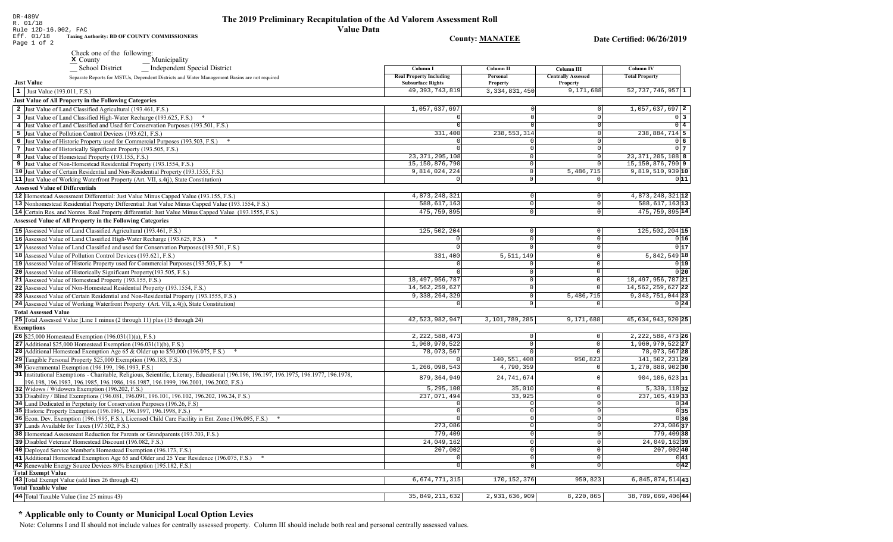| Rule 12D-16.002, FAC<br>Value Data                                                                                                             |                                 |                            |                            |                                      |
|------------------------------------------------------------------------------------------------------------------------------------------------|---------------------------------|----------------------------|----------------------------|--------------------------------------|
| Eff. 01/18<br>Taxing Authority: BD OF COUNTY COMMISSIONERS<br>Page 1 of 2                                                                      |                                 | <b>County: MANATEE</b>     |                            | Date Certified: 06/26/2019           |
| Check one of the following:                                                                                                                    |                                 |                            |                            |                                      |
| Municipality<br>$\boldsymbol{\mathrm{x}}$ County                                                                                               |                                 |                            |                            |                                      |
| Independent Special District<br>_School District                                                                                               | Column I                        | Column II                  | Column III                 | Column IV                            |
| Separate Reports for MSTUs, Dependent Districts and Water Management Basins are not required                                                   | <b>Real Property Including</b>  | Personal                   | <b>Centrally Assessed</b>  | <b>Total Property</b>                |
| <b>Just Value</b>                                                                                                                              | <b>Subsurface Rights</b>        | <b>Property</b>            | Property                   |                                      |
| 1 Just Value (193.011, F.S.)                                                                                                                   | 49, 393, 743, 819               | 3, 334, 831, 450           | 9,171,688                  | $52,737,746,957$ 1                   |
| Just Value of All Property in the Following Categories                                                                                         |                                 |                            |                            |                                      |
| 2 Just Value of Land Classified Agricultural (193.461, F.S.)                                                                                   | 1,057,637,697                   |                            | $\Omega$                   | $1,057,637,697$ 2                    |
| 3 Just Value of Land Classified High-Water Recharge (193.625, F.S.)                                                                            | $\Omega$                        |                            | $\Omega$                   | $0\overline{3}$                      |
| 4 Just Value of Land Classified and Used for Conservation Purposes (193.501, F.S.)                                                             | - 0 I                           |                            | 0                          | $0\quad 4$                           |
| 5 Just Value of Pollution Control Devices (193.621, F.S.)                                                                                      | 331,400                         | 238, 553, 314              | $\Omega$                   | 238,884,714 5                        |
| 6 Just Value of Historic Property used for Commercial Purposes (193.503, F.S.) *                                                               |                                 | 0                          | $\mathbf 0$                | 0 <sub>6</sub>                       |
| 7 Just Value of Historically Significant Property (193.505, F.S.)                                                                              | $\Omega$                        | $\Omega$                   | $\mathbf 0$                | 0 <sub>7</sub>                       |
| 8 Just Value of Homestead Property (193.155, F.S.)                                                                                             | 23, 371, 205, 108               | $\Omega$<br>$\Omega$       | $\circ$<br>$\overline{0}$  | 23, 371, 205, 108 8                  |
| 9 Just Value of Non-Homestead Residential Property (193.1554, F.S.)                                                                            | 15, 150, 876, 790               | $\Omega$                   |                            | 15, 150, 876, 790 9                  |
| 10 Just Value of Certain Residential and Non-Residential Property (193.1555, F.S.)                                                             | 9,814,024,224<br>$\overline{0}$ | $\Omega$                   | 5,486,715<br>$\circ$       | 9,819,510,939 10<br>011              |
| 11 Just Value of Working Waterfront Property (Art. VII, s.4(j), State Constitution)<br><b>Assessed Value of Differentials</b>                  |                                 |                            |                            |                                      |
|                                                                                                                                                |                                 |                            |                            |                                      |
| 12 Homestead Assessment Differential: Just Value Minus Capped Value (193.155, F.S.)                                                            | 4,873,248,321<br>588,617,163    | $\Omega$<br>$\overline{0}$ | $\mathbf 0$<br>$\mathbf 0$ | 4,873,248,321 12<br>588, 617, 163 13 |
| 13 Nonhomestead Residential Property Differential: Just Value Minus Capped Value (193.1554, F.S.)                                              |                                 | $\overline{0}$             |                            |                                      |
| 14 Certain Res. and Nonres. Real Property differential: Just Value Minus Capped Value (193.1555, F.S.)                                         | 475,759,895                     |                            | $\mathbb O$                | 475, 759, 895 14                     |
| <b>Assessed Value of All Property in the Following Categories</b>                                                                              |                                 |                            |                            |                                      |
| 15 Assessed Value of Land Classified Agricultural (193.461, F.S.)                                                                              | 125,502,204                     | $\circ$                    | 0                          | $125,502,204$ 15                     |
| 16 Assessed Value of Land Classified High-Water Recharge (193.625, F.S.) *                                                                     | $\overline{0}$                  | $\mathbf 0$                | 0                          | 0 16                                 |
| 17 Assessed Value of Land Classified and used for Conservation Purposes (193.501, F.S.)                                                        | $\mathbf{0}$                    |                            | 0                          | 0 17                                 |
| 18 Assessed Value of Pollution Control Devices (193.621, F.S.)                                                                                 | 331,400                         | 5, 511, 149                | $\mathbf 0$                | $5,842,549$ 18                       |
| 19 Assessed Value of Historic Property used for Commercial Purposes (193.503, F.S.) *                                                          | $\Omega$                        | $\circ$                    | $\mathbb O$                | 0 19                                 |
| 20 Assessed Value of Historically Significant Property (193.505, F.S.)                                                                         |                                 | $\Omega$                   | $\mathsf 0$                | 0 20                                 |
| 21 Assessed Value of Homestead Property (193.155, F.S.)                                                                                        | 18, 497, 956, 787               | $\Omega$                   | $\mathsf{O}$               | 18, 497, 956, 787 21                 |
| 22 Assessed Value of Non-Homestead Residential Property (193.1554, F.S.)                                                                       | 14,562,259,627                  | $\Omega$                   | $\mathbf 0$                | 14, 562, 259, 627 22                 |
| 23 Assessed Value of Certain Residential and Non-Residential Property (193.1555, F.S.)                                                         | 9, 338, 264, 329                | $\overline{0}$             | 5,486,715                  | 9, 343, 751, 044 23                  |
| 24 Assessed Value of Working Waterfront Property (Art. VII, s.4(j), State Constitution)                                                        | $\circ$                         | $\Omega$                   | $\circ$                    | 0 24                                 |
| <b>Total Assessed Value</b>                                                                                                                    |                                 |                            |                            |                                      |
| 25 Total Assessed Value [Line 1 minus (2 through 11) plus (15 through 24)                                                                      | 42,523,982,947                  | 3,101,789,285              | 9,171,688                  | 45,634,943,920 25                    |
| <b>Exemptions</b>                                                                                                                              |                                 |                            |                            |                                      |
| <b>26</b> \$25,000 Homestead Exemption $(196.031(1)(a), F.S.)$                                                                                 | 2, 222, 588, 473                | 0                          | $\mathsf{O}\xspace$        | $2,222,588,473$ 26                   |
| 27 Additional \$25,000 Homestead Exemption $(196.031(1)(b), F.S.)$                                                                             | 1,960,970,522                   | 0                          | $\mathbf 0$                | 1,960,970,522 27                     |
| <b>28</b> Additional Homestead Exemption Age 65 & Older up to \$50,000 (196.075, F.S.)                                                         | 78,073,567                      | $\overline{0}$             | $\mathsf{O}$               | 78,073,567 28                        |
| 29 Tangible Personal Property \$25,000 Exemption (196.183, F.S.)                                                                               | $\Omega$                        | 140,551,408                | 950,823                    | 141, 502, 231 29                     |
| 30 Governmental Exemption (196.199, 196.1993, F.S.)                                                                                            | 1,266,098,543                   | 4,790,359                  | 0                          | $1,270,888,902$ 30                   |
| 31 Institutional Exemptions - Charitable, Religious, Scientific, Literary, Educational (196.196, 196.197, 196.1975, 196.1977, 196.1978,        | 879, 364, 949                   | 24,741,674                 | $\mathbf 0$                | $904, 106, 623$ 31                   |
| 196.198, 196.1983, 196.1985, 196.1986, 196.1987, 196.1999, 196.2001, 196.2002, F.S.)                                                           |                                 |                            | $\mathbf 0$                | $5,330,118$ 32                       |
| 32 Widows / Widowers Exemption (196.202, F.S.)<br>33 Disability / Blind Exemptions (196.081, 196.091, 196.101, 196.102, 196.202, 196.24, F.S.) | 5,295,108<br>237,071,494        | 35,010<br>33,925           | $\mathbf 0$                | 237, 105, 419 33                     |
| 34 Land Dedicated in Perpetuity for Conservation Purposes (196.26, F.S.)                                                                       | $\circ$                         | 0                          | $\mathbb O$                | 0 34                                 |
| 35 Historic Property Exemption (196.1961, 196.1997, 196.1998, F.S.) *                                                                          | $\Omega$                        | 0                          | $\mathsf 0$                | 0 35                                 |
| 36 Econ. Dev. Exemption (196.1995, F.S.), Licensed Child Care Facility in Ent. Zone (196.095, F.S.) *                                          | $\circ$                         | 0                          | $\mathsf 0$                | 036                                  |
| 37 Lands Available for Taxes (197.502, F.S.)                                                                                                   | 273,086                         | 0                          | $\mathbb O$                | $273,086$ 37                         |
| 38 Homestead Assessment Reduction for Parents or Grandparents (193.703, F.S.)                                                                  | 779,409                         | 0                          | 0                          | 779,409 38                           |
| 39 Disabled Veterans' Homestead Discount (196.082, F.S.)                                                                                       | 24,049,162                      | 0                          | $\mathbb O$                | 24,049,16239                         |
| 40 Deployed Service Member's Homestead Exemption (196.173, F.S.)                                                                               | 207,002                         | 0                          | $\mathsf{O}\xspace$        | $207,002$ 40                         |
| 41 Additional Homestead Exemption Age 65 and Older and 25 Year Residence (196.075, F.S.)                                                       | $\circ$                         | 0                          | $\mathsf{O}\xspace$        | 0 41                                 |
| 42 Renewable Energy Source Devices 80% Exemption (195.182, F.S.)                                                                               | $\overline{0}$                  | 0                          | 0                          | 0 42                                 |
| <b>Total Exempt Value</b>                                                                                                                      |                                 |                            |                            |                                      |
| 43 Total Exempt Value (add lines 26 through 42)                                                                                                | 6, 674, 771, 315                | 170, 152, 376              | 950,823                    | 6,845,874,514 43                     |
| <b>Total Taxable Value</b>                                                                                                                     |                                 |                            |                            |                                      |
| 44 Total Taxable Value (line 25 minus 43)                                                                                                      | 35, 849, 211, 632               | 2,931,636,909              | 8,220,865                  | 38,789,069,40644                     |

# \* Applicable only to County or Municipal Local Option Levies

Note: Columns I and II should not include values for centrally assessed property. Column III should include both real and personal centrally assessed values.

DR-489V<br>R. 01/18<br>Bule 12D-16 002. FAC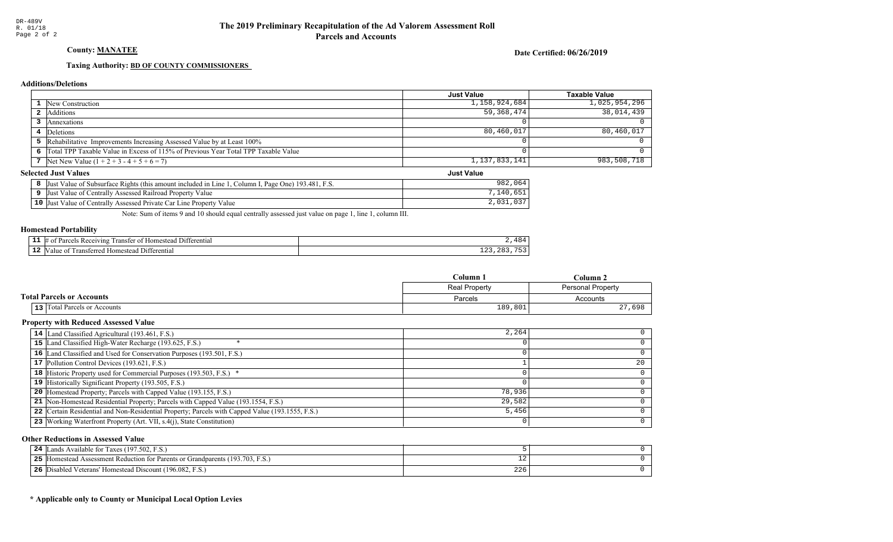# County: **MANATEE**

Date Certified: 06/26/2019

Just Value

#### Taxing Authority: **BD OF COUNTY COMMISSIONERS**

#### **Additions/Deletions**

|                                                                                      | <b>Just Value</b> | Taxable Value |
|--------------------------------------------------------------------------------------|-------------------|---------------|
| <b>1</b> New Construction                                                            | 1,158,924,684     | 1,025,954,296 |
| <b>2</b> Additions                                                                   | 59,368,474        | 38,014,439    |
| Annexations                                                                          |                   |               |
| 4 Deletions                                                                          | 80,460,017        | 80,460,017    |
| 5 Rehabilitative Improvements Increasing Assessed Value by at Least 100%             |                   |               |
| 6 Total TPP Taxable Value in Excess of 115% of Previous Year Total TPP Taxable Value |                   |               |
| 7 Net New Value $(1 + 2 + 3 - 4 + 5 + 6 = 7)$                                        | 1,137,833,141     | 983,508,718   |

#### **Selected Just Values**

| Column I, Page One) 193.481, F.S.<br>t Value of Subsurface Rights (this amount included in Line 1<br>Just | 982<br>,064               |
|-----------------------------------------------------------------------------------------------------------|---------------------------|
| Just Value of Centrally Assessed Railroad Property Value                                                  | ,140                      |
| <b>10</b> Just Value of Centrally Assessed Private Car Line Property Value                                | $\cap$ $\cap$<br>2,031,03 |

Note: Sum of items 9 and 10 should equal centrally assessed just value on page 1, line 1, column III.

#### Homestead Portability

| --   | <b>COLOR</b><br>eceiving)<br>10m<br>ranste<br>$\mathbf{H}$<br>01<br>stea<br><sup>+</sup> erenua. |               |
|------|--------------------------------------------------------------------------------------------------|---------------|
| - 14 | enti<br>$\sim$<br>l ransteri<br>alu<br>aataa <i>a</i><br>NИ.                                     | ᅩᅀᇰ<br>$\sim$ |

|                                  | Column 1<br>$C$ olumn 2 |                   |
|----------------------------------|-------------------------|-------------------|
|                                  | Real Property           | Personal Property |
| <b>Total Parcels or Accounts</b> | Parcels                 | Accounts          |
| 13 Total Parcels or Accounts     | 189,801                 | 27,698            |

#### Property with Reduced Assessed Value

| 14 Land Classified Agricultural (193.461, F.S.)                                                 | 2,264  |    |
|-------------------------------------------------------------------------------------------------|--------|----|
| 15 Land Classified High-Water Recharge (193.625, F.S.)                                          |        |    |
| 16 Land Classified and Used for Conservation Purposes (193.501, F.S.)                           |        |    |
| 17 Pollution Control Devices (193.621, F.S.)                                                    |        | 20 |
| 18 Historic Property used for Commercial Purposes (193.503, F.S.) *                             |        |    |
| 19 Historically Significant Property (193.505, F.S.)                                            |        |    |
| <b>20</b> Homestead Property; Parcels with Capped Value (193.155, F.S.)                         | 78,936 |    |
| 21 Non-Homestead Residential Property; Parcels with Capped Value (193.1554, F.S.)               | 29,582 |    |
| 22 Certain Residential and Non-Residential Property; Parcels with Capped Value (193.1555, F.S.) | 5,456  |    |
| 23 Working Waterfront Property (Art. VII, s.4(j), State Constitution)                           |        | 0  |

#### Other Reductions in Assessed Value

| 24        | Available for Taxes (197.502, F.S.)<br>ands .                                          |     |  |
|-----------|----------------------------------------------------------------------------------------|-----|--|
| つち<br>- - | d Assessment Reduction for Parents or Grandparents (193.703, F.S.)<br><b>Homestead</b> |     |  |
| 26        | d Veterans' Homestead Discount (196.082, F.S.)<br>Disabled                             | 226 |  |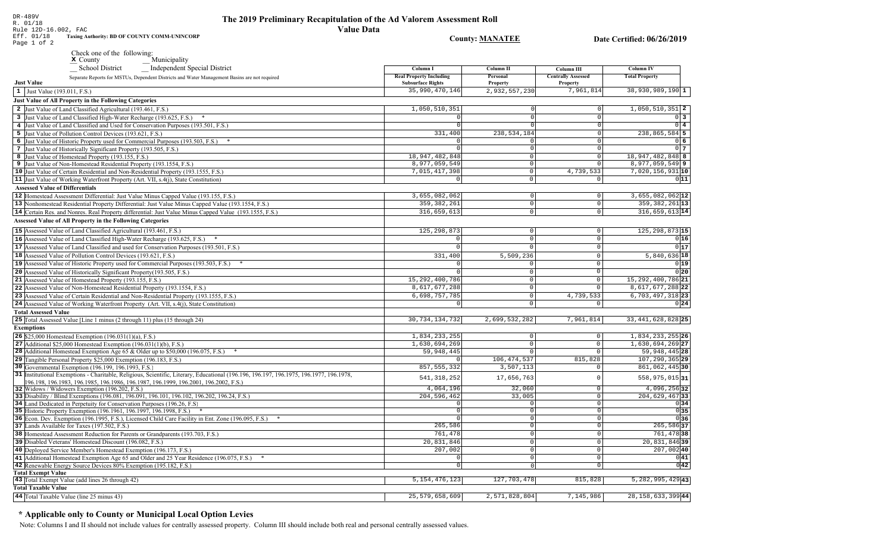| K. UI/IO<br><b>Value Data</b><br>Rule 12D-16.002, FAC<br>Eff. 01/18<br>Taxing Authority: BD OF COUNTY COMM-UNINCORP<br>Page 1 of 2             |                                            | <b>County: MANATEE</b>    |                              | Date Certified: 06/26/2019         |
|------------------------------------------------------------------------------------------------------------------------------------------------|--------------------------------------------|---------------------------|------------------------------|------------------------------------|
| Check one of the following:                                                                                                                    |                                            |                           |                              |                                    |
| Municipality<br>$\boldsymbol{\times}$ County                                                                                                   |                                            |                           |                              |                                    |
| _ Independent Special District<br>_ School District                                                                                            | Column I                                   | Column II                 | Column III                   | Column IV                          |
| Separate Reports for MSTUs, Dependent Districts and Water Management Basins are not required                                                   | <b>Real Property Including</b>             | Personal                  | <b>Centrally Assessed</b>    | <b>Total Property</b>              |
| <b>Just Value</b>                                                                                                                              | <b>Subsurface Rights</b><br>35,990,470,146 | Property<br>2,932,557,230 | <b>Property</b><br>7,961,814 | $38,930,989,190$ 1                 |
| 1 Just Value (193.011, F.S.)<br>Just Value of All Property in the Following Categories                                                         |                                            |                           |                              |                                    |
| 2 Just Value of Land Classified Agricultural (193.461, F.S.)                                                                                   | 1,050,510,351                              |                           | 0                            | $1,050,510,351$ 2                  |
| 3 Just Value of Land Classified High-Water Recharge (193.625, F.S.)                                                                            | 0                                          |                           | $\mathbf 0$                  | $0\vert 3$                         |
| 4 Just Value of Land Classified and Used for Conservation Purposes (193.501, F.S.)                                                             | 0                                          |                           | 0                            | $0\quad 4$                         |
| 5 Just Value of Pollution Control Devices (193.621, F.S.)                                                                                      | 331,400                                    | 238,534,184               | 0                            | $238,865,584$ 5                    |
| 6 Just Value of Historic Property used for Commercial Purposes (193.503, F.S.) *                                                               | $\Omega$                                   | $\Omega$                  | $\mathbf 0$                  | $0\vert 6$                         |
| 7 Just Value of Historically Significant Property (193.505, F.S.)                                                                              | $\Omega$                                   | $\Omega$                  | $\mathbf 0$                  | 0 <sub>7</sub>                     |
| 8 Just Value of Homestead Property (193.155, F.S.)                                                                                             | 18, 947, 482, 848                          | $\mathbf 0$               | $\mathsf 0$                  | 18, 947, 482, 848 8                |
| 9 Just Value of Non-Homestead Residential Property (193.1554, F.S.)                                                                            | 8,977,059,549                              | $\mathbf 0$               | $\mathbf 0$                  | $8,977,059,549$ 9                  |
| 10 Just Value of Certain Residential and Non-Residential Property (193.1555, F.S.)                                                             | 7,015,417,398                              | $\mathbf 0$               | 4,739,533                    | 7,020,156,931 10                   |
| 11 Just Value of Working Waterfront Property (Art. VII, s.4(j), State Constitution)                                                            | 0                                          | $\Omega$                  | $\overline{0}$               | 011                                |
| <b>Assessed Value of Differentials</b>                                                                                                         |                                            |                           |                              |                                    |
| 12 Homestead Assessment Differential: Just Value Minus Capped Value (193.155, F.S.)                                                            | 3,655,082,062                              | 0                         | $\mathbf 0$                  | $3,655,082,062$ 12                 |
| 13 Nonhomestead Residential Property Differential: Just Value Minus Capped Value (193.1554, F.S.)                                              | 359, 382, 261                              | $\mathbb O$               | $\mathbf 0$                  | 359, 382, 261 13<br>316,659,613 14 |
| 14 Certain Res. and Nonres. Real Property differential: Just Value Minus Capped Value (193.1555, F.S.)                                         | 316,659,613                                | $\circ$                   | $\mathbf 0$                  |                                    |
| <b>Assessed Value of All Property in the Following Categories</b>                                                                              |                                            |                           |                              |                                    |
| 15 Assessed Value of Land Classified Agricultural (193.461, F.S.)                                                                              | 125, 298, 873                              | $\overline{0}$            | $\circ$                      | $125, 298, 873$ 15                 |
| 16 Assessed Value of Land Classified High-Water Recharge (193.625, F.S.)                                                                       | $\mathbf{0}$                               | $\mathbf 0$               | $\circ$                      | 0 16                               |
| 17 Assessed Value of Land Classified and used for Conservation Purposes (193.501, F.S.)                                                        |                                            | $\Omega$                  | 0                            | 0 17                               |
| 18 Assessed Value of Pollution Control Devices (193.621, F.S.)                                                                                 | 331,400                                    | 5,509,236                 | $\Omega$                     | $5,840,636$ 18                     |
| 19 Assessed Value of Historic Property used for Commercial Purposes (193.503, F.S.)                                                            |                                            | $\mathbf{0}$              | 0                            | 0 19                               |
| 20 Assessed Value of Historically Significant Property (193.505, F.S.)                                                                         |                                            | $\mathbb O$               | $\mathbf 0$                  | 0 20                               |
| 21 Assessed Value of Homestead Property (193.155, F.S.)                                                                                        | 15, 292, 400, 786                          | $\mathbf 0$               | 0                            | 15, 292, 400, 786 21               |
| 22 Assessed Value of Non-Homestead Residential Property (193.1554, F.S.)                                                                       | 8,617,677,288                              | $\Omega$                  | $\Omega$                     | 8,617,677,288 22                   |
| 23 Assessed Value of Certain Residential and Non-Residential Property (193.1555, F.S.)                                                         | 6,698,757,785<br>$\Omega$                  | $\circ$<br>$\Omega$       | 4,739,533                    | $6,703,497,318$ 23                 |
| 24 Assessed Value of Working Waterfront Property (Art. VII, s.4(j), State Constitution)                                                        |                                            |                           | 0                            | 0 24                               |
| <b>Total Assessed Value</b><br>25 Total Assessed Value [Line 1 minus (2 through 11) plus (15 through 24)                                       | 30, 734, 134, 732                          | 2,699,532,282             | 7,961,814                    | 33, 441, 628, 828 25               |
| <b>Exemptions</b>                                                                                                                              |                                            |                           |                              |                                    |
| <b>26</b> \$25,000 Homestead Exemption $(196.031(1)(a), F.S.)$                                                                                 | 1,834,233,255                              | $\mathbf 0$               | $\mathsf{O}$                 | 1,834,233,255 26                   |
| 27 Additional \$25,000 Homestead Exemption $(196.031(1)(b), F.S.)$                                                                             | 1,630,694,269                              | $\mathbf 0$               | $\mathbb O$                  | 1,630,694,269 27                   |
| <b>28</b> Additional Homestead Exemption Age 65 & Older up to \$50,000 (196.075, F.S.)                                                         | 59,948,445                                 | $\Omega$                  | $\Omega$                     | 59, 948, 445 28                    |
| 29 Tangible Personal Property \$25,000 Exemption (196.183, F.S.)                                                                               |                                            | 106, 474, 537             | 815,828                      | 107, 290, 365 29                   |
| 30 Governmental Exemption (196.199, 196.1993, F.S.)                                                                                            | 857, 555, 332                              | 3,507,113                 | $\Omega$                     | 861, 062, 445 30                   |
| 31 Institutional Exemptions - Charitable, Religious, Scientific, Literary, Educational (196.196.197, 196.1975, 196.1977, 196.1978,             | 541, 318, 252                              | 17,656,763                | $\Omega$                     | 558,975,015 31                     |
| 196.198, 196.1983, 196.1985, 196.1986, 196.1987, 196.1999, 196.2001, 196.2002, F.S.)                                                           |                                            |                           |                              |                                    |
| 32 Widows / Widowers Exemption (196.202, F.S.)<br>33 Disability / Blind Exemptions (196.081, 196.091, 196.101, 196.102, 196.202, 196.24, F.S.) | 4,064,196<br>204, 596, 462                 | 32,060                    | $\mathbf 0$<br>$\circ$       | 4,096,256 32                       |
| 34 Land Dedicated in Perpetuity for Conservation Purposes (196.26, F.S.                                                                        | $\mathbf 0$                                | 33,005<br>$\Omega$        | $\mathbf 0$                  | 204,629,46733<br>0 34              |
| 35 Historic Property Exemption (196.1961, 196.1997, 196.1998, F.S.) *                                                                          | $\mathbf 0$                                | $\mathbf 0$               | $\mathbf 0$                  | 0 35                               |
| 36 Econ. Dev. Exemption (196.1995, F.S.), Licensed Child Care Facility in Ent. Zone (196.095, F.S.)                                            | $\Omega$                                   | $\Omega$                  | $\Omega$                     | 0 36                               |
| 37 Lands Available for Taxes (197.502, F.S.)                                                                                                   | 265,586                                    | $\mathsf 0$               | 0                            | $265,586$ 37                       |
| 38 Homestead Assessment Reduction for Parents or Grandparents (193.703, F.S.)                                                                  | 761,478                                    | $\overline{0}$            | $\mathbb O$                  | 761,478 38                         |
| 39 Disabled Veterans' Homestead Discount (196.082, F.S.)                                                                                       | 20,831,846                                 | $\mathbf 0$               | $\mathbf 0$                  | 20,831,846 39                      |
| 40 Deployed Service Member's Homestead Exemption (196.173, F.S.)                                                                               | 207,002                                    | 0                         | $\mathsf{O}$                 | 207,002 40                         |
| 41 Additional Homestead Exemption Age 65 and Older and 25 Year Residence (196.075, F.S.)                                                       | $\mathbf{0}$                               | $\mathbb O$               | $\mathsf{O}$                 | 0 41                               |
| 42 Renewable Energy Source Devices 80% Exemption (195.182, F.S.)                                                                               | 0                                          | 0                         | $\mathbf 0$                  | 0 42                               |
| <b>Total Exempt Value</b>                                                                                                                      |                                            |                           |                              |                                    |
| 43 Total Exempt Value (add lines 26 through 42)<br><b>Total Taxable Value</b>                                                                  | 5, 154, 476, 123                           | 127,703,478               | 815,828                      | $5,282,995,429$ 43                 |
|                                                                                                                                                |                                            |                           |                              |                                    |
| 44 Total Taxable Value (line 25 minus 43)                                                                                                      | 25, 579, 658, 609                          | 2,571,828,804             | 7,145,986                    | 28, 158, 633, 399 44               |

# \* Applicable only to County or Municipal Local Option Levies

Note: Columns I and II should not include values for centrally assessed property. Column III should include both real and personal centrally assessed values.

DR-489V<br>R. 01/18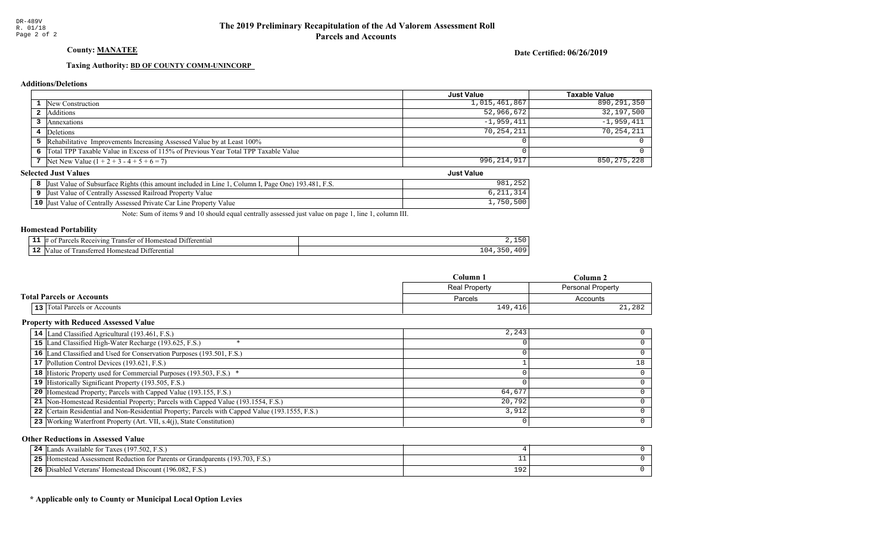# County: **MANATEE**

Date Certified: 06/26/2019

Just Value

#### Taxing Authority: **BD OF COUNTY COMM-UNINCORP**

#### **Additions/Deletions**

|                                                                                      | <b>Just Value</b> | Taxable Value |
|--------------------------------------------------------------------------------------|-------------------|---------------|
| <b>1</b> New Construction                                                            | 1,015,461,867     | 890,291,350   |
| 2 Additions                                                                          | 52,966,672        | 32,197,500    |
| <b>3</b> Annexations                                                                 | $-1,959,411$      | $-1,959,411$  |
| Deletions                                                                            | 70,254,211        | 70,254,211    |
| 5 Rehabilitative Improvements Increasing Assessed Value by at Least 100%             |                   |               |
| 6 Total TPP Taxable Value in Excess of 115% of Previous Year Total TPP Taxable Value |                   |               |
| 7 Net New Value $(1 + 2 + 3 - 4 + 5 + 6 = 7)$                                        | 996,214,917       | 850, 275, 228 |

#### **Selected Just Values**

| Column I, Page One) 193.481, F.S.<br>Value of Subsurface Rights (this amount included in Line 1.<br>Just | $\sim$ $\sim$ $\sim$<br>981<br>ے ت |
|----------------------------------------------------------------------------------------------------------|------------------------------------|
| Assessed Railroad Property<br>Value<br>Just<br>Value of Centrally.                                       | <b>UILLI</b>                       |
| $10$ Just<br>Assessed Private Car Line Property Value<br>: Value of Centrally.                           | r o o<br>1,750<br>50U              |

Note: Sum of items 9 and 10 should equal centrally assessed just value on page 1, line 1, column III.

#### Homestead Portability

| --- | nn<br>euvinc<br>מבידי<br>enua |              |
|-----|-------------------------------|--------------|
| --  | rans<br>י הי<br>ent.          | $\sim$<br>ᅩັ |

|                                     | $C$ olumn<br>Column 2 |                   |
|-------------------------------------|-----------------------|-------------------|
|                                     | <b>Real Property</b>  | Personal Property |
| <b>Total Parcels or Accounts</b>    | Parcels               | Accounts          |
| <b>13</b> Total Parcels or Accounts | 149, 416'             | 21,282            |

#### Property with Reduced Assessed Value

| 14 Land Classified Agricultural (193.461, F.S.)                                                 | 2,243  |    |
|-------------------------------------------------------------------------------------------------|--------|----|
| 15 Land Classified High-Water Recharge (193.625, F.S.)                                          |        |    |
| 16 Land Classified and Used for Conservation Purposes (193.501, F.S.)                           |        |    |
| 17 Pollution Control Devices (193.621, F.S.)                                                    |        | 18 |
| 18 Historic Property used for Commercial Purposes (193.503, F.S.) *                             |        |    |
| 19 Historically Significant Property (193.505, F.S.)                                            |        |    |
| <b>20</b> Homestead Property; Parcels with Capped Value (193.155, F.S.)                         | 64,677 |    |
| 21 Non-Homestead Residential Property; Parcels with Capped Value (193.1554, F.S.)               | 20,792 |    |
| 22 Certain Residential and Non-Residential Property; Parcels with Capped Value (193.1555, F.S.) | 3.912  |    |
| 23 Working Waterfront Property (Art. VII, s.4(j), State Constitution)                           |        | 0  |

#### Other Reductions in Assessed Value

| 24 | Lands Available for Taxes (197.502, F.S.)             |        |  |
|----|-------------------------------------------------------|--------|--|
| 25 | Figure 193.703, F.S.)                                 |        |  |
| 26 | Disabled Veterans' Homestead Discount (196.082, F.S.) | $\sim$ |  |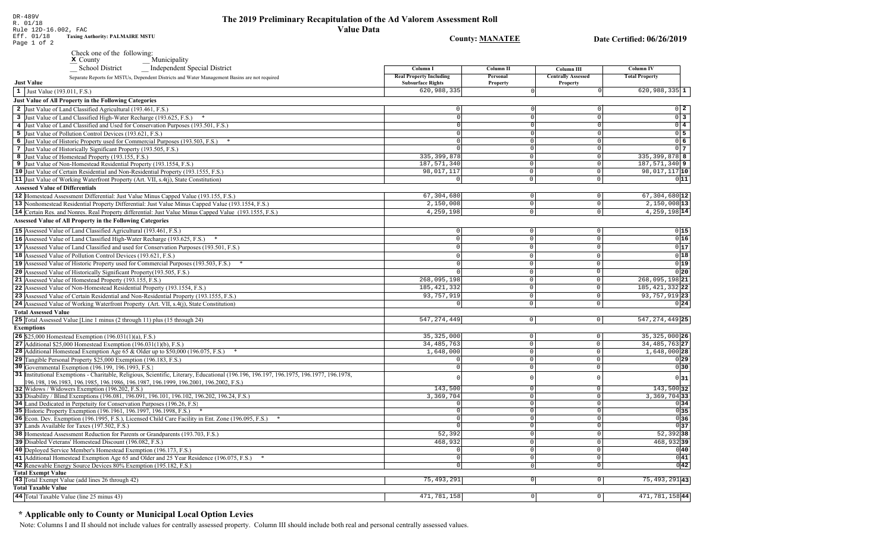# The 2019 Preliminary Recapitulation of the Ad Valorem Assessment Roll **Value Data**

**Taxing Authority: PALMAIRE MSTU** Check one of the following:<br> $\sum_{x}$  County

# **County: MANATEE**

Date Certified: 06/26/2019

| $\triangle$ county<br>$\equiv$ wrumcipanty                                                                                                                                                                                      |                                                            |                               |                                       |                                   |
|---------------------------------------------------------------------------------------------------------------------------------------------------------------------------------------------------------------------------------|------------------------------------------------------------|-------------------------------|---------------------------------------|-----------------------------------|
| <b>School District</b><br><b>Independent Special District</b>                                                                                                                                                                   | Column I                                                   | <b>Column II</b>              | Column III                            | <b>Column IV</b>                  |
| Separate Reports for MSTUs, Dependent Districts and Water Management Basins are not required<br><b>Just Value</b>                                                                                                               | <b>Real Property Including</b><br><b>Subsurface Rights</b> | Personal<br>Property          | <b>Centrally Assessed</b><br>Property | <b>Total Property</b>             |
| 1 Just Value (193.011, F.S.)                                                                                                                                                                                                    | 620,988,335                                                |                               |                                       | $620,988,335$ 1                   |
| <b>Just Value of All Property in the Following Categories</b>                                                                                                                                                                   |                                                            |                               |                                       |                                   |
| 2 Just Value of Land Classified Agricultural (193.461, F.S.)                                                                                                                                                                    | $\Omega$                                                   |                               |                                       | $0\quad 2$                        |
|                                                                                                                                                                                                                                 | $\Omega$                                                   |                               | $\Omega$                              | $\overline{0}$ 3                  |
| 3 Just Value of Land Classified High-Water Recharge (193.625, F.S.)                                                                                                                                                             | $\Omega$                                                   | <sup>0</sup>                  | $\Omega$                              | $0\overline{4}$                   |
| 4 Just Value of Land Classified and Used for Conservation Purposes (193.501, F.S.)                                                                                                                                              | $\Omega$                                                   |                               |                                       | $0\overline{5}$                   |
| 5 Just Value of Pollution Control Devices (193.621, F.S.)                                                                                                                                                                       | $\Omega$                                                   | $\cap$                        | $\Omega$                              | 06                                |
| 6 Just Value of Historic Property used for Commercial Purposes (193.503, F.S.) *                                                                                                                                                |                                                            | 0                             | $\Omega$                              | 0 <sub>7</sub>                    |
| 7 Just Value of Historically Significant Property (193.505, F.S.)                                                                                                                                                               | 335, 399, 878                                              | $\Omega$                      | $\Omega$                              | 335, 399, 878 8                   |
| 8 Just Value of Homestead Property (193.155, F.S.)<br>9 Just Value of Non-Homestead Residential Property (193.1554, F.S.)                                                                                                       | 187,571,340                                                | $\circ$                       | 0                                     | 187,571,340 9                     |
| 10 Just Value of Certain Residential and Non-Residential Property (193.1555, F.S.)                                                                                                                                              | 98,017,117                                                 | $\Omega$                      | $\mathsf{O}\xspace$                   | $98,017,117$  10                  |
| 11 Just Value of Working Waterfront Property (Art. VII, s.4(j), State Constitution)                                                                                                                                             | 0                                                          | $\circ$                       | 0                                     | 011                               |
| <b>Assessed Value of Differentials</b>                                                                                                                                                                                          |                                                            |                               |                                       |                                   |
|                                                                                                                                                                                                                                 |                                                            |                               |                                       |                                   |
| 12 Homestead Assessment Differential: Just Value Minus Capped Value (193.155, F.S.)                                                                                                                                             | 67,304,680<br>2,150,008                                    | $\mathbf 0$<br>$\overline{0}$ | $\overline{0}$<br>$\overline{0}$      | $67,304,680$ 12<br>$2,150,008$ 13 |
| 13 Nonhomestead Residential Property Differential: Just Value Minus Capped Value (193.1554, F.S.)                                                                                                                               |                                                            |                               |                                       |                                   |
| 14 Certain Res. and Nonres. Real Property differential: Just Value Minus Capped Value (193.1555, F.S.)                                                                                                                          | 4,259,198                                                  | $\overline{0}$                | $\mathbf{0}$                          | 4, 259, 198 14                    |
| <b>Assessed Value of All Property in the Following Categories</b>                                                                                                                                                               |                                                            |                               |                                       |                                   |
| 15 Assessed Value of Land Classified Agricultural (193.461, F.S.)                                                                                                                                                               | $\Omega$                                                   | $\mathbf 0$                   | $\mathsf{O}\xspace$                   | 0 15                              |
| 16 Assessed Value of Land Classified High-Water Recharge (193.625, F.S.)                                                                                                                                                        | $\circ$                                                    | $\mathbf{0}$                  | $\Omega$                              | 0 16                              |
| 17 Assessed Value of Land Classified and used for Conservation Purposes (193.501, F.S.)                                                                                                                                         | $\cap$                                                     | $\Omega$                      | $\Omega$                              | 0 17                              |
| 18 Assessed Value of Pollution Control Devices (193.621, F.S.)                                                                                                                                                                  | $\Omega$                                                   | $\Omega$                      | $\mathbb O$                           | 0 18                              |
| 19 Assessed Value of Historic Property used for Commercial Purposes (193.503, F.S.) *                                                                                                                                           | $\Omega$                                                   | $\mathbf{0}$                  | $\Omega$                              | 0 19                              |
| 20 Assessed Value of Historically Significant Property (193.505, F.S.)                                                                                                                                                          |                                                            | $\Omega$                      | $\mathbf 0$                           | 0 20                              |
| 21 Assessed Value of Homestead Property (193.155, F.S.)                                                                                                                                                                         | 268,095,198                                                | $\Omega$                      | $\mathsf 0$                           | 268,095,198 21                    |
| 22 Assessed Value of Non-Homestead Residential Property (193.1554, F.S.)                                                                                                                                                        | 185, 421, 332                                              | $\Omega$                      | $\overline{0}$                        | 185, 421, 332 22                  |
| 23 Assessed Value of Certain Residential and Non-Residential Property (193.1555, F.S.)                                                                                                                                          | 93,757,919                                                 | $\mathbb O$                   | $\mathbb O$                           | 93, 757, 919 23                   |
| 24 Assessed Value of Working Waterfront Property (Art. VII, s.4(j), State Constitution)                                                                                                                                         |                                                            | $\mathsf 0$                   | $\mathsf 0$                           | 0 24                              |
|                                                                                                                                                                                                                                 |                                                            |                               |                                       |                                   |
| <b>Total Assessed Value</b>                                                                                                                                                                                                     |                                                            |                               |                                       |                                   |
| 25 Total Assessed Value [Line 1 minus (2 through 11) plus (15 through 24)                                                                                                                                                       | 547, 274, 449                                              | 0                             | 0                                     | 547, 274, 449 25                  |
| <b>Exemptions</b>                                                                                                                                                                                                               |                                                            |                               |                                       |                                   |
| <b>26</b> \$25,000 Homestead Exemption $(196.031(1)(a), F.S.)$                                                                                                                                                                  | 35, 325, 000                                               | $\Omega$                      | $\circ$                               | 35,325,000 26                     |
| 27 Additional \$25,000 Homestead Exemption $(196.031(1)(b), F.S.)$                                                                                                                                                              | 34, 485, 763                                               | $\overline{0}$                | $\mathsf 0$                           | 34, 485, 763 27                   |
| <b>28</b> Additional Homestead Exemption Age 65 & Older up to \$50,000 (196.075, F.S.)                                                                                                                                          | 1,648,000                                                  | $\overline{0}$                | $\mathsf 0$                           | $1,648,000$ 28                    |
| 29 Tangible Personal Property \$25,000 Exemption (196.183, F.S.)                                                                                                                                                                |                                                            | $\Omega$                      | $\circ$                               | 0 29                              |
| 30 Governmental Exemption (196.199, 196.1993, F.S.)                                                                                                                                                                             |                                                            | $\cap$                        | $\circ$                               | 0 30                              |
| 31 Institutional Exemptions - Charitable, Religious, Scientific, Literary, Educational (196.196, 196.197, 196.1975, 196.1977, 196.1978,<br>196.198, 196.1983, 196.1985, 196.1986, 196.1987, 196.1999, 196.2001, 196.2002, F.S.) |                                                            |                               | $\mathbb O$                           | 0 31                              |
| 32 Widows / Widowers Exemption (196.202, F.S.)                                                                                                                                                                                  | 143,500                                                    | $\Omega$                      | $\mathbb O$                           | $143,500$ 32                      |
| 33 Disability / Blind Exemptions (196.081, 196.091, 196.101, 196.102, 196.202, 196.24, F.S.)                                                                                                                                    | 3,369,704                                                  | $\overline{0}$                | $\mathsf 0$                           | $3,369,704$ 33                    |
| 34 Land Dedicated in Perpetuity for Conservation Purposes (196.26, F.S)                                                                                                                                                         |                                                            | $\overline{0}$                | $\Omega$                              | 0 34                              |
| 35 Historic Property Exemption (196.1961, 196.1997, 196.1998, F.S.) *                                                                                                                                                           | $\circ$                                                    | $\overline{0}$                | 0                                     | 0 35                              |
| 36 Econ. Dev. Exemption (196.1995, F.S.), Licensed Child Care Facility in Ent. Zone (196.095, F.S.)                                                                                                                             | $\Omega$                                                   | $\Omega$                      | $\circ$                               | 036                               |
| 37 Lands Available for Taxes (197.502, F.S.)                                                                                                                                                                                    | $\cap$                                                     | $\Omega$                      | $\circ$                               | 0 37                              |
| 38 Homestead Assessment Reduction for Parents or Grandparents (193.703, F.S.)                                                                                                                                                   | 52,392                                                     | 0                             | $\mathbb O$                           | $52,392$ 38                       |
| 39 Disabled Veterans' Homestead Discount (196.082, F.S.)                                                                                                                                                                        | 468,932                                                    | $\Omega$                      | $\Omega$                              | 468,93239                         |
| 40 Deployed Service Member's Homestead Exemption (196.173, F.S.)                                                                                                                                                                |                                                            | $\Omega$                      | $\mathsf{O}\xspace$                   | 0 40                              |
| 41 Additional Homestead Exemption Age 65 and Older and 25 Year Residence (196.075, F.S.)                                                                                                                                        | $\overline{0}$                                             | $\overline{0}$                | $\overline{0}$                        | 0 41                              |
| 42 Renewable Energy Source Devices 80% Exemption (195.182, F.S.)                                                                                                                                                                |                                                            | $\Omega$                      | 0 <sup>1</sup>                        | $ 0 $ 42                          |
| <b>Total Exempt Value</b>                                                                                                                                                                                                       |                                                            |                               |                                       |                                   |
| 43 Total Exempt Value (add lines 26 through 42)                                                                                                                                                                                 | 75, 493, 291                                               | 0                             | $\circ$                               | $75,493,291$  43                  |
| <b>Total Taxable Value</b>                                                                                                                                                                                                      |                                                            |                               |                                       |                                   |
| 44 Total Taxable Value (line 25 minus 43)                                                                                                                                                                                       | 471,781,158                                                | $\circ$                       | $\overline{0}$                        | 471,781,15844                     |
|                                                                                                                                                                                                                                 |                                                            |                               |                                       |                                   |

# \* Applicable only to County or Municipal Local Option Levies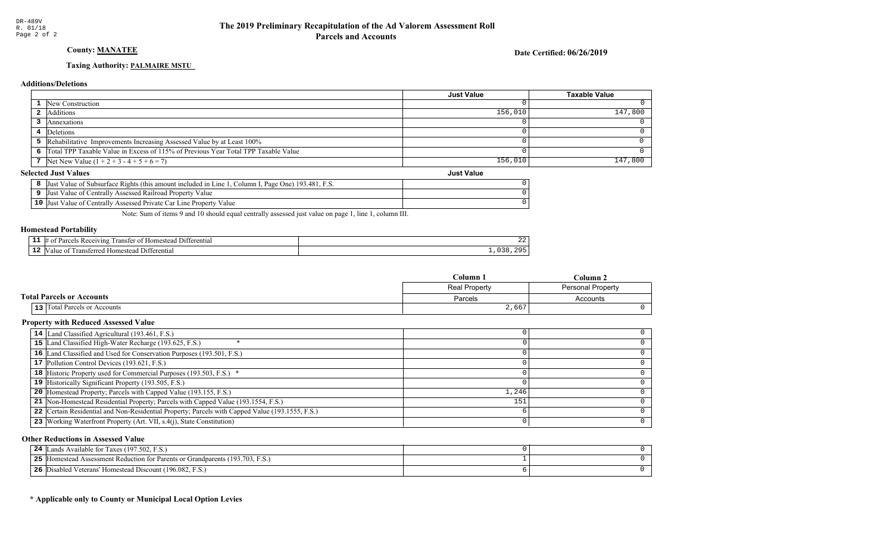# **County: MANATEE**

Date Certified: 06/26/2019

### Taxing Authority: PALMAIRE MSTU

#### **Additions/Deletions**

|                                                                                      | <b>Just Value</b> | <b>Taxable Value</b> |
|--------------------------------------------------------------------------------------|-------------------|----------------------|
| 1 New Construction                                                                   |                   | 0.                   |
| 2 Additions                                                                          | 156,010           | 147,800              |
| Annexations                                                                          |                   |                      |
| Deletions                                                                            |                   |                      |
| 5 Rehabilitative Improvements Increasing Assessed Value by at Least 100%             |                   |                      |
| 6 Total TPP Taxable Value in Excess of 115% of Previous Year Total TPP Taxable Value |                   |                      |
| 7   Net New Value $(1 + 2 + 3 - 4 + 5 + 6 = 7)$                                      | 156,010           | 147,800              |
| lected Just Values                                                                   | <b>Just Value</b> |                      |

#### **Selected Just Values**

| Just Value of Subsurface Rights (this amount included in Line 1, Column I, Page One) 193.481, F.S. |  |
|----------------------------------------------------------------------------------------------------|--|
| Just Value of Centrally Assessed Railroad Property Value                                           |  |
| 10 Just Value of Centrally Assessed Private Car Line Property Value                                |  |

Note: Sum of items 9 and 10 should equal centrally assessed just value on page 1, line 1, column III.

# **Homestead Portability**

| -- | /IN9<br>™enti…<br>ranste | -44 |
|----|--------------------------|-----|
| -- | entia.                   |     |

|                                     | Column 1             | Column 2                 |
|-------------------------------------|----------------------|--------------------------|
|                                     | <b>Real Property</b> | <b>Personal Property</b> |
| <b>Total Parcels or Accounts</b>    | Parcels              | Accounts                 |
| <b>13</b> Total Parcels or Accounts | 2,667                |                          |

# **Property with Reduced Assessed Value**

| 14 Land Classified Agricultural (193.461, F.S.)                                                 |       |  |
|-------------------------------------------------------------------------------------------------|-------|--|
| 15 Land Classified High-Water Recharge (193.625, F.S.)                                          |       |  |
| 16 Land Classified and Used for Conservation Purposes (193.501, F.S.)                           |       |  |
| 17 Pollution Control Devices (193.621, F.S.)                                                    |       |  |
| 18 Historic Property used for Commercial Purposes (193.503, F.S.) *                             |       |  |
| 19 Historically Significant Property (193.505, F.S.)                                            |       |  |
| <b>20</b> Homestead Property; Parcels with Capped Value (193.155, F.S.)                         | 1,246 |  |
| 21 Non-Homestead Residential Property; Parcels with Capped Value (193.1554, F.S.)               | 151   |  |
| 22 Certain Residential and Non-Residential Property; Parcels with Capped Value (193.1555, F.S.) |       |  |
| 23 Working Waterfront Property (Art. VII, s.4(j), State Constitution)                           |       |  |

#### **Other Reductions in Assessed Value**

| ands Available for Taxes (197.502, F.S.)<br>24                                       |  |
|--------------------------------------------------------------------------------------|--|
| 5 [Homestead Assessment Reduction for Parents or Grandparents (193.703, F.S.)<br>25. |  |
| Disabled Veterans' Homestead Discount (196.082, F.S.)<br>26                          |  |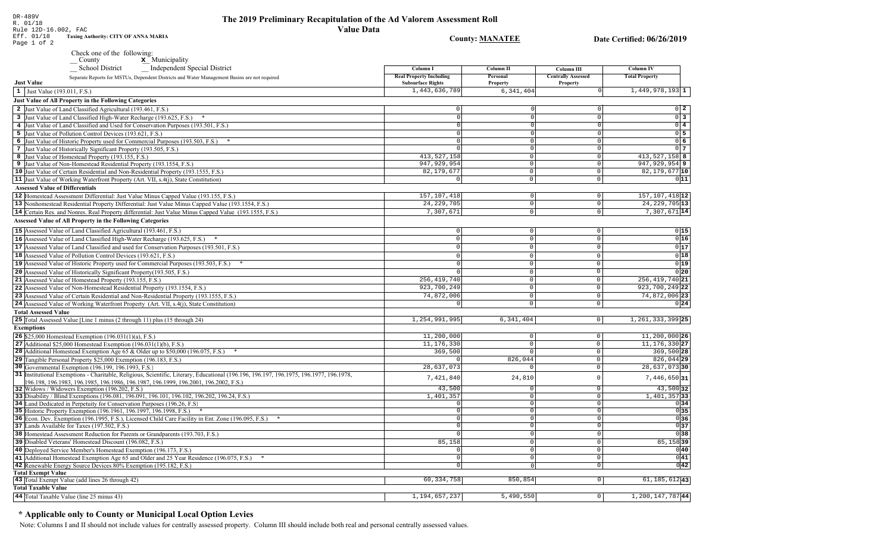DR-489V

R. 01/18

The 2019 Preliminary Recapitulation of the Ad Valorem Assessment Roll **Value Data** 

Rule 12D-16.002, FAC **Taxing Authority: CITY OF ANNA MARIA** Eff. 01/18 **County: MANATEE** Date Certified: 06/26/2019 Page 1 of 2 Check one of the following:  $\underline{\mathbf{x}}$  Municipality County School District Independent Special District Column I **Column II** Column III **Column IV Real Property Including** Personal **Centrally Assessed Total Property** Separate Reports for MSTUs, Dependent Districts and Water Management Basins are not required **Just Value Subsurface Rights** Property Property 1,443,636,789  $6,341,404$  $1,449,978,193$ <sup>1</sup>  $\vert 1 \vert$  Just Value (193.011, F.S.) **Just Value of All Property in the Following Categories** 2 Just Value of Land Classified Agricultural (193.461, F.S.)  $\Omega$  $0\quad 2$ 3 Just Value of Land Classified High-Water Recharge (193.625, F.S.) \*  $0\overline{3}$  $\Omega$  $\Omega$ 4 Just Value of Land Classified and Used for Conservation Purposes (193.501, F.S.)  $0\vert 4$ 5 Just Value of Pollution Control Devices (193.621, F.S.)  $0\overline{5}$  $\Omega$ 6 Just Value of Historic Property used for Commercial Purposes (193.503, F.S.) \*  $0\overline{6}$ 7 Just Value of Historically Significant Property (193.505, F.S.)  $0<sub>1</sub>$  $\Omega$ 413.527.158 413.527.158 8 8 Just Value of Homestead Property (193.155, F.S.)  $\Omega$ 947, 929, 954 9 947, 929, 954 9 Just Value of Non-Homestead Residential Property (193.1554, F.S.)  $\Omega$ 10 Just Value of Certain Residential and Non-Residential Property (193.1555, F.S.) 82, 179, 677  $\circ$ 82, 179, 677 10 11 Just Value of Working Waterfront Property (Art. VII, s.4(j), State Constitution)  $\overline{\circ}$  $011$  $\overline{0}$ **Assessed Value of Differentials** 157, 107, 418 157, 107, 418 12 12 Homestead Assessment Differential: Just Value Minus Capped Value (193.155, F.S.)  $\Omega$  $\Omega$ 24, 229, 705 24, 229, 705 13 13 Nonhomestead Residential Property Differential: Just Value Minus Capped Value (193.1554, F.S.)  $\mathbb O$  $\Omega$ 14 Certain Res. and Nonres. Real Property differential: Just Value Minus Capped Value (193.1555, F.S.) 7,307,671  $\overline{0}$ 7,307,671 14 **Assessed Value of All Property in the Following Categories** 15 Assessed Value of Land Classified Agricultural (193.461, F.S.)  $\Omega$  $\Omega$  $0|15$ 16 Assessed Value of Land Classified High-Water Recharge (193.625, F.S.)  $0|16$  $\mathbb O$  $\Omega$  $\Omega$  $0|17$ **17** Assessed Value of Land Classified and used for Conservation Purposes (193.501, F.S.)  $|0|$  $\mathbf{0}$  $\overline{0}$  $0|18$ 18 Assessed Value of Pollution Control Devices (193.621, F.S.)  $\Omega$  $\cap$  $\Omega$  $0|19|$ 19 Assessed Value of Historic Property used for Commercial Purposes (193.503, F.S.) \*  $\Omega$  $\Omega$ 20 Assessed Value of Historically Significant Property (193.505, F.S.)  $0|20|$  $\cap$  $\Omega$ 256, 419, 740 21 Assessed Value of Homestead Property (193.155, F.S.) 256, 419, 740 21  $\cap$ 22 Assessed Value of Non-Homestead Residential Property (193.1554, F.S.) 923,700,249  $\Omega$ 923, 700, 249 22 74,872,006 74,872,006 23 23 Assessed Value of Certain Residential and Non-Residential Property (193.1555, F.S.)  $\cap$  $\Omega$ 24 Assessed Value of Working Waterfront Property (Art. VII, s.4(j), State Constitution)  $0|24|$  $\mathsf{O}$  $\circ$ **Total Assessed Value** 25 Total Assessed Value [Line 1 minus (2 through 11) plus (15 through 24) 1,254,991,995  $6,341,404$  $|0|$ 1, 261, 333, 399 25 **Exemptions** 11,200,000 **26** \$25,000 Homestead Exemption  $(196.031(1)(a), F.S.)$  $\overline{0}$  $11,200,000$  26  $11, 176, 330$  27 27 Additional \$25,000 Homestead Exemption  $(196.031(1)(b), F.S.)$  $11, 176, 330$  $\circ$  $369,500$  $369,500$  28 28 Additional Homestead Exemption Age 65 & Older up to \$50,000 (196.075, F.S.) \*  $\overline{0}$  $\sqrt{ }$ 29 Tangible Personal Property \$25,000 Exemption (196.183, F.S.) 826,044  $\circ$ 826,044 29 30 Governmental Exemption (196.199, 196.1993, F.S.)  $28,637,073$  $\overline{\circ}$  $28.637.07330$ 31 Institutional Exemptions - Charitable, Religious, Scientific, Literary, Educational (196.196, 196.197, 196.1977, 196.1977, 196.1978, 7,421,840 24,810  $\circ$  $7,446,650$  31 196.198, 196.1983, 196.1985, 196.1986, 196.1987, 196.1999, 196.2001, 196.2002, F.S.) 43.500  $43,500$  32 32 Widows / Widowers Exemption (196.202, F.S.)  $\Omega$ 33 Disability / Blind Exemptions (196.081, 196.091, 196.101, 196.102, 196.202, 196.24, F.S.) 1,401,357  $\overline{0}$  $1,401,357$  33 34 Land Dedicated in Perpetuity for Conservation Purposes (196.26, F.S)  $\cap$  $\overline{\circ}$  $0|34|$  $0|35|$ 35 Historic Property Exemption (196.1961, 196.1997, 196.1998, F.S.) \*  $\Omega$  $\circ$  $\overline{0}$ 36 36 Econ. Dev. Exemption (196.1995, F.S.), Licensed Child Care Facility in Ent. Zone (196.095, F.S.) \*  $\sqrt{ }$  $\overline{0}$ 37 Lands Available for Taxes (197.502, F.S.)  $\overline{0}$  $0|37$ 38 Homestead Assessment Reduction for Parents or Grandparents (193.703, F.S.)  $\sqrt{38}$  $\overline{0}$  $85,158$ 39 Disabled Veterans' Homestead Discount (196.082, F.S.)  $85,158$  39  $\overline{0}$ 40 Deployed Service Member's Homestead Exemption (196.173, F.S.)  $\overline{0}$  $0|40|$  $\Omega$  $\overline{\circ}$  $0|41|$ 41 Additional Homestead Exemption Age 65 and Older and 25 Year Residence (196.075, F.S.) \*  $\Omega$  $\overline{0|42|}$ 42 Renewable Energy Source Devices 80% Exemption (195.182, F.S.)  $\overline{0}$  $\overline{0}$ **Total Exempt Value** 43 Total Exempt Value (add lines 26 through 42) 60, 334, 758 850,854  $\boxed{0}$  $61, 185, 612$  43 **Total Taxable Value** 

#### 44 Total Taxable Value (line 25 minus 43) 1, 194, 657, 237  $5,490,550$  $|0|$ 1,200,147,78744

### \* Applicable only to County or Municipal Local Option Levies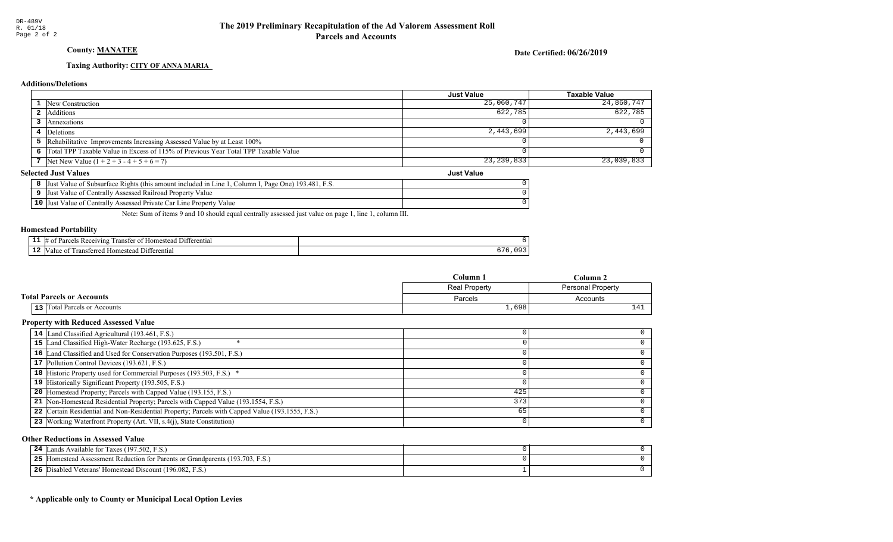# County: **MANATEE**

Date Certified: 06/26/2019

Just Value

#### Taxing Authority: CITY OF ANNA MARIA

#### **Additions/Deletions**

|                                                                                      | <b>Just Value</b> | <b>Taxable Value</b> |
|--------------------------------------------------------------------------------------|-------------------|----------------------|
| <b>1</b> New Construction                                                            | 25,060,747        | 24,860,747           |
| Additions                                                                            | 622,785           | 622,785              |
| Annexations                                                                          |                   |                      |
| 4 Deletions                                                                          | 2,443,699         | 2,443,699            |
| 5 Rehabilitative Improvements Increasing Assessed Value by at Least 100%             |                   |                      |
| 6 Total TPP Taxable Value in Excess of 115% of Previous Year Total TPP Taxable Value |                   |                      |
| 7 Net New Value $(1 + 2 + 3 - 4 + 5 + 6 = 7)$                                        | 23, 239, 833      | 23,039,833           |

#### **Selected Just Values**

|     | ., Page One) 193.481, F.S.<br>Column I.<br>Value of Subsurface Rights (this amount included in Line<br>Just |  |
|-----|-------------------------------------------------------------------------------------------------------------|--|
|     | Just Value of Centrally Assessed Railroad Property Value                                                    |  |
| 10' | Value of Centrally Assessed Private Car Line Property Value<br>Just                                         |  |

Note: Sum of items 9 and 10 should equal centrally assessed just value on page 1, line 1, column III.

#### Homestead Portability

| --<br>-- | $^7$ 111.2<br>ranste<br>entia.<br>nr |  |
|----------|--------------------------------------|--|
| --       | terentia                             |  |

|                                     | Column 1<br>Column 2 |          |
|-------------------------------------|----------------------|----------|
|                                     | <b>Real Property</b> |          |
| <b>Total Parcels or Accounts</b>    | Parcels              | Accounts |
| <b>13</b> Total Parcels or Accounts | 1,698                | 141      |

#### Property with Reduced Assessed Value

| 14 Land Classified Agricultural (193.461, F.S.)                                                 |     |  |
|-------------------------------------------------------------------------------------------------|-----|--|
| 15 Land Classified High-Water Recharge (193.625, F.S.)                                          |     |  |
| 16 Land Classified and Used for Conservation Purposes (193.501, F.S.)                           |     |  |
| 17 Pollution Control Devices (193.621, F.S.)                                                    |     |  |
| 18 Historic Property used for Commercial Purposes (193.503, F.S.) *                             |     |  |
| 19 Historically Significant Property (193.505, F.S.)                                            |     |  |
| <b>20</b> Homestead Property; Parcels with Capped Value (193.155, F.S.)                         | 425 |  |
| 21 Non-Homestead Residential Property; Parcels with Capped Value (193.1554, F.S.)               | 373 |  |
| 22 Certain Residential and Non-Residential Property; Parcels with Capped Value (193.1555, F.S.) | 65  |  |
| 23 Working Waterfront Property (Art. VII, s.4(j), State Constitution)                           |     |  |

#### Other Reductions in Assessed Value

| ands Available for Taxes (197.502, F.S.)<br>24                                       |  |
|--------------------------------------------------------------------------------------|--|
| 5 [Homestead Assessment Reduction for Parents or Grandparents (193.703, F.S.)<br>25. |  |
| Disabled Veterans' Homestead Discount (196.082, F.S.)<br>26                          |  |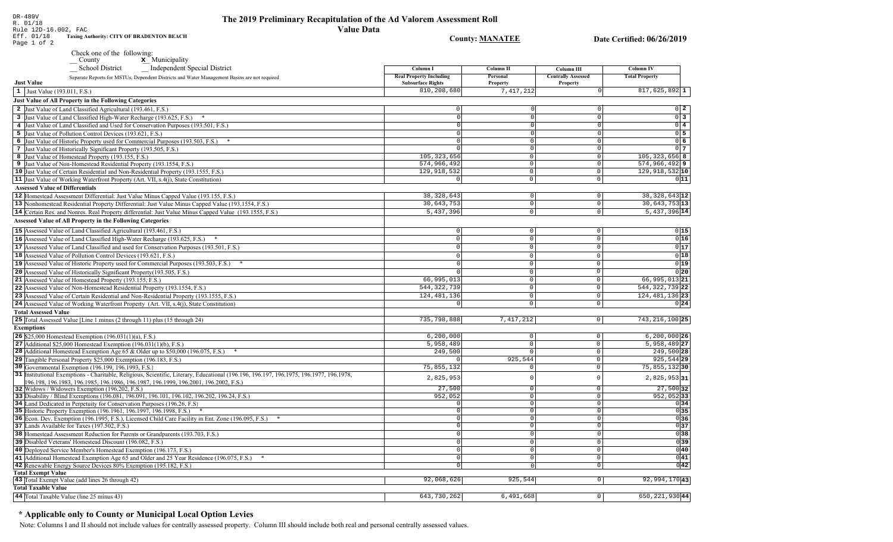ate Certified: 06/26/2019

Column<sub>IV</sub> **Total Property** 

 $817,625,892$ <sup>1</sup>

 $105, 323, 656$  8  $574,966,4929$  $129,918,532$  10

38, 328, 643 12  $30,643,753$ <sup>13</sup>  $5,437,396$ <sup>14</sup>

66,995,01321 544, 322, 739 22 124, 481, 136 23

743, 216, 100 25  $6, 200, 000$  26 5,958,489 27 249,500 28  $925,544$  29 75,855,13230  $2,825,95331$  $27,500$  32  $952,052$  33

 $0\quad 2$  $0\overline{3}$  $0\sqrt{4}$  $0\overline{5}$  $0\overline{6}$  $0<sub>7</sub>$ 

 $011$ 

 $\begin{array}{c|c} 0 & 15 \\ \hline 0 & 16 \end{array}$  $0|17$  $0|18$  $0|19|$  $\overline{0}$  20

 $0|24|$ 

 $\begin{array}{c|c}\n\hline\n0 & 34 \\
\hline\n0 & 35 \\
\hline\n0 & 36 \\
\hline\n0 & 37\n\end{array}$ 

 $0|38|$ 

 $\begin{array}{r} 0 & 39 \\ \hline 0 & 40 \\ \hline 0 & 41 \\ \hline 0 & 42 \end{array}$ 

| Rule 12D-16.002, FAC<br><b>Taxing Authority: CITY OF BRADENTON BEACH</b><br>Eff. 01/18                                                                                                                                                                                                                                                                                                                                                      | <b>Value Data</b>                                          |                                  |                                       |
|---------------------------------------------------------------------------------------------------------------------------------------------------------------------------------------------------------------------------------------------------------------------------------------------------------------------------------------------------------------------------------------------------------------------------------------------|------------------------------------------------------------|----------------------------------|---------------------------------------|
| Page 1 of 2                                                                                                                                                                                                                                                                                                                                                                                                                                 |                                                            | <b>County: MANATEE</b>           | Da                                    |
| Check one of the following:                                                                                                                                                                                                                                                                                                                                                                                                                 |                                                            |                                  |                                       |
| x_Municipality<br>$\sqrt{\frac{1}{1-\frac{1}{1-\frac{1}{1-\frac{1}{1-\frac{1}{1-\frac{1}{1-\frac{1}{1-\frac{1}{1-\frac{1}{1-\frac{1}{1-\frac{1}{1-\frac{1}{1-\frac{1}{1-\frac{1}{1-\frac{1}{1-\frac{1}{1-\frac{1}{1-\frac{1}{1-\frac{1}{1-\frac{1}{1-\frac{1}{1-\frac{1}{1-\frac{1}{1-\frac{1}{1-\frac{1}{1-\frac{1}{1-\frac{1}{1-\frac{1}{1-\frac{1}{1-\frac{1}{1-\frac{1}{1-\frac{1}{1-\frac{1}{1-\frac{1}{1-\frac{1}{1-\frac{1}{1-\frac$ |                                                            |                                  |                                       |
| <b>School District</b><br><b>Independent Special District</b>                                                                                                                                                                                                                                                                                                                                                                               | Column I                                                   | Column II                        | <b>Column III</b>                     |
| Separate Reports for MSTUs, Dependent Districts and Water Management Basins are not required<br><b>Just Value</b>                                                                                                                                                                                                                                                                                                                           | <b>Real Property Including</b><br><b>Subsurface Rights</b> | Personal<br>Property             | <b>Centrally Assessed</b><br>Property |
| 1 Just Value (193.011, F.S.)                                                                                                                                                                                                                                                                                                                                                                                                                | 810,208,680                                                | 7,417,212                        | $\mathbf 0$                           |
| <b>Just Value of All Property in the Following Categories</b>                                                                                                                                                                                                                                                                                                                                                                               |                                                            |                                  |                                       |
|                                                                                                                                                                                                                                                                                                                                                                                                                                             | 0                                                          | $\Omega$                         | $\mathsf 0$                           |
| 2 Just Value of Land Classified Agricultural (193.461, F.S.)                                                                                                                                                                                                                                                                                                                                                                                | 0                                                          | $\Omega$                         | $\overline{0}$                        |
| 3 Just Value of Land Classified High-Water Recharge (193.625, F.S.) *                                                                                                                                                                                                                                                                                                                                                                       | 0                                                          | $\Omega$                         | $\overline{\mathfrak{o}}$             |
| 4 Just Value of Land Classified and Used for Conservation Purposes (193.501, F.S.)<br>5 Just Value of Pollution Control Devices (193.621, F.S.)                                                                                                                                                                                                                                                                                             | $\Omega$                                                   | $\Omega$                         | $\overline{0}$                        |
| 6 Just Value of Historic Property used for Commercial Purposes (193.503, F.S.) *                                                                                                                                                                                                                                                                                                                                                            | 0                                                          | $\Omega$                         | $\mathbb O$                           |
| 7 Just Value of Historically Significant Property (193.505, F.S.)                                                                                                                                                                                                                                                                                                                                                                           | $\Omega$                                                   | $\Omega$                         | $\mathbf 0$                           |
| 8 Just Value of Homestead Property (193.155, F.S.)                                                                                                                                                                                                                                                                                                                                                                                          | 105, 323, 656                                              | $\mathsf 0$                      | $\mathsf 0$                           |
| 9 Just Value of Non-Homestead Residential Property (193.1554, F.S.)                                                                                                                                                                                                                                                                                                                                                                         | 574,966,492                                                | $\mathbb O$                      | $\mathsf 0$                           |
| 10 Just Value of Certain Residential and Non-Residential Property (193.1555, F.S.)                                                                                                                                                                                                                                                                                                                                                          | 129,918,532                                                | $\mathbb O$                      | $\mathsf{O}\xspace$                   |
| 11 Just Value of Working Waterfront Property (Art. VII, s.4(j), State Constitution)                                                                                                                                                                                                                                                                                                                                                         | $\mathbf 0$                                                | $\overline{0}$                   | $\overline{0}$                        |
| <b>Assessed Value of Differentials</b>                                                                                                                                                                                                                                                                                                                                                                                                      |                                                            |                                  |                                       |
| 12 Homestead Assessment Differential: Just Value Minus Capped Value (193.155, F.S.)                                                                                                                                                                                                                                                                                                                                                         | 38, 328, 643                                               | $\circ$                          | $\mathbb O$                           |
| 13 Nonhomestead Residential Property Differential: Just Value Minus Capped Value (193.1554, F.S.)                                                                                                                                                                                                                                                                                                                                           | 30,643,753                                                 | $\circ$                          | $\mathbb O$                           |
| 14 Certain Res. and Nonres. Real Property differential: Just Value Minus Capped Value (193.1555, F.S.)                                                                                                                                                                                                                                                                                                                                      | 5,437,396                                                  | $\circ$                          | $\mathbb O$                           |
| <b>Assessed Value of All Property in the Following Categories</b>                                                                                                                                                                                                                                                                                                                                                                           |                                                            |                                  |                                       |
| 15 Assessed Value of Land Classified Agricultural (193.461, F.S.)                                                                                                                                                                                                                                                                                                                                                                           | $\mathbf 0$                                                | $\mathbf 0$                      | $\mathbf{0}$                          |
| 16 Assessed Value of Land Classified High-Water Recharge (193.625, F.S.) *                                                                                                                                                                                                                                                                                                                                                                  | $\mathbf 0$                                                | $\mathbf{0}$                     | $\mathsf{O}\xspace$                   |
|                                                                                                                                                                                                                                                                                                                                                                                                                                             | $\mathbf 0$                                                | $\mathbf{0}$                     | $\mathsf{O}\xspace$                   |
| 17 Assessed Value of Land Classified and used for Conservation Purposes (193.501, F.S.)                                                                                                                                                                                                                                                                                                                                                     | $\mathbf 0$                                                | $\mathbf{0}$                     | $\mathbb O$                           |
| 18 Assessed Value of Pollution Control Devices (193.621, F.S.)<br>19 Assessed Value of Historic Property used for Commercial Purposes (193.503, F.S.)                                                                                                                                                                                                                                                                                       | $\Omega$                                                   | $\mathbf 0$                      | $\mathsf{O}\xspace$                   |
| 20 Assessed Value of Historically Significant Property (193.505, F.S.)                                                                                                                                                                                                                                                                                                                                                                      | $\Omega$                                                   | $\mathbb O$                      | $\overline{0}$                        |
| 21 Assessed Value of Homestead Property (193.155, F.S.)                                                                                                                                                                                                                                                                                                                                                                                     | 66,995,013                                                 | $\mathbb O$                      | $\mathsf{O}\xspace$                   |
| 22 Assessed Value of Non-Homestead Residential Property (193.1554, F.S.)                                                                                                                                                                                                                                                                                                                                                                    | 544, 322, 739                                              | $\mathbb O$                      | $\mathsf{O}\xspace$                   |
| 23 Assessed Value of Certain Residential and Non-Residential Property (193.1555, F.S.)                                                                                                                                                                                                                                                                                                                                                      | 124, 481, 136                                              | $\mathbb O$                      | $\mathbf 0$                           |
| 24 Assessed Value of Working Waterfront Property (Art. VII, s.4(j), State Constitution)                                                                                                                                                                                                                                                                                                                                                     | $\mathbf 0$                                                | $\mathbf 0$                      | $\mathsf{O}\xspace$                   |
| <b>Total Assessed Value</b>                                                                                                                                                                                                                                                                                                                                                                                                                 |                                                            |                                  |                                       |
| 25 Total Assessed Value [Line 1 minus (2 through 11) plus (15 through 24)                                                                                                                                                                                                                                                                                                                                                                   | 735,798,888                                                | 7,417,212                        | $\mathsf{O}\xspace$                   |
| <b>Exemptions</b>                                                                                                                                                                                                                                                                                                                                                                                                                           |                                                            |                                  |                                       |
| 26 \$25,000 Homestead Exemption (196.031(1)(a), F.S.)                                                                                                                                                                                                                                                                                                                                                                                       | 6, 200, 000                                                | $\mathbb O$                      | $\mathbf 0$                           |
| 27 Additional $$25,000$ Homestead Exemption (196.031(1)(b), F.S.)                                                                                                                                                                                                                                                                                                                                                                           | 5,958,489                                                  | $\mathbf{0}$                     | $\mathsf{O}\xspace$                   |
| 28 Additional Homestead Exemption Age 65 & Older up to \$50,000 (196.075, F.S.)                                                                                                                                                                                                                                                                                                                                                             | 249,500                                                    | $\Omega$                         | $\mathbf 0$                           |
| 29 Tangible Personal Property \$25,000 Exemption (196.183, F.S.)                                                                                                                                                                                                                                                                                                                                                                            |                                                            | 925,544                          | $\mathsf{O}$                          |
| 30 Governmental Exemption (196.199, 196.1993, F.S.)                                                                                                                                                                                                                                                                                                                                                                                         | 75,855,132                                                 | $\mathsf 0$                      | $\mathsf{O}\xspace$                   |
| 31 Institutional Exemptions - Charitable, Religious, Scientific, Literary, Educational (196.196.197, 196.1975, 196.1977, 196.1978,                                                                                                                                                                                                                                                                                                          | 2,825,953                                                  | $\mathbf 0$                      | $\mathsf 0$                           |
| 196.198, 196.1983, 196.1985, 196.1986, 196.1987, 196.1999, 196.2001, 196.2002, F.S.)                                                                                                                                                                                                                                                                                                                                                        |                                                            |                                  |                                       |
| 32 Widows / Widowers Exemption (196.202, F.S.)                                                                                                                                                                                                                                                                                                                                                                                              | 27,500                                                     | $\circ$                          | $\mathbf 0$                           |
| 33 Disability / Blind Exemptions (196.081, 196.091, 196.101, 196.102, 196.202, 196.24, F.S.)                                                                                                                                                                                                                                                                                                                                                | 952,052                                                    | $\circ$                          | $\mathsf{O}\xspace$                   |
| 34 Land Dedicated in Perpetuity for Conservation Purposes (196.26, F.S.)                                                                                                                                                                                                                                                                                                                                                                    | $\mathbf 0$                                                | 0                                | $\mathbf{0}$                          |
| 35 Historic Property Exemption (196.1961, 196.1997, 196.1998, F.S.) *                                                                                                                                                                                                                                                                                                                                                                       | $\overline{0}$                                             | $\overline{0}$<br>$\overline{0}$ | $\mathsf 0$                           |
| 36 Econ. Dev. Exemption (196.1995, F.S.), Licensed Child Care Facility in Ent. Zone (196.095, F.S.)                                                                                                                                                                                                                                                                                                                                         | $\overline{0}$<br>$\overline{0}$                           | $\overline{0}$                   | $\mathsf 0$<br>$\overline{0}$         |
| 37 Lands Available for Taxes (197.502, F.S.)                                                                                                                                                                                                                                                                                                                                                                                                | $\Omega$                                                   | $\overline{0}$                   | $\overline{0}$                        |
| 38 Homestead Assessment Reduction for Parents or Grandparents (193.703, F.S.)<br>39 Disabled Veterans' Homestead Discount (196.082, F.S.)                                                                                                                                                                                                                                                                                                   | $\Omega$                                                   | $\circ$                          | $\mathbb O$                           |
|                                                                                                                                                                                                                                                                                                                                                                                                                                             | $\overline{0}$                                             | $\overline{0}$                   | $\mathsf{O}\xspace$                   |
| 40 Deployed Service Member's Homestead Exemption (196.173, F.S.)<br>41 Additional Homestead Exemption Age 65 and Older and 25 Year Residence (196.075, F.S.)<br>$\ast$                                                                                                                                                                                                                                                                      | $\overline{0}$                                             | $\circ$                          | $\mathbf 0$                           |
| 42 Renewable Energy Source Devices 80% Exemption (195.182, F.S.)                                                                                                                                                                                                                                                                                                                                                                            | $\overline{0}$                                             | 0                                | $\overline{0}$                        |
|                                                                                                                                                                                                                                                                                                                                                                                                                                             |                                                            |                                  |                                       |

**Total Exempt Value** 43 Total Exempt Value (add lines 26 through 42)  $925, 544$  $92,994,170$ <sup>43</sup> 92,068,626  $\boxed{0}$ **Total Taxable Value** 643,730,262  $6,491,668$  $650, 221, 930$ <sup>44</sup>  $\boxed{0}$ 44 Total Taxable Value (line 25 minus 43)

# \* Applicable only to County or Municipal Local Option Levies

DR-489V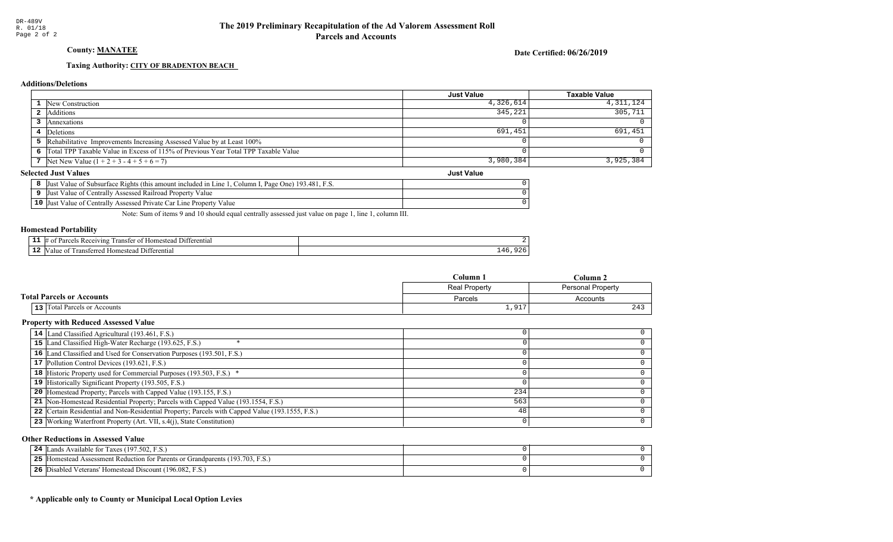# County: **MANATEE**

Date Certified: 06/26/2019

Just Value

#### Taxing Authority: CITY OF BRADENTON BEACH

#### **Additions/Deletions**

|                                                                                      | <b>Just Value</b> | <b>Taxable Value</b> |
|--------------------------------------------------------------------------------------|-------------------|----------------------|
| <b>1</b> New Construction                                                            | 4,326,614         | 4,311,124            |
| Additions                                                                            | 345,221           | 305,711              |
| Annexations                                                                          |                   |                      |
| 4 Deletions                                                                          | 691,451           | 691,451              |
| 5 Rehabilitative Improvements Increasing Assessed Value by at Least 100%             |                   |                      |
| 6 Total TPP Taxable Value in Excess of 115% of Previous Year Total TPP Taxable Value |                   |                      |
| 7 Net New Value $(1 + 2 + 3 - 4 + 5 + 6 = 7)$                                        | 3,980,384         | 3,925,384            |

#### **Selected Just Values**

|                 | Value of Subsurface Rights (this amount included in Line)<br>. Page One) 193.481. F.S.<br>Column I.<br>IJust |  |
|-----------------|--------------------------------------------------------------------------------------------------------------|--|
|                 | Value of Centrally Assessed Railroad Property Value<br>∣Just                                                 |  |
| 10 <sup>7</sup> | Value of Centrally Assessed Private Car Line Property Value<br> Just                                         |  |

Note: Sum of items 9 and 10 should equal centrally assessed just value on page 1, line 1, column III.

#### Homestead Portability

| --<br>-- | $^7$ 111.2<br>ranste<br>entia.<br>$^{\prime}$ |     |
|----------|-----------------------------------------------|-----|
| --       | terentia                                      | . . |

|                                     | Column 1<br>Column 2 |          |
|-------------------------------------|----------------------|----------|
|                                     | <b>Real Property</b> |          |
| <b>Total Parcels or Accounts</b>    | Parcels              | Accounts |
| <b>13</b> Total Parcels or Accounts | 1,917                | 243      |

#### Property with Reduced Assessed Value

| 14 Land Classified Agricultural (193.461, F.S.)                                                 |     |  |
|-------------------------------------------------------------------------------------------------|-----|--|
| 15 Land Classified High-Water Recharge (193.625, F.S.)                                          |     |  |
| 16 Land Classified and Used for Conservation Purposes (193.501, F.S.)                           |     |  |
| 17 Pollution Control Devices (193.621, F.S.)                                                    |     |  |
| 18 Historic Property used for Commercial Purposes (193.503, F.S.) *                             |     |  |
| 19 Historically Significant Property (193.505, F.S.)                                            |     |  |
| <b>20</b> Homestead Property; Parcels with Capped Value (193.155, F.S.)                         | 234 |  |
| 21 Non-Homestead Residential Property; Parcels with Capped Value (193.1554, F.S.)               | 563 |  |
| 22 Certain Residential and Non-Residential Property; Parcels with Capped Value (193.1555, F.S.) | 48  |  |
| 23 Working Waterfront Property (Art. VII, s.4(j), State Constitution)                           |     |  |
|                                                                                                 |     |  |

#### Other Reductions in Assessed Value

|    | <b>24</b> Lands Available for Taxes (197.502, F.S.)                        |  |
|----|----------------------------------------------------------------------------|--|
| 25 | Homestead Assessment Reduction for Parents or Grandparents (193.703, F.S.) |  |
| 26 | Disabled Veterans' Homestead Discount (196.082, F.S.)                      |  |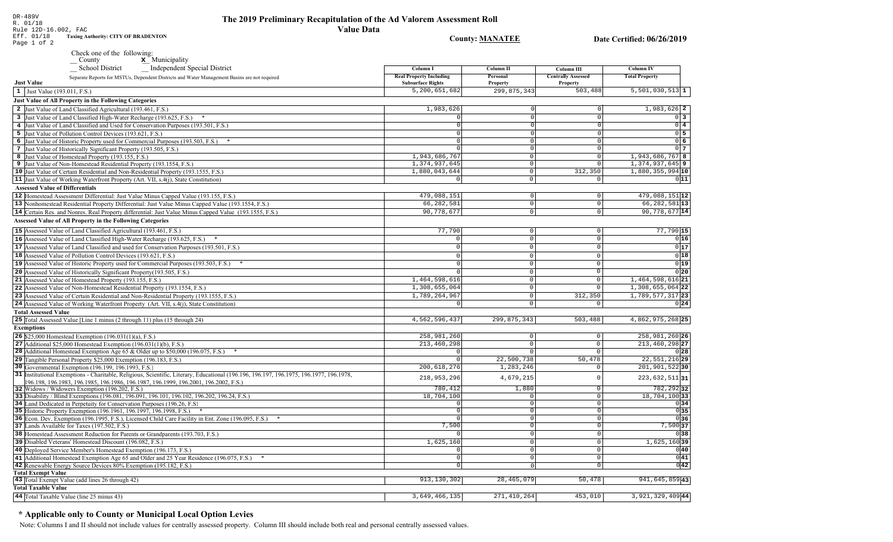# The 2019 Preliminary Recapitulation of the Ad Valorem Assessment Roll **Value Data**

**County: MANATEE** 

Date Certified: 06/26/2019

DR-489V<br>R. 01/18<br>Rule 12D-16.002, FAC<br>Eff. 01/18 Taxing Aud<br>Page 1 of 2 **Taxing Authority: CITY OF BRADENTON** 

Check one of the following:<br>  $\begin{array}{c}\n\blacksquare$  County  $\blacksquare$  Municipality

| <b>Independent Special District</b><br><b>School District</b>                                                                                                                                                      | Column I                                                   | Column II            | Column III                            | <b>Column IV</b>             |
|--------------------------------------------------------------------------------------------------------------------------------------------------------------------------------------------------------------------|------------------------------------------------------------|----------------------|---------------------------------------|------------------------------|
| Separate Reports for MSTUs, Dependent Districts and Water Management Basins are not required<br><b>Just Value</b>                                                                                                  | <b>Real Property Including</b><br><b>Subsurface Rights</b> | Personal<br>Property | <b>Centrally Assessed</b><br>Property | <b>Total Property</b>        |
| 1 Just Value (193.011, F.S.)                                                                                                                                                                                       | 5,200,651,682                                              | 299,875,343          | 503,488                               | $\overline{5,501,030,513}$ 1 |
| <b>Just Value of All Property in the Following Categories</b>                                                                                                                                                      |                                                            |                      |                                       |                              |
| 2 Just Value of Land Classified Agricultural (193.461, F.S.)                                                                                                                                                       | 1,983,626                                                  |                      |                                       | $1,983,626$ 2                |
| 3 Just Value of Land Classified High-Water Recharge (193.625, F.S.) *                                                                                                                                              | $\Omega$                                                   | -ol                  | $\Omega$                              | $\overline{0}$ 3             |
| 4 Just Value of Land Classified and Used for Conservation Purposes (193.501, F.S.)                                                                                                                                 | $\Omega$                                                   |                      | $\Omega$                              | $0\sqrt{4}$                  |
|                                                                                                                                                                                                                    | 0                                                          | $\Omega$             | $\Omega$                              | 0 <sub>5</sub>               |
| 5 Just Value of Pollution Control Devices (193.621, F.S.)                                                                                                                                                          | $\Omega$                                                   | $\circ$              | 0                                     | 06                           |
| 6 Just Value of Historic Property used for Commercial Purposes (193.503, F.S.) *                                                                                                                                   | $\Omega$                                                   |                      | $\Omega$                              | 0 <sub>7</sub>               |
| 7 Just Value of Historically Significant Property (193.505, F.S.)                                                                                                                                                  | 1,943,686,767                                              | $\overline{0}$       | $\Omega$                              | 1,943,686,767 8              |
| 8 Just Value of Homestead Property (193.155, F.S.)                                                                                                                                                                 | 1,374,937,645                                              | $\circ$              | $\overline{0}$                        | $1,374,937,645$ 9            |
| 9 Just Value of Non-Homestead Residential Property (193.1554, F.S.)                                                                                                                                                | 1,880,043,644                                              | $\overline{0}$       | 312,350                               | 1,880,355,994 10             |
| 10 Just Value of Certain Residential and Non-Residential Property (193.1555, F.S.)                                                                                                                                 | $\Omega$                                                   | $\Omega$             | $\Omega$                              | 011                          |
| 11 Just Value of Working Waterfront Property (Art. VII, s.4(j), State Constitution)                                                                                                                                |                                                            |                      |                                       |                              |
| <b>Assessed Value of Differentials</b>                                                                                                                                                                             |                                                            |                      |                                       |                              |
| 12 Homestead Assessment Differential: Just Value Minus Capped Value (193.155, F.S.)                                                                                                                                | 479,088,151                                                | 0                    | $\circ$                               | 479,088,151 12               |
| 13 Nonhomestead Residential Property Differential: Just Value Minus Capped Value (193.1554, F.S.)                                                                                                                  | 66, 282, 581                                               | 0                    | $\mathbb O$                           | 66, 282, 581 13              |
| 14 Certain Res. and Nonres. Real Property differential: Just Value Minus Capped Value (193.1555, F.S.)                                                                                                             | 90, 778, 677                                               | $\overline{0}$       | $\Omega$                              | 90,778,677 14                |
| <b>Assessed Value of All Property in the Following Categories</b>                                                                                                                                                  |                                                            |                      |                                       |                              |
| 15 Assessed Value of Land Classified Agricultural (193.461, F.S.)                                                                                                                                                  | 77,790                                                     | 0                    | $\Omega$                              | $77,790$ 15                  |
| 16 Assessed Value of Land Classified High-Water Recharge (193.625, F.S.) *                                                                                                                                         | $\Omega$                                                   | $\circ$              | $\circ$                               | 0 16                         |
| 17 Assessed Value of Land Classified and used for Conservation Purposes (193.501, F.S.)                                                                                                                            | $\Omega$                                                   | $\circ$              | $\Omega$                              | 0 17                         |
| 18 Assessed Value of Pollution Control Devices (193.621, F.S.)                                                                                                                                                     |                                                            | $\Omega$             | $\overline{0}$                        | 0 18                         |
|                                                                                                                                                                                                                    | $\Omega$                                                   | $\Omega$             | $\mathbf{0}$                          | 0 19                         |
| 19 Assessed Value of Historic Property used for Commercial Purposes (193.503, F.S.)                                                                                                                                |                                                            |                      | $\overline{0}$                        |                              |
| 20 Assessed Value of Historically Significant Property (193.505, F.S.)                                                                                                                                             | $\Omega$                                                   | $\Omega$             |                                       | 0 20                         |
| 21 Assessed Value of Homestead Property (193.155, F.S.)                                                                                                                                                            | 1,464,598,616                                              | 0                    | $\mathbb O$                           | $1,464,598,616$  21          |
| 22 Assessed Value of Non-Homestead Residential Property (193.1554, F.S.)                                                                                                                                           | 1,308,655,064                                              | $\Omega$             | $\overline{0}$                        | 1,308,655,064 22             |
| 23 Assessed Value of Certain Residential and Non-Residential Property (193.1555, F.S.)                                                                                                                             | 1,789,264,967                                              | 0                    | 312,350                               | $1,789,577,317$ 23           |
| 24 Assessed Value of Working Waterfront Property (Art. VII, s.4(j), State Constitution)                                                                                                                            | $\circ$                                                    | $\circ$              | $^{\circ}$                            | 0 24                         |
| <b>Total Assessed Value</b>                                                                                                                                                                                        |                                                            |                      |                                       |                              |
| 25 Total Assessed Value [Line 1 minus (2 through 11) plus (15 through 24)                                                                                                                                          | 4,562,596,437                                              | 299,875,343          | 503,488                               | 4,862,975,268 25             |
| <b>Exemptions</b>                                                                                                                                                                                                  |                                                            |                      |                                       |                              |
| <b>26</b> \$25,000 Homestead Exemption $(196.031(1)(a), F.S.)$                                                                                                                                                     | 258,981,260                                                | 0 <sup>1</sup>       | $\mathbf 0$                           | 258,981,260 26               |
| 27 Additional \$25,000 Homestead Exemption $(196.031(1)(b), F.S.)$                                                                                                                                                 | 213,460,298                                                | 0                    | $\mathbb O$                           | 213,460,298 27               |
| 28 Additional Homestead Exemption Age 65 & Older up to \$50,000 (196.075, F.S.)                                                                                                                                    | $\Omega$                                                   | $\Omega$             | $\mathbf{0}$                          | 0 28                         |
| 29 Tangible Personal Property \$25,000 Exemption (196.183, F.S.)                                                                                                                                                   | $\Omega$                                                   | 22,500,738           | 50,478                                | 22, 551, 216 29              |
| 30 Governmental Exemption (196.199, 196.1993, F.S.)                                                                                                                                                                | 200, 618, 276                                              | 1,283,246            | $\mathbf 0$                           | 201,901,52230                |
| 31 Institutional Exemptions - Charitable, Religious, Scientific, Literary, Educational (196.196.197, 196.1975, 196.1977, 196.1978,<br>196.198.196.1983.196.1985.196.1986.196.1987.196.1999.196.2001.196.2002.F.S.) | 218,953,296                                                | 4,679,215            | $\Omega$                              | $223,632,511$ 31             |
| 32 Widows / Widowers Exemption (196.202, F.S.)                                                                                                                                                                     | 780,412                                                    | 1,880                | $\mathbf 0$                           | 782, 292 32                  |
| 33 Disability / Blind Exemptions (196.081, 196.091, 196.101, 196.102, 196.202, 196.24, F.S.)                                                                                                                       | 18,704,100                                                 | $\circ$              | $\mathbf 0$                           | 18,704,100 33                |
| 34 Land Dedicated in Perpetuity for Conservation Purposes (196.26, F.S.)                                                                                                                                           | $\Omega$                                                   | 0                    | $\Omega$                              | 0 34                         |
| 35 Historic Property Exemption (196.1961, 196.1997, 196.1998, F.S.) *                                                                                                                                              | $\overline{0}$                                             | $\circ$              | $\mathbf 0$                           | 035                          |
| 36 Econ. Dev. Exemption (196.1995, F.S.), Licensed Child Care Facility in Ent. Zone (196.095, F.S.)                                                                                                                | $\Omega$                                                   | $\circ$              | $\Omega$                              | 036                          |
| 37 Lands Available for Taxes (197.502, F.S.)                                                                                                                                                                       | 7,500                                                      | 0                    | $\circ$                               | 7,500 37                     |
| 38 Homestead Assessment Reduction for Parents or Grandparents (193.703, F.S.)                                                                                                                                      |                                                            | 0                    | $\mathbf 0$                           | 0 38                         |
| 39 Disabled Veterans' Homestead Discount (196.082, F.S.)                                                                                                                                                           | 1,625,160                                                  | 0                    | $\Omega$                              | 1,625,160 39                 |
| 40 Deployed Service Member's Homestead Exemption (196.173, F.S.)                                                                                                                                                   | $\Omega$                                                   | 0                    | $\Omega$                              | 0 40                         |
| 41 Additional Homestead Exemption Age 65 and Older and 25 Year Residence (196.075, F.S.)                                                                                                                           | $\circ$                                                    | 0                    | $\circ$                               | $ 0 $ 41                     |
| 42 Renewable Energy Source Devices 80% Exemption (195.182, F.S.)                                                                                                                                                   | $\overline{0}$                                             | 0                    | $\Omega$                              | $ 0 $ 42                     |
| <b>Total Exempt Value</b>                                                                                                                                                                                          |                                                            |                      |                                       |                              |
| 43 Total Exempt Value (add lines 26 through 42)                                                                                                                                                                    | 913, 130, 302                                              | 28, 465, 079         | 50,478                                | 941,645,859 43               |
| <b>Total Taxable Value</b>                                                                                                                                                                                         |                                                            |                      |                                       |                              |
| 44 Total Taxable Value (line 25 minus 43)                                                                                                                                                                          | 3,649,466,135                                              | 271,410,264          | 453,010                               | 3,921,329,409 44             |

# \* Applicable only to County or Municipal Local Option Levies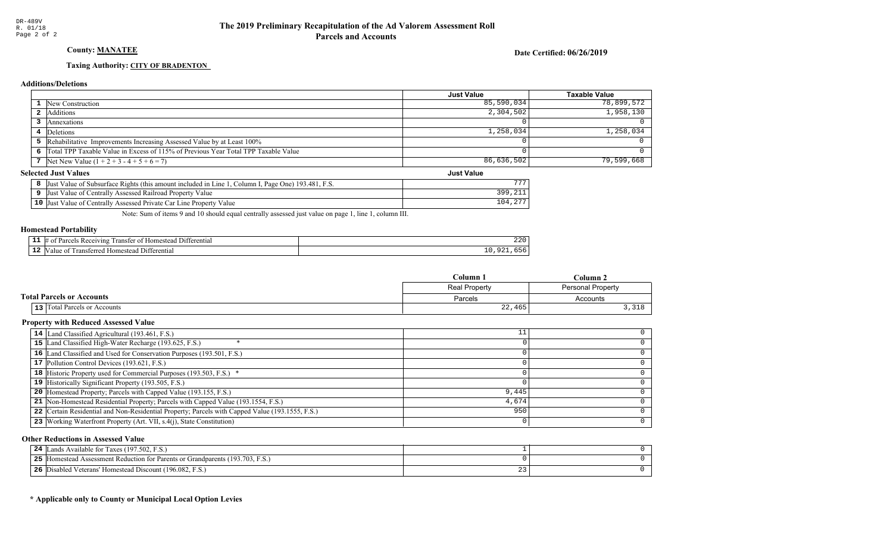# County: **MANATEE**

Date Certified: 06/26/2019

Just Value

#### Taxing Authority: CITY OF BRADENTON

#### **Additions/Deletions**

|                                                                                      | Just Value | Taxable Value |
|--------------------------------------------------------------------------------------|------------|---------------|
| 1 New Construction                                                                   | 85,590,034 | 78,899,572    |
| 2 Additions                                                                          | 2,304,502  | 1,958,130     |
| Annexations                                                                          |            |               |
| 4 Deletions                                                                          | 1,258,034  | 1,258,034     |
| 5 Rehabilitative Improvements Increasing Assessed Value by at Least 100%             |            |               |
| 6 Total TPP Taxable Value in Excess of 115% of Previous Year Total TPP Taxable Value |            |               |
| 7 Net New Value $(1 + 2 + 3 - 4 + 5 + 6 = 7)$                                        | 86,636,502 | 79,599,668    |

#### **Selected Just Values**

| Just Value of Subsurface Rights (this amount included in Line 1,<br><sup>1</sup> , Column I, Page One) 193.481, F.S. |       |
|----------------------------------------------------------------------------------------------------------------------|-------|
| Just Value of Centrally Assessed Railroad Property Value                                                             |       |
| 10 Just Value of Centrally Assessed Private Car Line Property Value                                                  | 104.2 |

Note: Sum of items 9 and 10 should equal centrally assessed just value on page 1, line 1, column III.

#### Homestead Portability

| - -<br>. . | rentia.<br>11 ،<br>vins<br>$\cdot$<br>ane<br>.me<br>ан | $\sim$ $\sim$ $\sim$<br>22 U |
|------------|--------------------------------------------------------|------------------------------|
|            | "<br>entia<br>,me<br>                                  | .                            |

|                                  | $C$ olumn     | Column.           |
|----------------------------------|---------------|-------------------|
|                                  | Real Property | Personal Property |
| <b>Total Parcels or Accounts</b> | Parcels       | Accounts          |
| 13 Total Parcels or Accounts     | 22,465        |                   |

#### Property with Reduced Assessed Value

| 14 Land Classified Agricultural (193.461, F.S.)                                                 | ᆠᆠ    |  |
|-------------------------------------------------------------------------------------------------|-------|--|
| 15 Land Classified High-Water Recharge (193.625, F.S.)                                          |       |  |
| 16 Land Classified and Used for Conservation Purposes (193.501, F.S.)                           |       |  |
| 17 Pollution Control Devices (193.621, F.S.)                                                    |       |  |
| 18 Historic Property used for Commercial Purposes (193.503, F.S.) *                             |       |  |
| 19 Historically Significant Property (193.505, F.S.)                                            |       |  |
| <b>20</b> Homestead Property; Parcels with Capped Value (193.155, F.S.)                         | 9,445 |  |
| 21 Non-Homestead Residential Property; Parcels with Capped Value (193.1554, F.S.)               | 4,674 |  |
| 22 Certain Residential and Non-Residential Property; Parcels with Capped Value (193.1555, F.S.) | 950   |  |
| 23 Working Waterfront Property (Art. VII, s.4(j), State Constitution)                           |       |  |

#### Other Reductions in Assessed Value

| ands Available for Taxes (197.502, F.S.)<br>24                                         |  |
|----------------------------------------------------------------------------------------|--|
| 5 [Homestead Assessment Reduction for Parents or Grandparents (193.703, F.S.)<br>-25 1 |  |
| Disabled Veterans' Homestead Discount (196.082, F.S.)<br>26                            |  |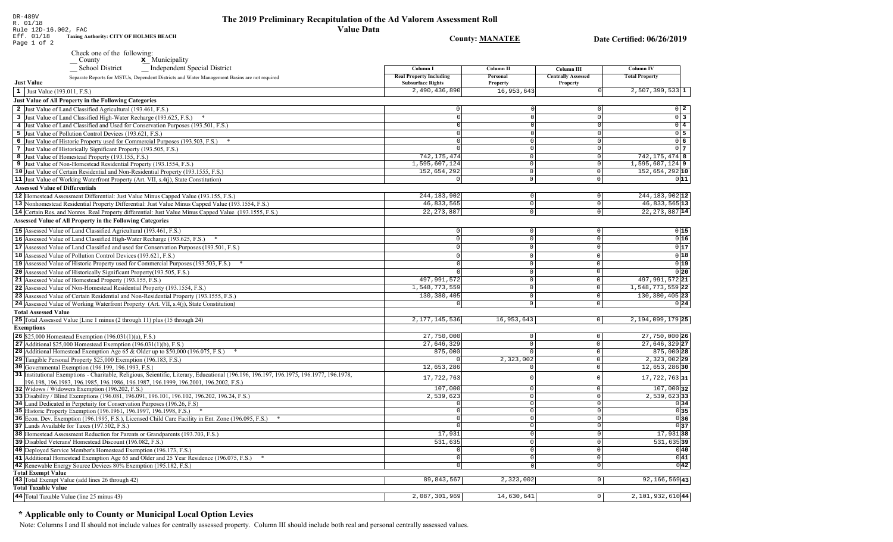**County: MANATEE** 

Date Certified: 06/26/2019

| $\cdots$    |                                               |
|-------------|-----------------------------------------------|
| Eff. 01/18  | <b>Taxing Authority: CITY OF HOLMES BEACH</b> |
| Page 1 of 2 |                                               |

Check one of the following:<br>
County  $\underline{\mathbf{x}}$  Municipality

| School District<br>Independent Special District<br>Separate Reports for MSTUs, Dependent Districts and Water Management Basins are not required | Column I<br><b>Real Property Including</b> | <b>Column II</b><br>Personal | Column III<br><b>Centrally Assessed</b> | <b>Column IV</b><br><b>Total Property</b> |
|-------------------------------------------------------------------------------------------------------------------------------------------------|--------------------------------------------|------------------------------|-----------------------------------------|-------------------------------------------|
| <b>Just Value</b>                                                                                                                               | <b>Subsurface Rights</b>                   | Property                     | Property                                |                                           |
| 1 Just Value (193.011, F.S.)                                                                                                                    | 2,490,436,890                              | 16,953,643                   |                                         | $2,507,390,533$ 1                         |
| Just Value of All Property in the Following Categories                                                                                          |                                            |                              |                                         |                                           |
| 2 Just Value of Land Classified Agricultural (193.461, F.S.)                                                                                    | $\circ$                                    |                              |                                         | $0\quad 2$                                |
| 3 Just Value of Land Classified High-Water Recharge (193.625, F.S.)                                                                             | $\Omega$                                   |                              | $\Omega$                                | $\overline{0}$ 3                          |
| 4 Just Value of Land Classified and Used for Conservation Purposes (193.501, F.S.)                                                              | $\Omega$                                   |                              | $\Omega$                                | $0\sqrt{4}$                               |
| 5 Just Value of Pollution Control Devices (193.621, F.S.)                                                                                       | 0                                          | $\Omega$                     | $\Omega$                                | $0\overline{5}$                           |
| 6 Just Value of Historic Property used for Commercial Purposes (193.503, F.S.) *                                                                |                                            | $\Omega$                     | $\Omega$                                | $0\overline{6}$                           |
| 7 Just Value of Historically Significant Property (193.505, F.S.)                                                                               | $\Omega$                                   | $\Omega$                     | $\circ$                                 | 0 <sub>7</sub>                            |
| 8 Just Value of Homestead Property (193.155, F.S.)                                                                                              | 742, 175, 474                              | $\Omega$                     | 0                                       | 742, 175, 474 8                           |
| 9 Just Value of Non-Homestead Residential Property (193.1554, F.S.)                                                                             | 1,595,607,124                              | $\overline{0}$               | 0                                       | $1,595,607,124$ 9                         |
| 10 Just Value of Certain Residential and Non-Residential Property (193.1555, F.S.)                                                              | 152,654,292                                | $\Omega$                     | $\mathsf 0$                             | 152,654,292 10                            |
| 11 Just Value of Working Waterfront Property (Art. VII, s.4(j), State Constitution)                                                             | $\overline{0}$                             | $\overline{0}$               | 0                                       | 011                                       |
| <b>Assessed Value of Differentials</b>                                                                                                          |                                            |                              |                                         |                                           |
| 12 Homestead Assessment Differential: Just Value Minus Capped Value (193.155, F.S.)                                                             | 244, 183, 902                              | $\mathsf 0$                  | $\mathbb O$                             | 244, 183, 902 12                          |
| 13 Nonhomestead Residential Property Differential: Just Value Minus Capped Value (193.1554, F.S.)                                               | 46,833,565                                 | 0                            | $\mathbb O$                             | 46, 833, 565 13                           |
| 14 Certain Res. and Nonres. Real Property differential: Just Value Minus Capped Value (193.1555, F.S.)                                          | 22, 273, 887                               | $\circ$                      | $\overline{0}$                          | 22, 273, 887 14                           |
| <b>Assessed Value of All Property in the Following Categories</b>                                                                               |                                            |                              |                                         |                                           |
|                                                                                                                                                 |                                            |                              |                                         |                                           |
| 15 Assessed Value of Land Classified Agricultural (193.461, F.S.)                                                                               | $\mathbf 0$                                | $\mathsf 0$                  | $\mathbf 0$                             | 0 15                                      |
| 16 Assessed Value of Land Classified High-Water Recharge (193.625, F.S.)                                                                        | $\circ$                                    | $\mathbf{0}$                 | $\mathbf 0$                             | 0 16                                      |
| 17 Assessed Value of Land Classified and used for Conservation Purposes (193.501, F.S.)                                                         | $\Omega$                                   | $\mathbf 0$                  | $\mathbf 0$                             | 0 17                                      |
| 18 Assessed Value of Pollution Control Devices (193.621, F.S.)                                                                                  | $\circ$                                    | $\mathbf{0}$                 | $\mathbb O$                             | 0 18                                      |
| 19 Assessed Value of Historic Property used for Commercial Purposes (193.503, F.S.) *                                                           | $\Omega$                                   | $\Omega$                     | $\mathsf 0$                             | 0 19                                      |
| 20 Assessed Value of Historically Significant Property (193.505, F.S.)                                                                          |                                            | $\mathbf 0$                  | $\overline{0}$                          | 0 20                                      |
| 21 Assessed Value of Homestead Property (193.155, F.S.)                                                                                         | 497,991,572                                | $\mathbf 0$                  | $\mathbb O$                             | 497, 991, 572 21                          |
| 22 Assessed Value of Non-Homestead Residential Property (193.1554, F.S.)                                                                        | 1,548,773,559                              | $\mathbf 0$                  | $\mathbb O$                             | $1,548,773,559$ 22                        |
| 23 Assessed Value of Certain Residential and Non-Residential Property (193.1555, F.S.)                                                          | 130,380,405                                | $\mathbf 0$                  | $\mathbf 0$                             | 130, 380, 405 23                          |
| 24 Assessed Value of Working Waterfront Property (Art. VII, s.4(j), State Constitution)                                                         | $\mathbf 0$                                | $\Omega$                     | $\mathbf 0$                             | 0 24                                      |
| <b>Total Assessed Value</b>                                                                                                                     |                                            |                              |                                         |                                           |
| 25 Total Assessed Value [Line 1 minus (2 through 11) plus (15 through 24)                                                                       | 2, 177, 145, 536                           | 16,953,643                   | $\circ$                                 | $2,194,099,179$ 25                        |
| <b>Exemptions</b>                                                                                                                               |                                            |                              |                                         |                                           |
| 26 \$25,000 Homestead Exemption (196.031(1)(a), F.S.)                                                                                           | 27,750,000                                 | 0 <sup>1</sup>               | $\mathsf 0$                             | 27,750,000 26                             |
| 27 Additional \$25,000 Homestead Exemption $(196.031(1)(b), F.S.)$                                                                              | 27,646,329                                 | $\circ$                      | $\mathbb O$                             | 27,646,329 27                             |
| <b>28</b> Additional Homestead Exemption Age 65 & Older up to \$50,000 (196.075, F.S.)                                                          | 875,000                                    | $\mathbf 0$                  | $\circ$                                 | 875,000 28                                |
| 29 Tangible Personal Property \$25,000 Exemption (196.183, F.S.)                                                                                |                                            | 2,323,002                    | $\mathsf 0$                             | $2,323,002$ 29                            |
| 30 Governmental Exemption (196.199, 196.1993, F.S.)                                                                                             | 12,653,286                                 | $\Omega$                     | $\mathbb O$                             | 12,653,286 30                             |
| 31 Institutional Exemptions - Charitable, Religious, Scientific, Literary, Educational (196.196.196.197, 196.1975, 196.1977, 196.1978,          | 17,722,763                                 | 0                            | $\mathbf 0$                             | $17,722,763$ 31                           |
| 196.198, 196.1983, 196.1985, 196.1986, 196.1987, 196.1999, 196.2001, 196.2002, F.S.)                                                            |                                            |                              |                                         |                                           |
| 32 Widows / Widowers Exemption (196.202, F.S.)                                                                                                  | 107,000                                    | 0 <sup>1</sup>               | $\mathbf 0$                             | 107,000 32                                |
| 33 Disability / Blind Exemptions (196.081, 196.091, 196.101, 196.102, 196.202, 196.24, F.S.)                                                    | 2,539,623                                  | $\circ$                      | $\mathbb O$                             | $2,539,623$ 33                            |
| 34 Land Dedicated in Perpetuity for Conservation Purposes (196.26, F.S.)                                                                        | $\circ$                                    | $\Omega$                     | $\mathbf 0$<br>$\Omega$                 | 0 34                                      |
| 35 Historic Property Exemption (196.1961, 196.1997, 196.1998, F.S.) *                                                                           | $\circ$                                    | $\Omega$                     |                                         | 0 35                                      |
| 36 Econ. Dev. Exemption (196.1995, F.S.), Licensed Child Care Facility in Ent. Zone (196.095, F.S.)                                             | $\mathbf 0$<br>$\Omega$                    | 0 <br>$\Omega$               | $\mathbf 0$<br>$\Omega$                 | 0 36 <br>$ 0 $ 37                         |
| 37 Lands Available for Taxes (197.502, F.S.)                                                                                                    | 17,931                                     | 0                            | $\overline{0}$                          |                                           |
| 38 Homestead Assessment Reduction for Parents or Grandparents (193.703, F.S.)                                                                   |                                            |                              |                                         | $17,931$ 38                               |
| 39 Disabled Veterans' Homestead Discount (196.082, F.S.)                                                                                        | 531,635                                    | 0                            | $\mathbb O$                             | $\overline{531,635}$ 39                   |
| 40 Deployed Service Member's Homestead Exemption (196.173, F.S.)                                                                                | $\circ$                                    | 0                            | $\mathbf 0$                             | 0 40                                      |
| 41 Additional Homestead Exemption Age 65 and Older and 25 Year Residence (196.075, F.S.)                                                        | $\circ$                                    | 0                            | $\mathbf 0$                             | 0 41                                      |
| 42 Renewable Energy Source Devices 80% Exemption (195.182, F.S.)<br><b>Total Exempt Value</b>                                                   | $\overline{0}$                             | $\Omega$                     | $\circ$                                 | 0 42                                      |
| 43 Total Exempt Value (add lines 26 through 42)                                                                                                 | 89, 843, 567                               | 2,323,002                    | $\circ$                                 | $92, 166, 569$ 43                         |
| <b>Total Taxable Value</b>                                                                                                                      |                                            |                              |                                         |                                           |
| 44 Total Taxable Value (line 25 minus 43)                                                                                                       | 2,087,301,969                              | 14,630,641                   | $\circ$                                 | 2,101,932,610 44                          |
|                                                                                                                                                 |                                            |                              |                                         |                                           |

# \* Applicable only to County or Municipal Local Option Levies

Note: Columns I and II should not include values for centrally assessed property. Column III should include both real and personal centrally assessed values.

DR-489V<br>R. 01/18<br>Rule 12D-16.002, FAC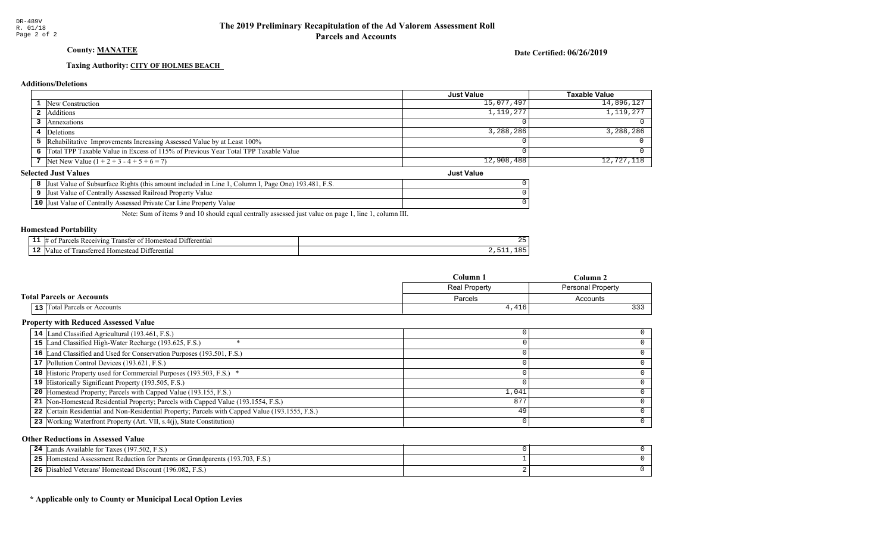# County: **MANATEE**

Date Certified: 06/26/2019

Just Value

#### Taxing Authority: CITY OF HOLMES BEACH

#### **Additions/Deletions**

|                                                                                      | Just Value | <b>Taxable Value</b> |
|--------------------------------------------------------------------------------------|------------|----------------------|
| 1 New Construction                                                                   | 15,077,497 | 14,896,127           |
| 2 Additions                                                                          | 1,119,277  | 1,119,277            |
| Annexations                                                                          |            |                      |
| 4 Deletions                                                                          | 3,288,286  | 3,288,286            |
| 5 Rehabilitative Improvements Increasing Assessed Value by at Least 100%             |            |                      |
| 6 Total TPP Taxable Value in Excess of 115% of Previous Year Total TPP Taxable Value |            |                      |
| 7 Net New Value $(1 + 2 + 3 - 4 + 5 + 6 = 7)$                                        | 12,908,488 | 12,727,118           |

#### **Selected Just Values**

|                 | . Page One) 193.481. F.S.<br>Value of Subsurface Rights (this amount included in Line<br>∵olumn l<br>IJust |  |
|-----------------|------------------------------------------------------------------------------------------------------------|--|
|                 | Just Value of Centrally Assessed Railroad Property Value                                                   |  |
| 10 <sup>7</sup> | Value of Centrally Assessed Private Car Line Property Value<br>IJust                                       |  |

Note: Sum of items 9 and 10 should equal centrally assessed just value on page 1, line 1, column III.

#### Homestead Portability

| . . | renti.<br>71n2<br>ranste<br>0 | <u>. .</u> |
|-----|-------------------------------|------------|
| --  | entia.                        | $\sim$     |
|     | ונ                            | -          |

| Column 1                            |               | Column 2                 |
|-------------------------------------|---------------|--------------------------|
|                                     | Real Property | <b>Personal Property</b> |
| <b>Total Parcels or Accounts</b>    | Parcels       | Accounts                 |
| <b>13</b> Total Parcels or Accounts | 4,416         | $\sim$ $\sim$ $\sim$     |

#### Property with Reduced Assessed Value

| 14 Land Classified Agricultural (193.461, F.S.)                                                 |       |  |
|-------------------------------------------------------------------------------------------------|-------|--|
| 15 Land Classified High-Water Recharge (193.625, F.S.)                                          |       |  |
| 16 Land Classified and Used for Conservation Purposes (193.501, F.S.)                           |       |  |
| 17 Pollution Control Devices (193.621, F.S.)                                                    |       |  |
| 18 Historic Property used for Commercial Purposes (193.503, F.S.) *                             |       |  |
| 19 Historically Significant Property (193.505, F.S.)                                            |       |  |
| <b>20</b> Homestead Property; Parcels with Capped Value (193.155, F.S.)                         | 1,041 |  |
| 21 Non-Homestead Residential Property; Parcels with Capped Value (193.1554, F.S.)               | 877   |  |
| 22 Certain Residential and Non-Residential Property; Parcels with Capped Value (193.1555, F.S.) | 49    |  |
| 23 Working Waterfront Property (Art. VII, s.4(j), State Constitution)                           |       |  |
|                                                                                                 |       |  |

#### Other Reductions in Assessed Value

| ands Available for Taxes (197.502, F.S.)<br>24                                       |  |
|--------------------------------------------------------------------------------------|--|
| 5 [Homestead Assessment Reduction for Parents or Grandparents (193.703, F.S.)<br>25. |  |
| Disabled Veterans' Homestead Discount (196.082, F.S.)<br>26                          |  |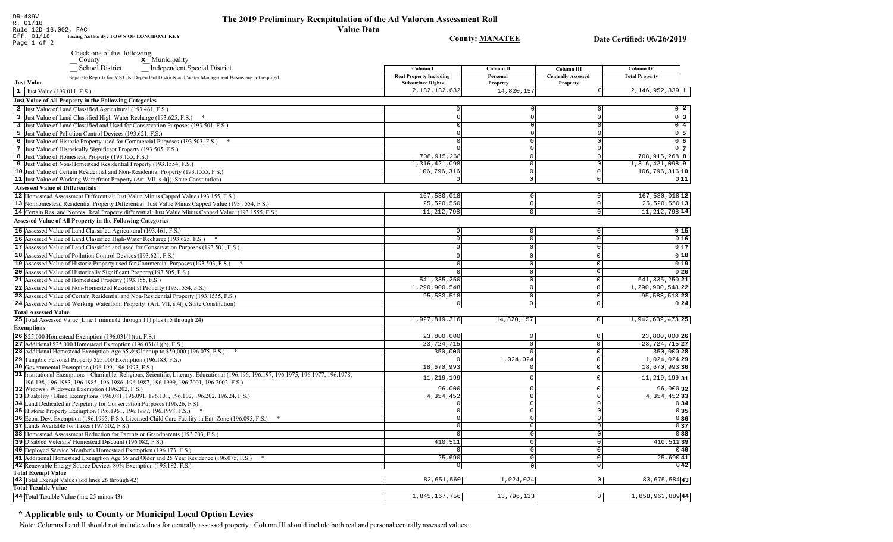DR-489V<br>R. 01/18<br>Rule 12D-16.002, FAC<br>Eff. 01/18 Taxing Aud<br>Page 1 of 2 Taxing Authority: TOWN OF LONGBOAT KEY

Check one of the following:<br>  $\begin{array}{c}\n\blacksquare$  County  $\blacksquare$  Municipality

| Independent Special District<br>_School District                                                                                                                                                                                | Column I                                                   | Column II            | Column III                            | Column IV                 |
|---------------------------------------------------------------------------------------------------------------------------------------------------------------------------------------------------------------------------------|------------------------------------------------------------|----------------------|---------------------------------------|---------------------------|
| Separate Reports for MSTUs, Dependent Districts and Water Management Basins are not required<br><b>Just Value</b>                                                                                                               | <b>Real Property Including</b><br><b>Subsurface Rights</b> | Personal<br>Property | <b>Centrally Assessed</b><br>Property | <b>Total Property</b>     |
| 1 Just Value (193.011, F.S.)                                                                                                                                                                                                    | 2, 132, 132, 682                                           | 14,820,157           |                                       | $2,146,952,839$ 1         |
| Just Value of All Property in the Following Categories                                                                                                                                                                          |                                                            |                      |                                       |                           |
| 2 Just Value of Land Classified Agricultural (193.461, F.S.)                                                                                                                                                                    |                                                            |                      |                                       | $0\vert 2$                |
| 3 Just Value of Land Classified High-Water Recharge (193.625, F.S.) *                                                                                                                                                           | $\Omega$                                                   | $\overline{0}$       | $\mathbf 0$                           | $\overline{0}$ 3          |
| 4 Just Value of Land Classified and Used for Conservation Purposes (193.501, F.S.)                                                                                                                                              | $\cap$                                                     | $\overline{0}$       | 0                                     | $0\sqrt{4}$               |
| 5 Just Value of Pollution Control Devices (193.621, F.S.)                                                                                                                                                                       | $\Omega$                                                   | $\Omega$             | 0                                     | $0\overline{5}$           |
| 6 Just Value of Historic Property used for Commercial Purposes (193.503, F.S.) *                                                                                                                                                |                                                            | $\Omega$             | $\circ$                               | $0\overline{6}$           |
| 7 Just Value of Historically Significant Property (193.505, F.S.)                                                                                                                                                               |                                                            | $\Omega$             | 0                                     | 0 <sub>7</sub>            |
| 8 Just Value of Homestead Property (193.155, F.S.)                                                                                                                                                                              | 708, 915, 268                                              | $\circ$              | 0                                     | 708, 915, 268 8           |
| 9 Just Value of Non-Homestead Residential Property (193.1554, F.S.)                                                                                                                                                             | 1,316,421,098                                              | $\overline{0}$       | 0                                     | $1,316,421,098$ 9         |
| 10 Just Value of Certain Residential and Non-Residential Property (193.1555, F.S.)                                                                                                                                              | 106,796,316                                                | $\circ$              | 0                                     | 106, 796, 316 10          |
| 11 Just Value of Working Waterfront Property (Art. VII, s.4(j), State Constitution)                                                                                                                                             | $\circ$                                                    | $\circ$              | 0                                     | 011                       |
| <b>Assessed Value of Differentials</b>                                                                                                                                                                                          |                                                            |                      |                                       |                           |
|                                                                                                                                                                                                                                 | 167,580,018                                                | 0                    | $\overline{0}$                        | $167,580,018$  12         |
| 12 Homestead Assessment Differential: Just Value Minus Capped Value (193.155, F.S.)                                                                                                                                             | 25,520,550                                                 | $\circ$              | $\circ$                               |                           |
| 13 Nonhomestead Residential Property Differential: Just Value Minus Capped Value (193.1554, F.S.)                                                                                                                               |                                                            |                      |                                       | $25,520,550$ 13           |
| 14 Certain Res. and Nonres. Real Property differential: Just Value Minus Capped Value (193.1555, F.S.)                                                                                                                          | 11, 212, 798                                               | $\circ$              | $\circ$                               | 11, 212, 798 14           |
| <b>Assessed Value of All Property in the Following Categories</b>                                                                                                                                                               |                                                            |                      |                                       |                           |
| 15 Assessed Value of Land Classified Agricultural (193.461, F.S.)                                                                                                                                                               | $\mathbf{0}$                                               | $\circ$              | $\mathbf 0$                           | 0 15                      |
| 16 Assessed Value of Land Classified High-Water Recharge (193.625, F.S.)<br>$\ast$                                                                                                                                              | $\Omega$                                                   | $\circ$              | $\mathbf 0$                           | 0 16                      |
| 17 Assessed Value of Land Classified and used for Conservation Purposes (193.501, F.S.)                                                                                                                                         | $\circ$                                                    | 0                    | $\circ$                               | 0 17                      |
| 18 Assessed Value of Pollution Control Devices (193.621, F.S.)                                                                                                                                                                  | $\Omega$                                                   | $\circ$              | $\Omega$                              | 0 18                      |
| 19 Assessed Value of Historic Property used for Commercial Purposes (193.503, F.S.)                                                                                                                                             | $\Omega$                                                   | 0                    | $\mathsf{O}\xspace$                   | 0 19                      |
| 20 Assessed Value of Historically Significant Property (193.505, F.S.)                                                                                                                                                          |                                                            | $\circ$              | $\mathsf{O}$                          | 0 20                      |
| 21 Assessed Value of Homestead Property (193.155, F.S.)                                                                                                                                                                         | 541, 335, 250                                              | $\overline{0}$       | $\mathsf{O}\xspace$                   | $541, 335, 250$ 21        |
|                                                                                                                                                                                                                                 | 1,290,900,548                                              | $\overline{0}$       | $\circ$                               | $1, 290, 900, 548$ 22     |
| 22 Assessed Value of Non-Homestead Residential Property (193.1554, F.S.)                                                                                                                                                        |                                                            |                      |                                       |                           |
| 23 Assessed Value of Certain Residential and Non-Residential Property (193.1555, F.S.)                                                                                                                                          | 95, 583, 518                                               | 0                    | $\mathbf{0}$                          | $95,583,518$ 23           |
| 24 Assessed Value of Working Waterfront Property (Art. VII, s.4(j), State Constitution)                                                                                                                                         | 0                                                          | 0                    | $\circ$                               | 0 24                      |
| <b>Total Assessed Value</b>                                                                                                                                                                                                     |                                                            |                      |                                       |                           |
| 25 Total Assessed Value [Line 1 minus (2 through 11) plus (15 through 24)                                                                                                                                                       | 1,927,819,316                                              | 14,820,157           | $\circ$                               | 1,942,639,473 25          |
| <b>Exemptions</b>                                                                                                                                                                                                               |                                                            |                      |                                       |                           |
| <b>26</b> \$25,000 Homestead Exemption $(196.031(1)(a), F.S.)$                                                                                                                                                                  | 23,800,000                                                 | 0                    | 0                                     | 23,800,000 26             |
| 27 Additional \$25,000 Homestead Exemption $(196.031(1)(b), F.S.)$                                                                                                                                                              | 23, 724, 715                                               | $\overline{0}$       | $\overline{0}$                        | 23, 724, 715 27           |
| <b>28</b> Additional Homestead Exemption Age 65 & Older up to \$50,000 (196.075, F.S.)                                                                                                                                          | 350,000                                                    | $\circ$              | $\mathbf 0$                           | 350,000 28                |
| 29 Tangible Personal Property \$25,000 Exemption (196.183, F.S.)                                                                                                                                                                | $\Omega$                                                   | 1,024,024            | $\mathbf 0$                           | $1,024,024$ <sub>29</sub> |
| 30 Governmental Exemption (196.199, 196.1993, F.S.)                                                                                                                                                                             | 18,670,993                                                 |                      | $\mathbf{0}$                          | 18,670,993 30             |
| 31 Institutional Exemptions - Charitable, Religious, Scientific, Literary, Educational (196.196.197.196.1975, 196.1977, 196.1978, 1978,<br>196.198, 196.1983, 196.1985, 196.1986, 196.1987, 196.1999, 196.2001, 196.2002, F.S.) | 11, 219, 199                                               | $\Omega$             | $\mathbf 0$                           | $11, 219, 199$  31        |
| 32 Widows / Widowers Exemption (196.202, F.S.)                                                                                                                                                                                  | 96,000                                                     | $\circ$              | $\circ$                               | $96,000$ 32               |
| 33 Disability / Blind Exemptions (196.081, 196.091, 196.101, 196.102, 196.202, 196.24, F.S.)                                                                                                                                    | 4,354,452                                                  | $\Omega$             | $\circ$                               | 4, 354, 452 33            |
| 34 Land Dedicated in Perpetuity for Conservation Purposes (196.26, F.S.)                                                                                                                                                        | U                                                          | $\Omega$             | $\circ$                               | 0 34                      |
| 35 Historic Property Exemption (196.1961, 196.1997, 196.1998, F.S.) *                                                                                                                                                           | $\circ$                                                    | $\overline{0}$       | $\overline{0}$                        | 0 35                      |
| 36 Econ. Dev. Exemption (196.1995, F.S.), Licensed Child Care Facility in Ent. Zone (196.095, F.S.)                                                                                                                             | $\circ$                                                    | 0                    | $\circ$                               | 036                       |
| 37 Lands Available for Taxes (197.502, F.S.)                                                                                                                                                                                    |                                                            | $\Omega$             | $\mathsf 0$                           | 0 37                      |
| 38 Homestead Assessment Reduction for Parents or Grandparents (193.703, F.S.)                                                                                                                                                   |                                                            | $\overline{0}$       | $\mathbb O$                           | 0 38                      |
| 39 Disabled Veterans' Homestead Discount (196.082, F.S.)                                                                                                                                                                        | 410,511                                                    | 0                    | $\mathbf 0$                           | $410,511$ 39              |
| 40 Deployed Service Member's Homestead Exemption (196.173, F.S.)                                                                                                                                                                |                                                            | 0                    | $\circ$                               | 0 40                      |
| 41 Additional Homestead Exemption Age 65 and Older and 25 Year Residence (196.075, F.S.)                                                                                                                                        | 25,690                                                     | 0                    | $\circ$                               | 25,690 41                 |
| 42 Renewable Energy Source Devices 80% Exemption (195.182, F.S.)                                                                                                                                                                |                                                            | $\Omega$             | $\circ$                               | 0 42                      |
| <b>Total Exempt Value</b>                                                                                                                                                                                                       |                                                            |                      |                                       |                           |
| 43 Total Exempt Value (add lines 26 through 42)                                                                                                                                                                                 | 82,651,560                                                 | 1,024,024            | $\overline{0}$                        | 83, 675, 584 43           |
| <b>Total Taxable Value</b>                                                                                                                                                                                                      |                                                            |                      |                                       |                           |
| 44 Total Taxable Value (line 25 minus 43)                                                                                                                                                                                       | 1,845,167,756                                              | 13,796,133           | 0                                     | 1,858,963,889 44          |

# \* Applicable only to County or Municipal Local Option Levies

Note: Columns I and II should not include values for centrally assessed property. Column III should include both real and personal centrally assessed values.

**County: MANATEE**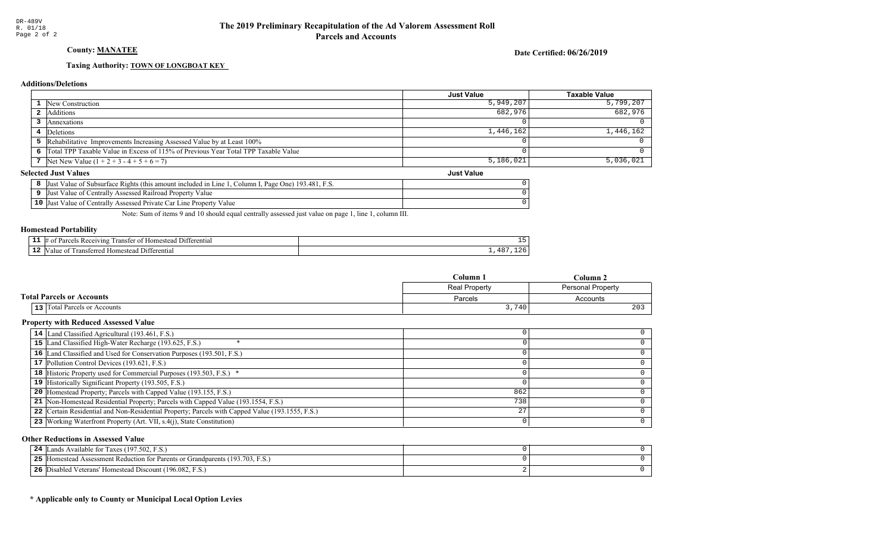# County: **MANATEE**

Date Certified: 06/26/2019

Just Value

#### Taxing Authority: **TOWN OF LONGBOAT KEY**

#### **Additions/Deletions**

|                                                                                      | <b>Just Value</b> | <b>Taxable Value</b> |
|--------------------------------------------------------------------------------------|-------------------|----------------------|
| <b>1</b> New Construction                                                            | 5,949,207         | 5,799,207            |
| <b>2</b> Additions                                                                   | 682,976           | 682,976              |
| Annexations                                                                          |                   |                      |
| 4 Deletions                                                                          | 1,446,162         | 1,446,162            |
| 5 Rehabilitative Improvements Increasing Assessed Value by at Least 100%             |                   |                      |
| 6 Total TPP Taxable Value in Excess of 115% of Previous Year Total TPP Taxable Value |                   |                      |
| 7 Net New Value $(1 + 2 + 3 - 4 + 5 + 6 = 7)$                                        | 5,186,021         | 5,036,021            |

#### **Selected Just Values**

| t Value of Subsurface Rights (this amount included in Line 1.<br>. Page One) 193.481. F.S.<br>Column I.<br>IJust |  |
|------------------------------------------------------------------------------------------------------------------|--|
| Just Value of Centrally Assessed Railroad Property Value                                                         |  |
| 10 Just Value of Centrally Assessed Private Car Line Property Value                                              |  |

Note: Sum of items 9 and 10 should equal centrally assessed just value on page 1, line 1, column III.

#### Homestead Portability

| . . | renti.<br>71n2<br>ranste<br>$^{\circ}$ |                                |
|-----|----------------------------------------|--------------------------------|
| --  | entia.<br>ונ                           | --<br>$\overline{\phantom{a}}$ |

|                                     | Column 1             | Column 2                 |
|-------------------------------------|----------------------|--------------------------|
|                                     | <b>Real Property</b> | <b>Personal Property</b> |
| <b>Total Parcels or Accounts</b>    | Parcels              | Accounts                 |
| <b>13</b> Total Parcels or Accounts | 3,740                | 203                      |

#### Property with Reduced Assessed Value

| 14 Land Classified Agricultural (193.461, F.S.)                                                 |     |  |
|-------------------------------------------------------------------------------------------------|-----|--|
| 15 Land Classified High-Water Recharge (193.625, F.S.)                                          |     |  |
| 16 Land Classified and Used for Conservation Purposes (193.501, F.S.)                           |     |  |
| 17 Pollution Control Devices (193.621, F.S.)                                                    |     |  |
| <b>18</b> Historic Property used for Commercial Purposes (193.503, F.S.) *                      |     |  |
| 19 Historically Significant Property (193.505, F.S.)                                            |     |  |
| <b>20</b> Homestead Property; Parcels with Capped Value (193.155, F.S.)                         | 862 |  |
| 21 Non-Homestead Residential Property; Parcels with Capped Value (193.1554, F.S.)               | 738 |  |
| 22 Certain Residential and Non-Residential Property; Parcels with Capped Value (193.1555, F.S.) | 27  |  |
| 23 Working Waterfront Property (Art. VII, s.4(j), State Constitution)                           |     |  |
|                                                                                                 |     |  |

#### Other Reductions in Assessed Value

| ands Available for Taxes (197.502, F.S.)<br>24                                       |  |
|--------------------------------------------------------------------------------------|--|
| 5 [Homestead Assessment Reduction for Parents or Grandparents (193.703, F.S.)<br>25. |  |
| Disabled Veterans' Homestead Discount (196.082, F.S.)<br>26                          |  |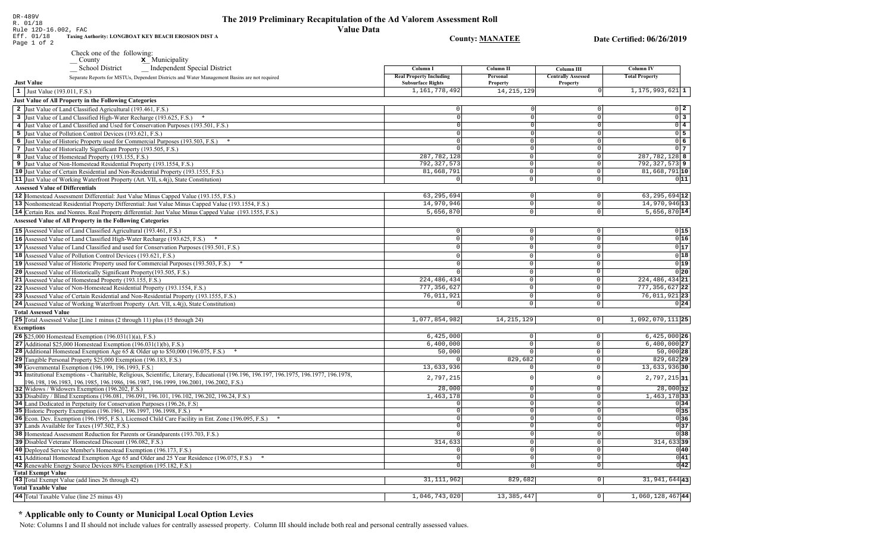| R. 01/18<br><b>A</b> A Limitary Riccapi                                                                                                                                  |                                |                        |                           |                            |
|--------------------------------------------------------------------------------------------------------------------------------------------------------------------------|--------------------------------|------------------------|---------------------------|----------------------------|
| Rule 12D-16.002, FAC<br>Eff. 01/18<br>Taxing Authority: LONGBOAT KEY BEACH EROSION DIST A                                                                                | <b>Value Data</b>              |                        |                           |                            |
| Page 1 of 2                                                                                                                                                              |                                | <b>County: MANATEE</b> |                           | Date Certified: 06/26/2019 |
| Check one of the following:                                                                                                                                              |                                |                        |                           |                            |
| $\boldsymbol{\mathsf{x}}$ Municipality<br>County                                                                                                                         |                                |                        |                           |                            |
| <b>School District</b><br><b>Independent Special District</b>                                                                                                            | Column I                       | Column II              | Column III                | Column IV                  |
| Separate Reports for MSTUs, Dependent Districts and Water Management Basins are not required                                                                             | <b>Real Property Including</b> | Personal               | <b>Centrally Assessed</b> | <b>Total Property</b>      |
| <b>Just Value</b>                                                                                                                                                        | <b>Subsurface Rights</b>       | Property               | Property                  |                            |
| 1 Just Value (193.011, F.S.)                                                                                                                                             | 1, 161, 778, 492               | 14, 215, 129           | $\Omega$                  | $1, 175, 993, 621$ 1       |
| <b>Just Value of All Property in the Following Categories</b>                                                                                                            |                                |                        |                           |                            |
| 2 Just Value of Land Classified Agricultural (193.461, F.S.)                                                                                                             | $\overline{0}$                 | $\Omega$               | $\Omega$                  | $0\quad 2$                 |
| 3 Just Value of Land Classified High-Water Recharge (193.625, F.S.)                                                                                                      | $\Omega$                       | $\Omega$               |                           | $\overline{0}$ 3           |
| 4 Just Value of Land Classified and Used for Conservation Purposes (193.501, F.S.)                                                                                       | $\Omega$                       | $\cap$                 | $\cap$                    | $0\overline{4}$            |
| 5 Just Value of Pollution Control Devices (193.621, F.S.)                                                                                                                | $\Omega$                       | $\Omega$               | $\overline{0}$            | $0\overline{5}$            |
| 6 Just Value of Historic Property used for Commercial Purposes (193.503, F.S.) *                                                                                         | $\Omega$                       | $\Omega$               | $\Omega$                  | 0 <sub>6</sub>             |
| 7 Just Value of Historically Significant Property (193.505, F.S.)                                                                                                        | $\Omega$                       | $\Omega$               | $\overline{0}$            | 0 <sub>7</sub>             |
| 8 Just Value of Homestead Property (193.155, F.S.)                                                                                                                       | 287, 782, 128                  | $\overline{0}$         | $\circ$                   | 287, 782, 128 8            |
| 9 Just Value of Non-Homestead Residential Property (193.1554, F.S.)                                                                                                      | 792, 327, 573                  | $\circ$                | $\Omega$                  | $792, 327, 573$ 9          |
| 10 Just Value of Certain Residential and Non-Residential Property (193.1555, F.S.)                                                                                       | 81,668,791                     | $\overline{0}$         | $\mathsf{O}\xspace$       | 81,668,791 10              |
| 11 Just Value of Working Waterfront Property (Art. VII, s.4(j), State Constitution)                                                                                      | 0                              | $\circ$                | $\circ$                   | 011                        |
| <b>Assessed Value of Differentials</b>                                                                                                                                   |                                |                        |                           |                            |
| 12 Homestead Assessment Differential: Just Value Minus Capped Value (193.155, F.S.)                                                                                      | 63, 295, 694                   | 0                      | $\mathsf{O}\xspace$       | $63, 295, 694$ 12          |
| 13 Nonhomestead Residential Property Differential: Just Value Minus Capped Value (193.1554, F.S.)                                                                        | 14,970,946                     | 0                      | $\mathsf 0$               | 14,970,946 13              |
| 14 Certain Res. and Nonres. Real Property differential: Just Value Minus Capped Value (193.1555, F.S.)                                                                   | 5,656,870                      | $\circ$                | $\overline{0}$            | $5,656,870$ 14             |
| Assessed Value of All Property in the Following Categories                                                                                                               |                                |                        |                           |                            |
| 15 Assessed Value of Land Classified Agricultural (193.461, F.S.)                                                                                                        | $\Omega$                       | $\circ$                | 0                         | 0 15                       |
| 16 Assessed Value of Land Classified High-Water Recharge (193.625, F.S.)                                                                                                 | $\overline{0}$                 | 0                      | $\mathsf{O}\xspace$       | 0 16                       |
| 17 Assessed Value of Land Classified and used for Conservation Purposes (193.501, F.S.)                                                                                  | $\Omega$                       | 0                      | $\mathsf{O}\xspace$       | 0 17                       |
| 18 Assessed Value of Pollution Control Devices (193.621, F.S.)                                                                                                           | $\Omega$                       | $\circ$                | $\mathbf 0$               | 0 18                       |
| 19 Assessed Value of Historic Property used for Commercial Purposes (193.503, F.S.)                                                                                      |                                | $\circ$                | $\mathsf 0$               | 0 19                       |
| 20 Assessed Value of Historically Significant Property (193.505, F.S.)                                                                                                   |                                | $\overline{0}$         | $\overline{0}$            | 0 20                       |
| 21 Assessed Value of Homestead Property (193.155, F.S.)                                                                                                                  | 224, 486, 434                  | $\overline{0}$         | $\mathbb O$               | $224, 486, 434$ 21         |
| 22 Assessed Value of Non-Homestead Residential Property (193.1554, F.S.)                                                                                                 | 777, 356, 627                  | $\overline{0}$         | $\overline{0}$            | 777, 356, 627 22           |
| 23 Assessed Value of Certain Residential and Non-Residential Property (193.1555, F.S.)                                                                                   | 76,011,921                     | 0                      | $\mathsf 0$               | 76,011,92123               |
| 24 Assessed Value of Working Waterfront Property (Art. VII, s.4(j), State Constitution)                                                                                  | $\Omega$                       | 0                      | $\mathsf{O}$              | 0 24                       |
| <b>Total Assessed Value</b>                                                                                                                                              |                                |                        |                           |                            |
| 25 Total Assessed Value [Line 1 minus (2 through 11) plus (15 through 24)                                                                                                | 1,077,854,982                  | 14, 215, 129           | 0                         | $1,092,070,111$ 25         |
| <b>Exemptions</b>                                                                                                                                                        |                                |                        |                           |                            |
| <b>26</b> \$25,000 Homestead Exemption $(196.031(1)(a), F.S.)$                                                                                                           | 6,425,000                      | 0                      | $\mathsf 0$               | 6,425,000 26               |
| 27 Additional \$25,000 Homestead Exemption $(196.031(1)(b), F.S.)$                                                                                                       | 6,400,000                      | 0                      | $\mathsf{O}\xspace$       | $6,400,000$ 27             |
| 28 Additional Homestead Exemption Age 65 & Older up to \$50,000 (196.075, F.S.) *                                                                                        | 50,000                         | $\circ$                | $\circ$                   | 50,000 28                  |
| 29 Tangible Personal Property \$25,000 Exemption (196.183, F.S.)                                                                                                         |                                | 829,682                | $\mathsf{O}$              | 829,682 29                 |
| 30 Governmental Exemption (196.199, 196.1993, F.S.)                                                                                                                      | 13,633,936                     | 0                      | $\mathsf 0$               | 13,633,936 30              |
| 31 Institutional Exemptions - Charitable, Religious, Scientific, Literary, Educational (196.196.197, 196.1975, 196.1977, 196.1978,                                       | 2,797,215                      | $\Omega$               | $\mathbb O$               | $2,797,215$ 31             |
| 96.198, 196.1983, 196.1985, 196.1986, 196.1987, 196.1999, 196.2001, 196.2002, F.S.)                                                                                      |                                |                        |                           |                            |
| 32 Widows / Widowers Exemption (196.202, F.S.)                                                                                                                           | 28,000                         | 0                      | $\mathbf 0$               | $\overline{28}$ ,000 32    |
| 33 Disability / Blind Exemptions (196.081, 196.091, 196.101, 196.102, 196.202, 196.24, F.S.)<br>34 Land Dedicated in Perpetuity for Conservation Purposes (196.26, F.S.) | 1,463,178                      | 0 <br>$\Omega$         | 0 <br>$\Omega$            | 1, 463, 178 33<br>0 34     |
| 35 Historic Property Exemption (196.1961, 196.1997, 196.1998, F.S.) *                                                                                                    | 0                              | 0                      | $\circ$                   | 0 35                       |
| 36 Econ. Dev. Exemption (196.1995, F.S.), Licensed Child Care Facility in Ent. Zone (196.095, F.S.)                                                                      | $\overline{0}$                 | $\overline{0}$         | $\overline{0}$            | 036                        |
| 37 Lands Available for Taxes (197.502, F.S.)                                                                                                                             | $\Omega$                       | 0                      | $\overline{0}$            | 0 37                       |
| 38 Homestead Assessment Reduction for Parents or Grandparents (193.703, F.S.)                                                                                            |                                | 0                      | 0                         | 0 38                       |
| 39 Disabled Veterans' Homestead Discount (196.082, F.S.)                                                                                                                 | 314,633                        | $\Omega$               | $\circ$                   | $314,633$ 39               |
| 40 Deployed Service Member's Homestead Exemption (196.173, F.S.)                                                                                                         | 0                              | 0                      | 0                         | 0 40                       |
| 41 Additional Homestead Exemption Age 65 and Older and 25 Year Residence (196.075, F.S.)                                                                                 | $\Omega$                       | 0                      | 0                         | 0 41                       |
| 42 Renewable Energy Source Devices 80% Exemption (195.182, F.S.)                                                                                                         | $\Omega$                       | 0                      | $\overline{0}$            | 0 42                       |
| <b>Total Exempt Value</b>                                                                                                                                                |                                |                        |                           |                            |
| 43 Total Exempt Value (add lines 26 through 42)                                                                                                                          | 31, 111, 962                   | 829,682                | $\overline{0}$            | $31,941,644$ 43            |

 $1,046,743,020$ 

13, 385, 447

 $1,060,128,467$ <sup>44</sup>

 $\boxed{0}$ 

The 2019 Preliminary Recapitulation of the Ad Valorem Assessment Roll

# \* Applicable only to County or Municipal Local Option Levies

**Total Taxable Value** 

44 Total Taxable Value (line 25 minus 43)

DR-489V

 $R. 01/18$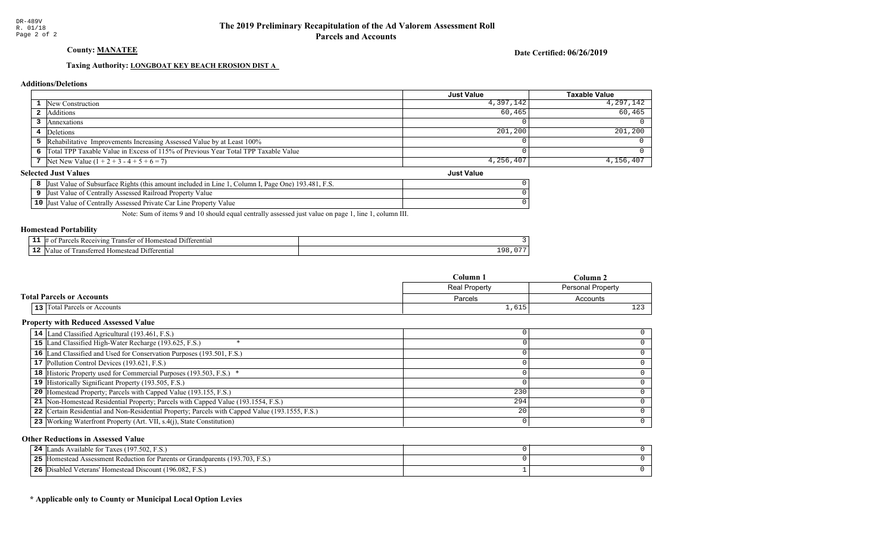County: **MANATEE** 

Date Certified: 06/26/2019

Just Value

### Taxing Authority: **LONGBOAT KEY BEACH EROSION DIST A**

#### **Additions/Deletions**

|                                                                                      | <b>Just Value</b> | Taxable Value |
|--------------------------------------------------------------------------------------|-------------------|---------------|
| 1 New Construction                                                                   | 4,397,142         | 4,297,142     |
| 2 Additions                                                                          | 60,465            | 60, 465       |
| Annexations                                                                          |                   |               |
| 4 Deletions                                                                          | 201,200           | $201, 200$    |
| <b>5</b> Rehabilitative Improvements Increasing Assessed Value by at Least 100%      |                   |               |
| 6 Total TPP Taxable Value in Excess of 115% of Previous Year Total TPP Taxable Value |                   |               |
| 7 Net New Value $(1 + 2 + 3 - 4 + 5 + 6 = 7)$                                        | 4,256,407         | $4,156,407$   |

#### **Selected Just Values**

|                 | Column I, Page One) 193.481, F.S.<br>Value of Subsurface Rights (this amount included in Line)<br>IJust |  |
|-----------------|---------------------------------------------------------------------------------------------------------|--|
|                 | Value of Centrally Assessed Railroad Property Value<br>Just                                             |  |
| 10 <sup>7</sup> | Value of Centrally Assessed Private Car Line Property Value<br> Just                                    |  |

Note: Sum of items 9 and 10 should equal centrally assessed just value on page 1, line 1, column III.

#### Homestead Portability

| --<br>-- | $^7$ 111.2<br>ranste<br>entia.<br>۱۵ ه<br>or |          |
|----------|----------------------------------------------|----------|
| --       | terentia                                     | <u>.</u> |

|                                  | Column 1      | $C$ olumn $2$            |
|----------------------------------|---------------|--------------------------|
|                                  | Real Property | <b>Personal Property</b> |
| <b>Total Parcels or Accounts</b> | Parcels       | Accounts                 |
| 13 Total Parcels or Accounts     | 1,615         | $\sim$                   |

#### Property with Reduced Assessed Value

| 14 Land Classified Agricultural (193.461, F.S.)                                                 |     |  |
|-------------------------------------------------------------------------------------------------|-----|--|
| 15 Land Classified High-Water Recharge (193.625, F.S.)                                          |     |  |
| 16 Land Classified and Used for Conservation Purposes (193.501, F.S.)                           |     |  |
| 17 Pollution Control Devices (193.621, F.S.)                                                    |     |  |
| <b>18</b> Historic Property used for Commercial Purposes (193.503, F.S.) *                      |     |  |
| 19 Historically Significant Property (193.505, F.S.)                                            |     |  |
| <b>20</b> Homestead Property; Parcels with Capped Value (193.155, F.S.)                         | 230 |  |
| 21 Non-Homestead Residential Property; Parcels with Capped Value (193.1554, F.S.)               | 294 |  |
| 22 Certain Residential and Non-Residential Property; Parcels with Capped Value (193.1555, F.S.) | 20  |  |
| 23 Working Waterfront Property (Art. VII, s.4(j), State Constitution)                           |     |  |

#### Other Reductions in Assessed Value

| ands Available for Taxes (197.502, F.S.)<br>24                                       |  |
|--------------------------------------------------------------------------------------|--|
| 5 [Homestead Assessment Reduction for Parents or Grandparents (193.703, F.S.)<br>25. |  |
| Disabled Veterans' Homestead Discount (196.082, F.S.)<br>26                          |  |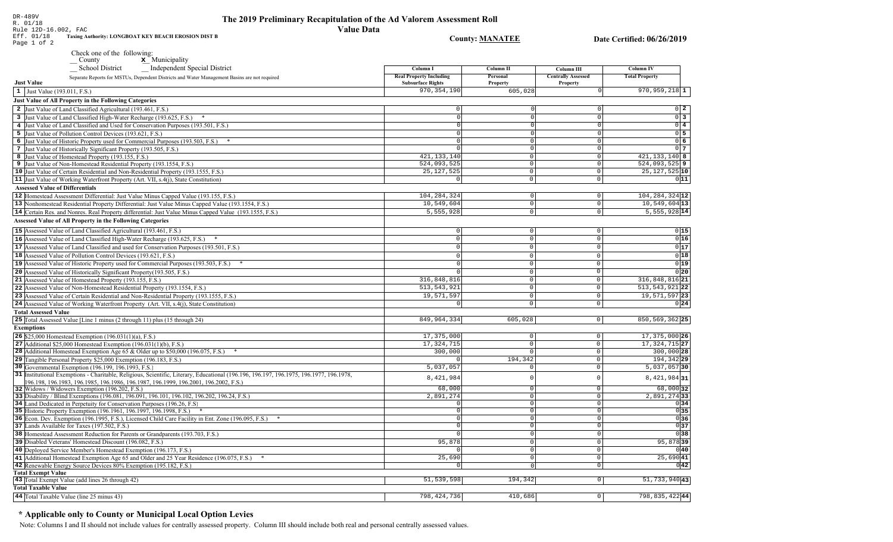| Eff. 01/18<br>Taxing Authority: LONGBOAT KEY BEACH EROSION DIST B<br>Page 1 of 2                                                                                         | <b>County: MANATEE</b>         |                         |                           | Date Certified: 06/26/2019         |  |
|--------------------------------------------------------------------------------------------------------------------------------------------------------------------------|--------------------------------|-------------------------|---------------------------|------------------------------------|--|
| Check one of the following:                                                                                                                                              |                                |                         |                           |                                    |  |
| x Municipality<br>$\sqrt{\frac{1}{1}}$ County                                                                                                                            |                                |                         |                           |                                    |  |
| <b>School District</b><br><b>Independent Special District</b>                                                                                                            | Column I                       | <b>Column II</b>        | Column III                | <b>Column IV</b>                   |  |
| Separate Reports for MSTUs, Dependent Districts and Water Management Basins are not required                                                                             | <b>Real Property Including</b> | Personal                | <b>Centrally Assessed</b> | <b>Total Property</b>              |  |
| <b>Just Value</b>                                                                                                                                                        | <b>Subsurface Rights</b>       | Property                | Property                  |                                    |  |
| 1 Just Value (193.011, F.S.)                                                                                                                                             | 970, 354, 190                  | 605,028                 | $\Omega$                  | $970, 959, 218$ 1                  |  |
| Just Value of All Property in the Following Categories                                                                                                                   |                                |                         |                           |                                    |  |
| 2 Just Value of Land Classified Agricultural (193.461, F.S.)                                                                                                             | $\mathbf 0$                    |                         | $\circ$                   | $0\vert 2$                         |  |
| 3 Just Value of Land Classified High-Water Recharge (193.625, F.S.)                                                                                                      | $\cap$                         |                         | $\Omega$                  | $0\overline{3}$                    |  |
| 4 Just Value of Land Classified and Used for Conservation Purposes (193.501, F.S.)                                                                                       | $\Omega$                       | C                       | 0                         | $0\sqrt{4}$                        |  |
| 5 Just Value of Pollution Control Devices (193.621, F.S.)                                                                                                                | $\Omega$                       |                         | $\overline{0}$            | $0\overline{5}$                    |  |
| 6 Just Value of Historic Property used for Commercial Purposes (193.503, F.S.) *                                                                                         | $\Omega$                       | $\Omega$                | $\overline{0}$            | 0 <sub>6</sub>                     |  |
| 7 Just Value of Historically Significant Property (193.505, F.S.)                                                                                                        |                                | $\Omega$                | 0                         | 0 <sub>7</sub>                     |  |
| 8 Just Value of Homestead Property (193.155, F.S.)                                                                                                                       | 421, 133, 140                  | $\overline{0}$          | 0                         | 421, 133, 140 8                    |  |
| 9 Just Value of Non-Homestead Residential Property (193.1554, F.S.)                                                                                                      | 524,093,525                    | $\Omega$                | $\circ$                   | $524,093,525$ 9                    |  |
| 10 Just Value of Certain Residential and Non-Residential Property (193.1555, F.S.)                                                                                       | 25, 127, 525                   | $\mathbf{0}$            | $\circ$                   | 25, 127, 525 10                    |  |
| 11 Just Value of Working Waterfront Property (Art. VII, s.4(j), State Constitution)                                                                                      | $\Omega$                       | $\mathsf 0$             | $\circ$                   | 011                                |  |
| <b>Assessed Value of Differentials</b>                                                                                                                                   |                                |                         |                           |                                    |  |
| 12 Homestead Assessment Differential: Just Value Minus Capped Value (193.155, F.S.)                                                                                      | 104, 284, 324                  | $\circ$                 | $\overline{0}$            | 104, 284, 324 12                   |  |
| 13 Nonhomestead Residential Property Differential: Just Value Minus Capped Value (193.1554, F.S.)                                                                        | 10,549,604                     | $\mathbb O$             | $\overline{0}$            | $10,549,604$ <sup>13</sup>         |  |
| 14 Certain Res. and Nonres. Real Property differential: Just Value Minus Capped Value (193.1555, F.S.)                                                                   | 5,555,928                      | 0                       | $\overline{0}$            | $5,555,928$ 14                     |  |
| Assessed Value of All Property in the Following Categories                                                                                                               |                                |                         |                           |                                    |  |
| 15 Assessed Value of Land Classified Agricultural (193.461, F.S.)                                                                                                        | $\Omega$                       | $\mathbf 0$             | $\mathsf 0$               | 0 15                               |  |
| 16 Assessed Value of Land Classified High-Water Recharge (193.625, F.S.)<br>$*$                                                                                          | $\Omega$                       | $\overline{0}$          | $\overline{0}$            | 0 16                               |  |
| 17 Assessed Value of Land Classified and used for Conservation Purposes (193.501, F.S.)                                                                                  | $\mathbb O$                    | $\mathbf 0$             | $\mathsf{O}$              | 0 17                               |  |
| 18 Assessed Value of Pollution Control Devices (193.621, F.S.)                                                                                                           | $\Omega$                       | $\Omega$                | $\mathbf{0}$              | 0 18                               |  |
| 19 Assessed Value of Historic Property used for Commercial Purposes (193.503, F.S.) *                                                                                    | $\Omega$                       | $\mathbf 0$             | $\mathbf 0$               | 0 19                               |  |
| 20 Assessed Value of Historically Significant Property (193.505, F.S.)                                                                                                   | $\Omega$                       | $\overline{0}$          | $\overline{0}$            | 0 20                               |  |
| 21 Assessed Value of Homestead Property (193.155, F.S.)                                                                                                                  | 316,848,816                    | $\Omega$                | $\mathsf{O}$              | 316,848,816 21                     |  |
|                                                                                                                                                                          | 513, 543, 921                  | $\overline{0}$          | $\overline{0}$            | 513, 543, 921 22                   |  |
| 22 Assessed Value of Non-Homestead Residential Property (193.1554, F.S.)                                                                                                 |                                |                         |                           |                                    |  |
| 23 Assessed Value of Certain Residential and Non-Residential Property (193.1555, F.S.)                                                                                   | 19,571,597<br>$\Omega$         | $\mathbf 0$<br>$\Omega$ | $\mathbf 0$               | 19,571,597 23                      |  |
| 24 Assessed Value of Working Waterfront Property (Art. VII, s.4(j), State Constitution)                                                                                  |                                |                         | $\mathbf 0$               | 0 24                               |  |
| <b>Total Assessed Value</b>                                                                                                                                              |                                |                         |                           |                                    |  |
| 25 Total Assessed Value [Line 1 minus (2 through 11) plus (15 through 24)                                                                                                | 849, 964, 334                  | 605,028                 | $\overline{0}$            | 850, 569, 362 25                   |  |
| <b>Exemptions</b>                                                                                                                                                        |                                |                         |                           |                                    |  |
| 26 \$25,000 Homestead Exemption (196.031(1)(a), F.S.)                                                                                                                    | 17,375,000                     | 0                       | $\circ$                   | 17, 375, 000 26                    |  |
| 27 Additional $$25,000$ Homestead Exemption (196.031(1)(b), F.S.)                                                                                                        | 17, 324, 715                   | $\mathbb O$             | 0                         | 17, 324, 715 27                    |  |
| <b>28</b> Additional Homestead Exemption Age 65 & Older up to \$50,000 (196.075, F.S.)                                                                                   | 300,000                        | $\mathbb O$             | $\mathbf 0$               | 300,000 28                         |  |
| 29 Tangible Personal Property \$25,000 Exemption (196.183, F.S.)                                                                                                         |                                | 194,342                 | 0                         | $194,342$ 29                       |  |
| 30 Governmental Exemption (196.199, 196.1993, F.S.)                                                                                                                      | 5,037,057                      | $\mathbf 0$             | $\mathbf 0$               | $5,037,057$ 30                     |  |
| 31 Institutional Exemptions - Charitable, Religious, Scientific, Literary, Educational (196.196.197, 196.1975, 196.1977, 196.1978,                                       | 8,421,984                      | $\Omega$                | $\Omega$                  | $8,421,984$ 31                     |  |
| 196.198.196.1983.196.1985.196.1986.196.1987.196.1999.196.2001.196.2002.F.S.)                                                                                             |                                |                         | $\overline{0}$            |                                    |  |
| 32 Widows / Widowers Exemption (196.202, F.S.)                                                                                                                           | 68,000<br>2,891,274            | $\circ$<br> 0           | $\mathbf 0$               | 68,000 32<br>$\sqrt{2,891,274}$ 33 |  |
| 33 Disability / Blind Exemptions (196.081, 196.091, 196.101, 196.102, 196.202, 196.24, F.S.)<br>34 Land Dedicated in Perpetuity for Conservation Purposes (196.26, F.S.) | $\Omega$                       | 0                       | $\mathbf{0}$              | 0 34                               |  |
| 35 Historic Property Exemption (196.1961, 196.1997, 196.1998, F.S.) *                                                                                                    | $\mathbf 0$                    | 0                       | 0                         | 0 35                               |  |
| 36 Econ. Dev. Exemption (196.1995, F.S.), Licensed Child Care Facility in Ent. Zone (196.095, F.S.)                                                                      | $\mathbf 0$                    | 0                       | $\overline{0}$            | 0 36                               |  |
| 37 Lands Available for Taxes (197.502, F.S.)                                                                                                                             | $\Omega$                       | $\overline{0}$          | $\mathbb O$               | 0 37                               |  |
| 38 Homestead Assessment Reduction for Parents or Grandparents (193.703, F.S.)                                                                                            | $\Omega$                       | 0                       | 0                         | 0 38                               |  |
| 39 Disabled Veterans' Homestead Discount (196.082, F.S.)                                                                                                                 | 95,878                         | $\Omega$                | $\mathbf 0$               | 95,87839                           |  |
|                                                                                                                                                                          |                                |                         |                           |                                    |  |
| 40 Deployed Service Member's Homestead Exemption (196.173, F.S.)                                                                                                         |                                | 0                       | $\mathsf{O}$              | 0 40                               |  |
| 41 Additional Homestead Exemption Age 65 and Older and 25 Year Residence (196.075, F.S.)<br>$\ast$                                                                       | 25,690                         | 0                       | $\overline{0}$            | 25,690 41                          |  |
| 42 Renewable Energy Source Devices 80% Exemption (195.182, F.S.)                                                                                                         |                                | $\cap$                  | 0                         | 0 42                               |  |
| <b>Total Exempt Value</b><br>43 Total Exempt Value (add lines 26 through 42)                                                                                             | 51,539,598                     | 194,342                 | $\overline{0}$            | $51,733,940$ 43                    |  |
| <b>Total Taxable Value</b>                                                                                                                                               |                                |                         |                           |                                    |  |

798, 424, 736

410,686

798,835,42244

 $\boxed{0}$ 

The 2019 Preliminary Recapitulation of the Ad Valorem Assessment Roll

**Value Data** 

# \* Applicable only to County or Municipal Local Option Levies

44 Total Taxable Value (line 25 minus 43)

DR-489V<br>R. 01/18

Rule 12D-16.002, FAC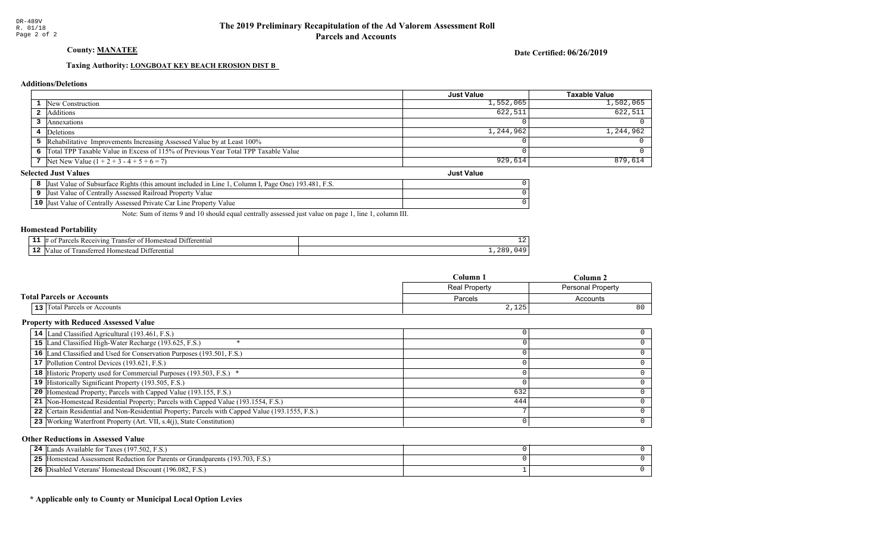County: **MANATEE** 

Date Certified: 06/26/2019

Just Value

#### Taxing Authority: **LONGBOAT KEY BEACH EROSION DIST B**

#### **Additions/Deletions**

|                                                                                      | <b>Just Value</b> | Taxable Value |
|--------------------------------------------------------------------------------------|-------------------|---------------|
| <b>1</b> New Construction                                                            | 1,552,065         | $1,502,065$   |
| 2 Additions                                                                          | 622,511           | 622,511       |
| Annexations                                                                          |                   |               |
| 4 Deletions                                                                          | 1,244,962         | 1,244,962     |
| 5 Rehabilitative Improvements Increasing Assessed Value by at Least 100%             |                   |               |
| 6 Total TPP Taxable Value in Excess of 115% of Previous Year Total TPP Taxable Value |                   |               |
| 7   Net New Value $(1 + 2 + 3 - 4 + 5 + 6 = 7)$                                      | 929,614           | $879,614$     |

#### **Selected Just Values**

| Column I, Page One) 193.481, F.S.<br>Value of Subsurface Rights (this amount included in Line 1)<br>IJust |  |
|-----------------------------------------------------------------------------------------------------------|--|
| Value of Centrally Assessed Railroad Property Value<br>Just                                               |  |
| $10$ Just<br>Value of Centrally Assessed Private Car Line Property Value                                  |  |

Note: Sum of items 9 and 10 should equal centrally assessed just value on page 1, line 1, column III.

#### Homestead Portability

| --<br>. . | renti.<br>71n2<br>ranste<br>$^{\circ}$ | ᅩ       |
|-----------|----------------------------------------|---------|
| --        | entia.<br>-111                         | .<br>-- |

|                                     | Column 1             | Column 2                 |
|-------------------------------------|----------------------|--------------------------|
|                                     | <b>Real Property</b> | <b>Personal Property</b> |
| <b>Total Parcels or Accounts</b>    | Parcels              | Accounts                 |
| <b>13</b> Total Parcels or Accounts | 2,125                | 80                       |

#### Property with Reduced Assessed Value

| 14 Land Classified Agricultural (193.461, F.S.)                                                 |     |  |
|-------------------------------------------------------------------------------------------------|-----|--|
| 15 Land Classified High-Water Recharge (193.625, F.S.)                                          |     |  |
| 16 Land Classified and Used for Conservation Purposes (193.501, F.S.)                           |     |  |
| 17 Pollution Control Devices (193.621, F.S.)                                                    |     |  |
| <b>18</b> Historic Property used for Commercial Purposes (193.503, F.S.) *                      |     |  |
| 19 Historically Significant Property (193.505, F.S.)                                            |     |  |
| <b>20</b> Homestead Property; Parcels with Capped Value (193.155, F.S.)                         | 632 |  |
| 21 Non-Homestead Residential Property; Parcels with Capped Value (193.1554, F.S.)               | 444 |  |
| 22 Certain Residential and Non-Residential Property; Parcels with Capped Value (193.1555, F.S.) |     |  |
| 23 Working Waterfront Property (Art. VII, s.4(j), State Constitution)                           |     |  |
|                                                                                                 |     |  |

#### Other Reductions in Assessed Value

| ands Available for Taxes (197.502, F.S.)<br>24                                       |  |
|--------------------------------------------------------------------------------------|--|
| 5 [Homestead Assessment Reduction for Parents or Grandparents (193.703, F.S.)<br>25. |  |
| Disabled Veterans' Homestead Discount (196.082, F.S.)<br>26                          |  |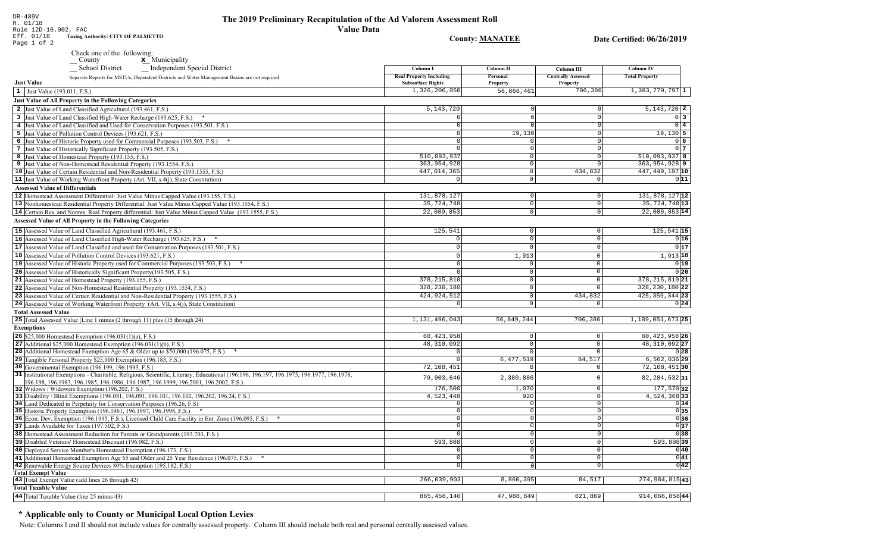### The 2019 Preliminary Recapitulation of the Ad Valorem Assessment Roll **Value Data**

**County: MANATEE** Date Certified: 06/26/2019 Page 1 of 2 Check one of the following:  $\underline{\mathbf{x}}$  Municipality County School District Independent Special District Column I **Column II** Column III **Column IV Real Property Including** Personal **Centrally Assessed Total Property** Separate Reports for MSTUs, Dependent Districts and Water Management Basins are not required **Just Value Subsurface Rights** Property Property 1,326,206,950 56,866,461 706,386  $1,383,779,797$  1  $\vert 1 \vert$  Just Value (193.011, F.S.) **Just Value of All Property in the Following Categories** 2 Just Value of Land Classified Agricultural (193.461, F.S.) 5, 143, 720  $5.143.720$  2 3 Just Value of Land Classified High-Water Recharge (193.625, F.S.) \*  $\Omega$  $0<sup>3</sup>$ 4 Just Value of Land Classified and Used for Conservation Purposes (193.501, F.S.)  $\overline{0}$  4 5 Just Value of Pollution Control Devices (193.621, F.S.) 19,130  $19,130$  5 6 Just Value of Historic Property used for Commercial Purposes (193.503, F.S.) \* 06 7 Just Value of Historically Significant Property (193.505, F.S.)  $0<sub>7</sub>$  $\Omega$  $\overline{510,093,937}$  $510,093.937$  R 8 Just Value of Homestead Property (193.155, F.S.)  $\cap$ 363, 954, 928 363,954,928 9 9 Just Value of Non-Homestead Residential Property (193.1554, F.S.)  $\Omega$ 10 Just Value of Certain Residential and Non-Residential Property (193.1555, F.S.) 447, 014, 365 434,832 447, 449, 197 10  $\circ$ 11 Just Value of Working Waterfront Property (Art. VII, s.4(j), State Constitution)  $\overline{\circ}$  $011$ **Assessed Value of Differentials** 131,878,127 131,878,127 12 12 Homestead Assessment Differential: Just Value Minus Capped Value (193.155, F.S.)  $\Omega$ 35,724,748 35, 724, 748 13 13 Nonhomestead Residential Property Differential: Just Value Minus Capped Value (193.1554, F.S.)  $\mathbb O$ 14 Certain Res. and Nonres. Real Property differential: Just Value Minus Capped Value (193.1555, F.S.) 22,089,853  $\overline{0}$  $22,089,853|14$ **Assessed Value of All Property in the Following Categories** 15 Assessed Value of Land Classified Agricultural (193.461, F.S.) 125,541  $\Omega$  $\Omega$  $125,541$  15 16 Assessed Value of Land Classified High-Water Recharge (193.625, F.S.)  $0|16|$  $\Omega$  $\Omega$  $\Omega$  $0|17$ **17** Assessed Value of Land Classified and used for Conservation Purposes (193.501, F.S.)  $|0|$  $\Omega$  $\overline{0}$ 18 Assessed Value of Pollution Control Devices (193.621, F.S.)  $1.913$  $1,913$  18  $\Omega$ 19 Assessed Value of Historic Property used for Commercial Purposes (193.503, F.S.) \*  $\Omega$  $0|19|$ 20 Assessed Value of Historically Significant Property (193.505, F.S.)  $0|20|$  $\cap$  $\Omega$ 378, 215, 810 21 Assessed Value of Homestead Property (193.155, F.S.) 378, 215, 810 21  $\cap$ 22 Assessed Value of Non-Homestead Residential Property (193.1554, F.S.) 328, 230, 180  $\Omega$ 328, 230, 180 22 424,924,512 425, 359, 344 23 23 Assessed Value of Certain Residential and Non-Residential Property (193.1555, F.S.) 434.832  $\cap$ 24 Assessed Value of Working Waterfront Property (Art. VII, s.4(j), State Constitution)  $0|24|$  $\mathsf{O}$ **Total Assessed Value** 25 Total Assessed Value [Line 1 minus (2 through 11) plus (15 through 24) 1,131,496,043 56,849,244 706,386 1,189,051,673 25 **Exemptions** 60,423,958  $60, 423, 958$  26 **26** \$25,000 Homestead Exemption  $(196.031(1)(a), F.S.)$  $\Omega$ 48,310,092 27 27 Additional \$25,000 Homestead Exemption  $(196.031(1)(b), F.S.)$ 48,310,092  $\Omega$ 28 Additional Homestead Exemption Age 65 & Older up to \$50,000 (196.075, F.S.) \*  $\cap$  $0|28|$  $\sqrt{ }$ 29 Tangible Personal Property \$25,000 Exemption (196.183, F.S.) 6, 477, 519 84,517  $6,562,036$  29 30 Governmental Exemption (196.199, 196.1993, F.S.)  $72,108,451$  $72, 108, 451$  30 31 Institutional Exemptions - Charitable, Religious, Scientific, Literary, Educational (196.196, 196.197, 196.1977, 196.1977, 196.1978, 79,903,646 2,380,886 82, 284, 532 31  $\Omega$ 196.198, 196.1983, 196.1985, 196.1986, 196.1987, 196.1999, 196.2001, 196.2002, F.S.) 176.500  $1.070$ 177,570 32 32 Widows / Widowers Exemption (196.202, F.S.)  $\Omega$ 33 Disability / Blind Exemptions (196.081, 196.091, 196.101, 196.102, 196.202, 196.24, F.S.) 4,523,448 920  $\overline{0}$ 4,524,36833 34 Land Dedicated in Perpetuity for Conservation Purposes (196.26, F.S)  $\cap$  $\overline{\circ}$  $0|34|$  $\cap$  $0|35|$ 35 Historic Property Exemption (196.1961, 196.1997, 196.1998, F.S.) \*  $\Omega$  $\circ$  $\overline{0}$ 36 36 Econ. Dev. Exemption (196.1995, F.S.), Licensed Child Care Facility in Ent. Zone (196.095, F.S.) \*  $\sqrt{ }$  $\overline{0}$ 37 Lands Available for Taxes (197.502, F.S.)  $\overline{0}$  $0|37$ 38 Homestead Assessment Reduction for Parents or Grandparents (193.703, F.S.)  $\sqrt{38}$ 0 593,808 593,808 39 39 Disabled Veterans' Homestead Discount (196.082, F.S.)  $\overline{0}$ 40 Deployed Service Member's Homestead Exemption (196.173, F.S.)  $\overline{0}$  $0|40|$  $\Omega$  $0|41|$ 41 Additional Homestead Exemption Age 65 and Older and 25 Year Residence (196.075, F.S.) \*  $\overline{0}$  $\overline{0}$  $\overline{0|42|}$ 42 Renewable Energy Source Devices 80% Exemption (195.182, F.S.)  $\overline{0}$  $\overline{0}$ **Total Exempt Value** 

43 Total Exempt Value (add lines 26 through 42) 266,039,903  $8,860,395$  $84,517$ 274, 984, 815 43 **Total Taxable Value**  $621,869$ 44 Total Taxable Value (line 25 minus 43) 865, 456, 140 47,988,849 914,066,85844

### \* Applicable only to County or Municipal Local Option Levies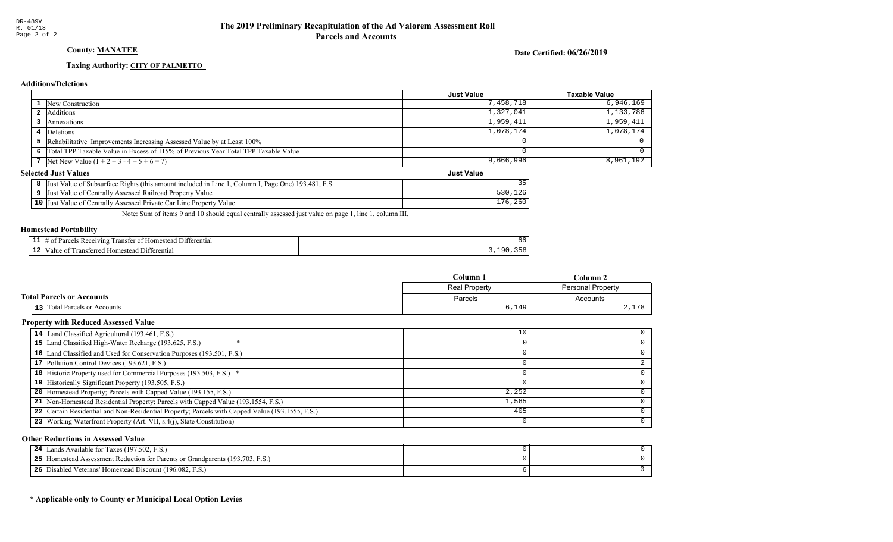# County: **MANATEE**

Date Certified: 06/26/2019

Just Value

#### Taxing Authority: CITY OF PALMETTO

#### **Additions/Deletions**

|                                                                                      | Just Value | <b>Taxable Value</b> |
|--------------------------------------------------------------------------------------|------------|----------------------|
| <b>1</b> New Construction                                                            | 7,458,718  | 6,946,169            |
| 2 Additions                                                                          | 1,327,041  | 1,133,786            |
| Annexations                                                                          | 1,959,411  | 1,959,411            |
| 4 Deletions                                                                          | 1,078,174  | 1,078,174            |
| 5 Rehabilitative Improvements Increasing Assessed Value by at Least 100%             |            |                      |
| 6 Total TPP Taxable Value in Excess of 115% of Previous Year Total TPP Taxable Value |            |                      |
| 7 Net New Value $(1 + 2 + 3 - 4 + 5 + 6 = 7)$                                        | 9,666,996  | 8,961,192            |

#### **Selected Just Values**

| t Value of Subsurface Rights (this amount included in Line 1. Column I. Page One) 193.481. F.S.<br> Just | 35          |
|----------------------------------------------------------------------------------------------------------|-------------|
| Just Value of Centrally Assessed Railroad Property Value                                                 |             |
| 10 Just Value of Centrally Assessed Private Car Line Property Value                                      | .260<br>176 |

Note: Sum of items 9 and 10 should equal centrally assessed just value on page 1, line 1, column III.

#### Homestead Portability

| --<br>. . | <b>CONTRACTOR</b><br>entia.<br>71ng<br>rans | bb        |
|-----------|---------------------------------------------|-----------|
| -4        | ential<br>11<br>-ster                       | - -<br>or |

|                                     | $C$ olumn            | Column.           |
|-------------------------------------|----------------------|-------------------|
|                                     | <b>Real Property</b> | Personal Property |
| <b>Total Parcels or Accounts</b>    | Parcels              | Accounts          |
| <b>13</b> Total Parcels or Accounts | 6,149                | 1.70<br>4, 11     |

#### Property with Reduced Assessed Value

| 14 Land Classified Agricultural (193.461, F.S.)                                                 | 10    |  |
|-------------------------------------------------------------------------------------------------|-------|--|
| 15 Land Classified High-Water Recharge (193.625, F.S.)                                          |       |  |
| 16 Land Classified and Used for Conservation Purposes (193.501, F.S.)                           |       |  |
| 17 Pollution Control Devices (193.621, F.S.)                                                    |       |  |
| 18 Historic Property used for Commercial Purposes (193.503, F.S.) *                             |       |  |
| 19 Historically Significant Property (193.505, F.S.)                                            |       |  |
| <b>20</b> Homestead Property; Parcels with Capped Value (193.155, F.S.)                         | 2,252 |  |
| 21 Non-Homestead Residential Property; Parcels with Capped Value (193.1554, F.S.)               | 1,565 |  |
| 22 Certain Residential and Non-Residential Property; Parcels with Capped Value (193.1555, F.S.) | 405   |  |
| 23 Working Waterfront Property (Art. VII, s.4(j), State Constitution)                           |       |  |

#### Other Reductions in Assessed Value

| 24<br>Lands Available for Taxes (197.502, F.S.)                                      |  |
|--------------------------------------------------------------------------------------|--|
| 25<br>If IHomestead Assessment Reduction for Parents or Grandparents (193.703, F.S.) |  |
| 26<br>Disabled Veterans' Homestead Discount (196.082, F.S.)                          |  |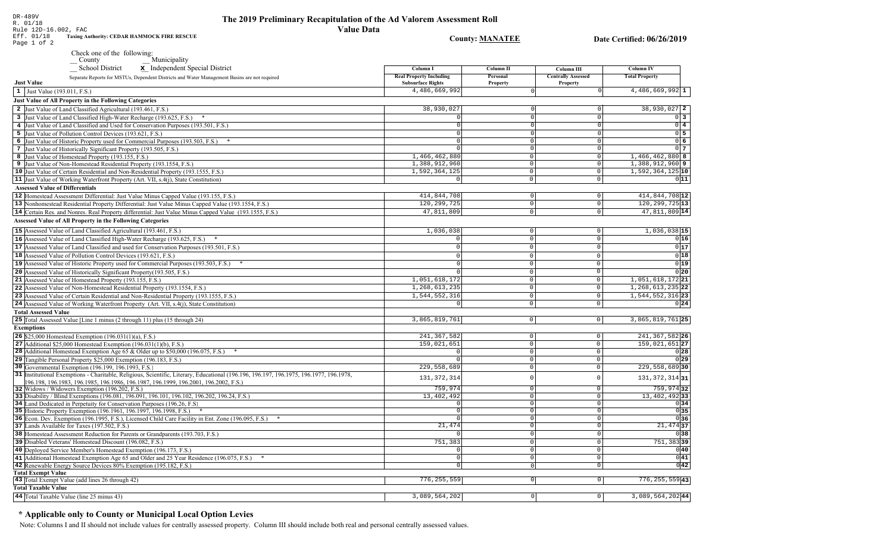**County: MANATEE** Date Certified: 06/26/2019

| DR-489V              |                                                    |
|----------------------|----------------------------------------------------|
| R. 01/18             |                                                    |
| Rule 12D-16.002, FAC |                                                    |
| Eff. 01/18           | <b>Taxing Authority: CEDAR HAMMOCK FIRE RESCUE</b> |

Page 1 of 2

Check one of the following:<br>  $-\frac{\text{Country}}{\text{School District}}$  Municipality

| SCHOOL DISTRICT<br>$\mathbf{x}$ independent opecial District                                                                       | Column <sub>1</sub>                                        | Column 11            | Column III                            | -Column TV                |
|------------------------------------------------------------------------------------------------------------------------------------|------------------------------------------------------------|----------------------|---------------------------------------|---------------------------|
| Separate Reports for MSTUs, Dependent Districts and Water Management Basins are not required<br><b>Just Value</b>                  | <b>Real Property Including</b><br><b>Subsurface Rights</b> | Personal<br>Property | <b>Centrally Assessed</b><br>Property | <b>Total Property</b>     |
| 1 Just Value (193.011, F.S.)                                                                                                       | 4,486,669,992                                              |                      |                                       | 4,486,669,992 1           |
| Just Value of All Property in the Following Categories                                                                             |                                                            |                      |                                       |                           |
| 2 Just Value of Land Classified Agricultural (193.461, F.S.)                                                                       | 38,930,027                                                 |                      | 0                                     | 38,930,027 2              |
| 3 Just Value of Land Classified High-Water Recharge (193.625, F.S.)                                                                |                                                            |                      | $\Omega$                              | $0\overline{3}$           |
| 4 Just Value of Land Classified and Used for Conservation Purposes (193.501, F.S.)                                                 |                                                            |                      | $\Omega$                              | $0\overline{4}$           |
| 5 Just Value of Pollution Control Devices (193.621, F.S.)                                                                          | $\Omega$                                                   |                      | $\Omega$                              | $0\overline{5}$           |
| 6 Just Value of Historic Property used for Commercial Purposes (193.503, F.S.) *                                                   | $\Omega$                                                   |                      | $\Omega$                              | 06                        |
| 7 Just Value of Historically Significant Property (193.505, F.S.)                                                                  |                                                            |                      | $\mathbf 0$                           | 0 <sub>7</sub>            |
| 8 Just Value of Homestead Property (193.155, F.S.)                                                                                 | 1,466,462,880                                              | $\Omega$             | 0                                     | 1,466,462,880 8           |
| 9 Just Value of Non-Homestead Residential Property (193.1554, F.S.)                                                                | 1,388,912,960                                              | $\cap$               | 0                                     | $1,388,912,960$ 9         |
| 10 Just Value of Certain Residential and Non-Residential Property (193.1555, F.S.)                                                 | 1,592,364,125                                              | $\Omega$             | $\overline{0}$                        | 1,592,364,125 10          |
| 11 Just Value of Working Waterfront Property (Art. VII, s.4(j), State Constitution)                                                | $\Omega$                                                   | $\Omega$             | 0                                     | 011                       |
| <b>Assessed Value of Differentials</b>                                                                                             |                                                            |                      |                                       |                           |
| 12 Homestead Assessment Differential: Just Value Minus Capped Value (193.155, F.S.)                                                | 414,844,708                                                | $\circ$              | $\circ$                               | 414,844,708 12            |
| 13 Nonhomestead Residential Property Differential: Just Value Minus Capped Value (193.1554, F.S.)                                  | 120, 299, 725                                              | $\Omega$             | $\overline{0}$                        | 120, 299, 725 13          |
| 14 Certain Res. and Nonres. Real Property differential: Just Value Minus Capped Value (193.1555, F.S.)                             | 47,811,809                                                 | $\cap$               | $\overline{0}$                        | 47,811,809 14             |
| <b>Assessed Value of All Property in the Following Categories</b>                                                                  |                                                            |                      |                                       |                           |
|                                                                                                                                    |                                                            |                      |                                       |                           |
| 15 Assessed Value of Land Classified Agricultural (193.461, F.S.)                                                                  | 1,036,038                                                  | $\mathbf 0$          | $\circ$                               | $1,036,038$ <sup>15</sup> |
| 16 Assessed Value of Land Classified High-Water Recharge (193.625, F.S.)                                                           | $\Omega$                                                   | $\Omega$             | $\mathsf 0$                           | 0 16                      |
| 17 Assessed Value of Land Classified and used for Conservation Purposes (193.501, F.S.)                                            | $\Omega$                                                   | $\Omega$             | $\mathsf{O}\xspace$                   | 0 17                      |
| 18 Assessed Value of Pollution Control Devices (193.621, F.S.)                                                                     |                                                            | $\Omega$             | $\overline{0}$                        | 0 18                      |
| 19 Assessed Value of Historic Property used for Commercial Purposes (193.503, F.S.) *                                              | $\sqrt{ }$                                                 | $\Omega$             | $\mathsf 0$                           | 0 19                      |
| 20 Assessed Value of Historically Significant Property (193.505, F.S.)                                                             |                                                            | $\Omega$             | $\overline{0}$                        | 0 20                      |
| 21 Assessed Value of Homestead Property (193.155, F.S.)                                                                            | 1,051,618,172                                              | $\Omega$             | $\overline{0}$                        | 1,051,618,172 21          |
| 22 Assessed Value of Non-Homestead Residential Property (193.1554, F.S.)                                                           | 1, 268, 613, 235                                           | $\Omega$             | $\overline{0}$                        | 1, 268, 613, 235 22       |
| 23 Assessed Value of Certain Residential and Non-Residential Property (193.1555, F.S.)                                             | 1,544,552,316                                              | $\Omega$             | $\overline{0}$                        | 1,544,552,316 23          |
| 24 Assessed Value of Working Waterfront Property (Art. VII, s.4(j), State Constitution)                                            | $\Omega$                                                   | $\Omega$             | $\mathsf 0$                           | 0 24                      |
| <b>Total Assessed Value</b>                                                                                                        |                                                            |                      |                                       |                           |
| 25 Total Assessed Value [Line 1 minus (2 through 11) plus (15 through 24)                                                          | 3,865,819,761                                              | $\circ$              | 0                                     | $3,865,819,761$  25       |
| <b>Exemptions</b>                                                                                                                  |                                                            |                      |                                       |                           |
| <b>26</b> \$25,000 Homestead Exemption $(196.031(1)(a), F.S.)$                                                                     | 241, 367, 582                                              | $\circ$              | $\mathsf 0$                           | 241, 367, 582 26          |
| 27 Additional \$25,000 Homestead Exemption $(196.031(1)(b), F.S.)$                                                                 | 159,021,651                                                | $\circ$              | $\overline{0}$                        | 159,021,651 27            |
| <b>28</b> Additional Homestead Exemption Age 65 & Older up to \$50,000 (196.075, F.S.)                                             |                                                            | $\circ$              | $\mathsf{O}$                          | 0 28                      |
| 29 Tangible Personal Property \$25,000 Exemption (196.183, F.S.)                                                                   |                                                            | $\overline{0}$       | $\mathsf 0$                           | 0 29                      |
| 30 Governmental Exemption (196.199, 196.1993, F.S.)                                                                                | 229,558,689                                                | $\overline{0}$       | $\mathsf 0$                           | 229,558,689 30            |
| 31 Institutional Exemptions - Charitable, Religious, Scientific, Literary, Educational (196.196.197. 196.1975, 196.1977, 196.1978, | 131, 372, 314                                              |                      | $\Omega$                              | 131, 372, 314 31          |
| 196.198, 196.1983, 196.1985, 196.1986, 196.1987, 196.1999, 196.2001, 196.2002, F.S.)                                               |                                                            |                      |                                       |                           |
| 32 Widows / Widowers Exemption (196.202, F.S.)                                                                                     | 759,974                                                    | $\Omega$             | $\mathsf 0$                           | 759,97432                 |
| 33 Disability / Blind Exemptions (196.081, 196.091, 196.101, 196.102, 196.202, 196.24, F.S.)                                       | 13,402,492                                                 | $\overline{0}$       | 0                                     | 13, 402, 492 33           |
| 34 Land Dedicated in Perpetuity for Conservation Purposes (196.26, F.S.)                                                           |                                                            | $\overline{0}$       | $\mathbb O$                           | 0 34                      |
| 35 Historic Property Exemption (196.1961, 196.1997, 196.1998, F.S.) *                                                              |                                                            | $\circ$              | $\overline{0}$                        | 0 35                      |
| 36 Econ. Dev. Exemption (196.1995, F.S.), Licensed Child Care Facility in Ent. Zone (196.095, F.S.) *                              |                                                            | $\Omega$             | $\overline{0}$                        | 0 36                      |
| 37 Lands Available for Taxes (197.502, F.S.)                                                                                       | 21,474                                                     | $\Omega$             | $\overline{0}$                        | $21,474$ 37               |
| 38 Homestead Assessment Reduction for Parents or Grandparents (193.703, F.S.)                                                      |                                                            | $\Omega$             | $\overline{\circ}$                    | 0 38                      |
| 39 Disabled Veterans' Homestead Discount (196.082, F.S.)                                                                           | 751,383                                                    | 0                    | 0                                     | 751,383 39                |
| 40 Deployed Service Member's Homestead Exemption (196.173, F.S.)                                                                   |                                                            | $\Omega$             | $\mathsf 0$                           | 0 40                      |
| 41 Additional Homestead Exemption Age 65 and Older and 25 Year Residence (196.075, F.S.)                                           |                                                            | $\Omega$             | $\overline{0}$                        | 0 41                      |
| 42 Renewable Energy Source Devices 80% Exemption (195.182, F.S.)                                                                   | $\Omega$                                                   | $\circ$              | $\overline{\circ}$                    | 0 42                      |
| <b>Total Exempt Value</b><br>43 Total Exempt Value (add lines 26 through 42)                                                       | 776, 255, 559                                              | 0                    | 0                                     | 776, 255, 559 43          |
| <b>Total Taxable Value</b>                                                                                                         |                                                            |                      |                                       |                           |
|                                                                                                                                    |                                                            |                      |                                       |                           |
| 44 Total Taxable Value (line 25 minus 43)                                                                                          | 3,089,564,202                                              | $\circ$              | $\circ$                               | $3,089,564,202$ 44        |

# \* Applicable only to County or Municipal Local Option Levies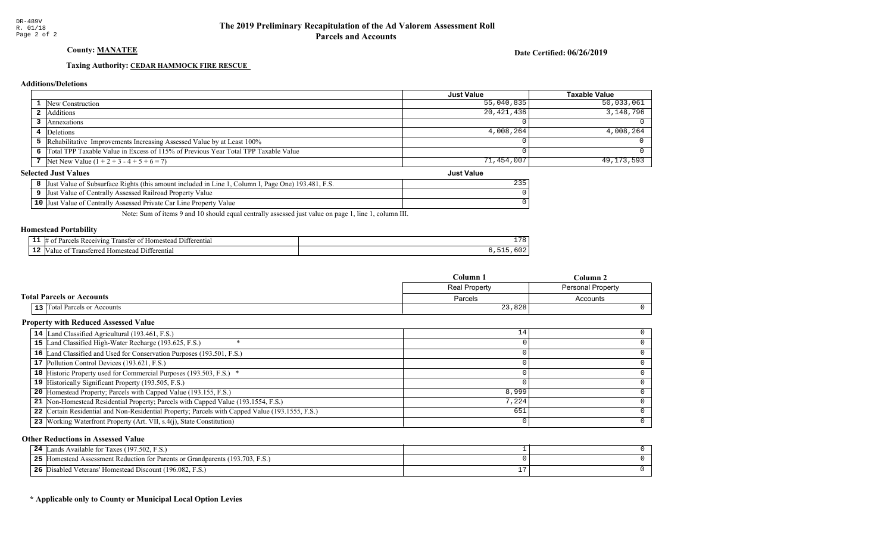County: **MANATEE** 

Date Certified: 06/26/2019

Just Value

### Taxing Authority: CEDAR HAMMOCK FIRE RESCUE

#### **Additions/Deletions**

|                                                                                      | <b>Just Value</b> | Taxable Value |
|--------------------------------------------------------------------------------------|-------------------|---------------|
| <b>1</b> New Construction                                                            | 55,040,835        | $50,033,061$  |
| 2 Additions                                                                          | 20,421,436        | 3,148,796     |
| Annexations                                                                          |                   |               |
| 4 Deletions                                                                          | 4,008,264         | $4,008,264$   |
| 5 Rehabilitative Improvements Increasing Assessed Value by at Least 100%             |                   |               |
| 6 Total TPP Taxable Value in Excess of 115% of Previous Year Total TPP Taxable Value |                   |               |
| 7 Net New Value $(1 + 2 + 3 - 4 + 5 + 6 = 7)$                                        | 71,454,007        | 49,173,593    |

#### **Selected Just Values**

| t Value of Subsurface Rights (this amount included in Line 1.<br>Column I, Page One) 193.481, F.S.<br>IJust | 235 |
|-------------------------------------------------------------------------------------------------------------|-----|
| Just Value of Centrally Assessed Railroad Property Value                                                    |     |
| 10 Just Value of Centrally Assessed Private Car Line Property Value                                         |     |

Note: Sum of items 9 and 10 should equal centrally assessed just value on page 1, line 1, column III.

#### Homestead Portability

|     | 11 ا (<br>erential<br>eiving<br>. .<br>יחα<br>.domec<br>ranster<br>Ωì<br>$\sim$ | 70<br>. . |
|-----|---------------------------------------------------------------------------------|-----------|
| . . | -111<br>10.1<br>terentia<br>domester<br>alu                                     |           |

|                                  | Column 1      | $Column \angle$          |
|----------------------------------|---------------|--------------------------|
|                                  | Real Property | <b>Personal Property</b> |
| <b>Total Parcels or Accounts</b> | Parcels       | Accounts                 |
| 13 Total Parcels or Accounts     | 23,828        |                          |

#### Property with Reduced Assessed Value

| 14 Land Classified Agricultural (193.461, F.S.)                                                 | 14    |  |
|-------------------------------------------------------------------------------------------------|-------|--|
| 15 Land Classified High-Water Recharge (193.625, F.S.)                                          |       |  |
| 16 Land Classified and Used for Conservation Purposes (193.501, F.S.)                           |       |  |
| 17 Pollution Control Devices (193.621, F.S.)                                                    |       |  |
| 18 Historic Property used for Commercial Purposes (193.503, F.S.) *                             |       |  |
| 19 Historically Significant Property (193.505, F.S.)                                            |       |  |
| <b>20</b> Homestead Property; Parcels with Capped Value (193.155, F.S.)                         | 8,999 |  |
| 21 Non-Homestead Residential Property; Parcels with Capped Value (193.1554, F.S.)               | 7,224 |  |
| 22 Certain Residential and Non-Residential Property; Parcels with Capped Value (193.1555, F.S.) | 651   |  |
| 23 Working Waterfront Property (Art. VII, s.4(j), State Constitution)                           |       |  |
|                                                                                                 |       |  |

#### Other Reductions in Assessed Value

| ands Available for Taxes (197.502, F.S.)<br>24                                         |  |
|----------------------------------------------------------------------------------------|--|
| 5 [Homestead Assessment Reduction for Parents or Grandparents (193.703, F.S.)<br>-25 1 |  |
| Disabled Veterans' Homestead Discount (196.082, F.S.)<br>26                            |  |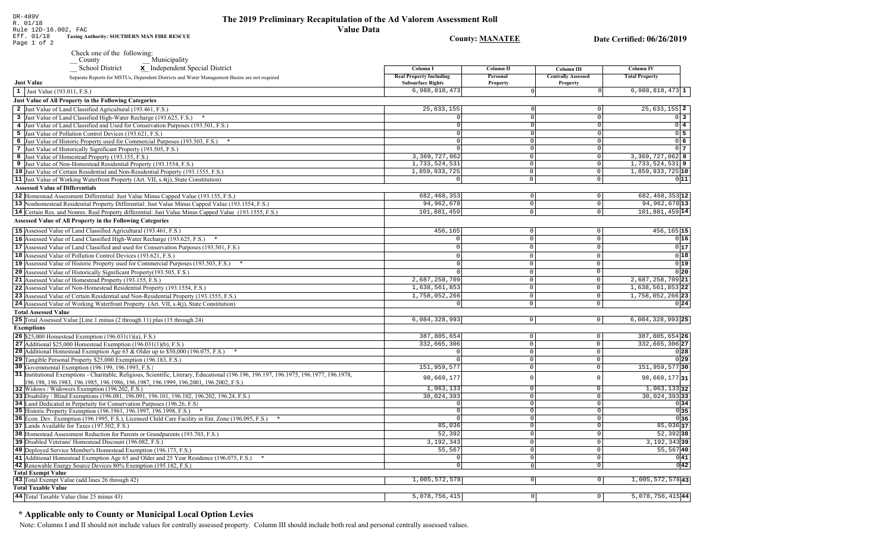**County: MANATEE** 

Date Certified: 06/26/2019

|                                           | Check one of the following:<br>Municipality<br>County                                                                                                                                                                      |                                                            |                      |                                       |                            |  |
|-------------------------------------------|----------------------------------------------------------------------------------------------------------------------------------------------------------------------------------------------------------------------------|------------------------------------------------------------|----------------------|---------------------------------------|----------------------------|--|
|                                           | <b>School District</b><br>x Independent Special District                                                                                                                                                                   | Column I                                                   | Column II            | <b>Column III</b>                     | <b>Column IV</b>           |  |
| <b>Just Value</b>                         | Separate Reports for MSTUs, Dependent Districts and Water Management Basins are not required                                                                                                                               | <b>Real Property Including</b><br><b>Subsurface Rights</b> | Personal<br>Property | <b>Centrally Assessed</b><br>Property | <b>Total Property</b>      |  |
| 1 Just Value (193.011, F.S.)              |                                                                                                                                                                                                                            | 6,988,818,473                                              |                      |                                       | $6,988,818,473$ 1          |  |
|                                           | <b>Just Value of All Property in the Following Categories</b>                                                                                                                                                              |                                                            |                      |                                       |                            |  |
|                                           | 2 Just Value of Land Classified Agricultural (193.461, F.S.)                                                                                                                                                               | 25,633,155                                                 |                      |                                       | $25,633,155$ 2             |  |
|                                           | 3 Just Value of Land Classified High-Water Recharge (193.625, F.S.) *                                                                                                                                                      | $\circ$                                                    |                      | $\Omega$<br>$\Omega$                  | 0 <sup>3</sup>             |  |
|                                           | 4 Just Value of Land Classified and Used for Conservation Purposes (193.501, F.S.)                                                                                                                                         | 0                                                          |                      | $\overline{0}$<br>$\cap$              | $\overline{0}$ 4           |  |
|                                           | 5 Just Value of Pollution Control Devices (193.621, F.S.)                                                                                                                                                                  | $\overline{0}$                                             |                      | $\overline{0}$<br>$\Omega$            | $0\overline{5}$            |  |
|                                           | 6 Just Value of Historic Property used for Commercial Purposes (193.503, F.S.) *                                                                                                                                           | $\Omega$                                                   |                      | $\overline{0}$<br>$\circ$             | 06                         |  |
|                                           | 7 Just Value of Historically Significant Property (193.505, F.S.)                                                                                                                                                          | $\Omega$                                                   |                      | $\circ$<br>$\circ$                    | $0\overline{7}$            |  |
|                                           | 8 Just Value of Homestead Property (193.155, F.S.)                                                                                                                                                                         | 3, 369, 727, 062                                           |                      | $\circ$<br>$\circ$                    | 3, 369, 727, 062 8         |  |
|                                           | 9 Just Value of Non-Homestead Residential Property (193.1554, F.S.)                                                                                                                                                        | 1,733,524,531                                              |                      | $\circ$<br>$\circ$                    | $1,733,524,531$ 9          |  |
|                                           | 10 Just Value of Certain Residential and Non-Residential Property (193.1555, F.S.)                                                                                                                                         | 1,859,933,725                                              |                      | $\circ$<br>$\overline{0}$             | 1,859,933,725 10           |  |
|                                           | 11 Just Value of Working Waterfront Property (Art. VII, s.4(j), State Constitution)                                                                                                                                        | $\mathbf 0$                                                |                      | $\circ$<br>$\circ$                    | 011                        |  |
| <b>Assessed Value of Differentials</b>    |                                                                                                                                                                                                                            |                                                            |                      |                                       |                            |  |
|                                           | 12 Homestead Assessment Differential: Just Value Minus Capped Value (193.155, F.S.)                                                                                                                                        | 682, 468, 353                                              |                      | 0 <br>$\mathsf 0$                     | 682, 468, 353 12           |  |
|                                           | 13 Nonhomestead Residential Property Differential: Just Value Minus Capped Value (193.1554, F.S.)                                                                                                                          | 94, 962, 678                                               |                      | $\overline{0}$<br>$\mathbf 0$         | 94, 962, 678 13            |  |
|                                           | 14 Certain Res. and Nonres. Real Property differential: Just Value Minus Capped Value (193.1555, F.S.)                                                                                                                     | 101,881,459                                                |                      | $\mathbf{0}$<br>$\mathbf 0$           | 101,881,459 14             |  |
|                                           | <b>Assessed Value of All Property in the Following Categories</b>                                                                                                                                                          |                                                            |                      |                                       |                            |  |
|                                           | 15 Assessed Value of Land Classified Agricultural (193.461, F.S.)                                                                                                                                                          | 456,165                                                    |                      | $\mathbb O$<br>$\mathsf 0$            | 456, 165 15                |  |
|                                           | 16 Assessed Value of Land Classified High-Water Recharge (193.625, F.S.)                                                                                                                                                   |                                                            |                      | $\mathbb O$<br>$\mathbf{0}$           | 0 16                       |  |
|                                           | 17 Assessed Value of Land Classified and used for Conservation Purposes (193.501, F.S.)                                                                                                                                    | $\Omega$                                                   |                      | $\mathbb O$<br>$\mathbf 0$            | 0 17                       |  |
|                                           | 18 Assessed Value of Pollution Control Devices (193.621, F.S.)                                                                                                                                                             |                                                            |                      | $\mathbb O$<br>$\mathbb O$            | 0 18                       |  |
|                                           | 19 Assessed Value of Historic Property used for Commercial Purposes (193.503, F.S.) *                                                                                                                                      |                                                            |                      | $\mathsf{O}\xspace$<br>$\mathbb O$    | 0 19                       |  |
|                                           | 20 Assessed Value of Historically Significant Property (193.505, F.S.)                                                                                                                                                     |                                                            |                      | $\mathsf{O}\xspace$<br>$\mathbb O$    | 0 20                       |  |
|                                           | 21 Assessed Value of Homestead Property (193.155, F.S.)                                                                                                                                                                    | 2,687,258,709                                              |                      | $\mathbb O$<br>$\mathsf{O}$           | 2,687,258,709 21           |  |
|                                           | 22 Assessed Value of Non-Homestead Residential Property (193.1554, F.S.)                                                                                                                                                   | 1,638,561,853                                              |                      | $\mathbb O$<br>$\mathbf{0}$           | $1,638,561,853$ 22         |  |
|                                           | 23 Assessed Value of Certain Residential and Non-Residential Property (193.1555, F.S.)                                                                                                                                     | 1,758,052,266                                              |                      | $\mathbb O$<br>$\mathbb O$            | 1,758,052,266 23           |  |
|                                           | 24 Assessed Value of Working Waterfront Property (Art. VII, s.4(j), State Constitution)                                                                                                                                    | $\Omega$                                                   |                      | $\mathsf 0$<br>$\mathbf 0$            | 0 24                       |  |
| <b>Total Assessed Value</b>               |                                                                                                                                                                                                                            |                                                            |                      |                                       |                            |  |
|                                           | 25 Total Assessed Value [Line 1 minus (2 through 11) plus (15 through 24)                                                                                                                                                  | 6,084,328,993                                              |                      | $\mathbb O$<br>$\circ$                | $6,084,328,993$ 25         |  |
| <b>Exemptions</b>                         |                                                                                                                                                                                                                            |                                                            |                      |                                       |                            |  |
|                                           | 26 \$25,000 Homestead Exemption (196.031(1)(a), F.S.)                                                                                                                                                                      | 387,805,654                                                |                      | $\mathbb O$<br>$\circ$                | 387,805,654 26             |  |
|                                           | 27 Additional $$25,000$ Homestead Exemption (196.031(1)(b), F.S.)                                                                                                                                                          | 332,665,306                                                |                      | $\overline{0}$<br>$\mathbb O$         | 332, 665, 306 27           |  |
|                                           | 28 Additional Homestead Exemption Age 65 & Older up to \$50,000 (196.075, F.S.)                                                                                                                                            | $\Omega$                                                   |                      | $\mathbb O$<br>$\mathsf{O}\xspace$    | 0 28                       |  |
|                                           | 29 Tangible Personal Property \$25,000 Exemption (196.183, F.S.)                                                                                                                                                           |                                                            |                      | $\mathbb O$<br>$\mathsf{O}\xspace$    | 0 29                       |  |
|                                           | 30 Governmental Exemption (196.199, 196.1993, F.S.)                                                                                                                                                                        | 151,959,577                                                |                      | $\overline{0}$<br>$\mathsf{O}\xspace$ | 151,959,57730              |  |
|                                           | 31 Institutional Exemptions - Charitable, Religious, Scientific, Literary, Educational (196.196.197, 196.1975, 196.1977, 196.1978,<br>196.198. 196.1983. 196.1985. 196.1986. 196.1987. 196.1999. 196.2001. 196.2002. F.S.) | 98,669,177                                                 |                      | $\mathsf 0$                           | 98,669,17731               |  |
|                                           | 32 Widows / Widowers Exemption (196.202, F.S.)                                                                                                                                                                             | 1,063,133                                                  |                      | $\mathbf 0$<br>$\Omega$               | $1,063,133$ 32             |  |
|                                           | 33 Disability / Blind Exemptions (196.081, 196.091, 196.101, 196.102, 196.202, 196.24, F.S.)                                                                                                                               | 30,024,393                                                 |                      | $\mathbf 0$<br>$\mathsf{O}\xspace$    | $\overline{30,024,393}$ 33 |  |
|                                           | 34 Land Dedicated in Perpetuity for Conservation Purposes (196.26, F.S.)                                                                                                                                                   |                                                            |                      | $\mathbf 0$<br>$\mathbf 0$            | 0 34                       |  |
|                                           | 35 Historic Property Exemption (196.1961, 196.1997, 196.1998, F.S.) *                                                                                                                                                      |                                                            |                      | $\Omega$<br>$\Omega$                  | 0 35                       |  |
|                                           | 36 Econ. Dev. Exemption (196.1995, F.S.), Licensed Child Care Facility in Ent. Zone (196.095, F.S.)                                                                                                                        |                                                            |                      | $\Omega$<br>$\mathbf 0$               | 0 36                       |  |
|                                           | 37 Lands Available for Taxes (197.502, F.S.)                                                                                                                                                                               | 85,036                                                     |                      | $\Omega$<br>$\mathbf 0$               | $85,036$ 37                |  |
|                                           | 38 Homestead Assessment Reduction for Parents or Grandparents (193.703, F.S.)                                                                                                                                              | 52,392                                                     |                      | $\Omega$<br>$\Omega$                  | 52,39238                   |  |
|                                           | 39 Disabled Veterans' Homestead Discount (196.082, F.S.)                                                                                                                                                                   | 3,192,343                                                  |                      | $\Omega$<br>$\mathbf 0$               | 3, 192, 343 39             |  |
|                                           | 40 Deployed Service Member's Homestead Exemption (196.173, F.S.)                                                                                                                                                           | 55,567                                                     |                      | $\Omega$<br>$\mathbf{0}$              | 55,56740                   |  |
|                                           | 41 Additional Homestead Exemption Age 65 and Older and 25 Year Residence (196.075, F.S.)                                                                                                                                   |                                                            |                      | $\mathsf{O}$<br>$\Omega$              | 0 41                       |  |
|                                           | 42 Renewable Energy Source Devices 80% Exemption (195.182, F.S.)                                                                                                                                                           | $\Omega$                                                   |                      | $\mathsf 0$<br>$\mathbf 0$            | 0 42                       |  |
| <b>Total Exempt Value</b>                 |                                                                                                                                                                                                                            |                                                            |                      |                                       |                            |  |
|                                           | 43 Total Exempt Value (add lines 26 through 42)                                                                                                                                                                            | 1,005,572,578                                              |                      | $\mathsf 0$<br> 0                     | 1,005,572,578 43           |  |
| <b>Total Taxable Value</b>                |                                                                                                                                                                                                                            |                                                            |                      |                                       |                            |  |
| 44 Total Taxable Value (line 25 minus 43) |                                                                                                                                                                                                                            | 5,078,756,415                                              |                      | $\circ$<br>$\mathsf{O}\xspace$        | 5,078,756,41544            |  |

# \* Applicable only to County or Municipal Local Option Levies

Note: Columns I and II should not include values for centrally assessed property. Column III should include both real and personal centrally assessed values.

DR-489V<br>R. 01/18 N. 01/10<br>Etf. 01/18 Taxing Authority: SOUTHERN MAN FIRE RESCUE<br>Page 1 of 2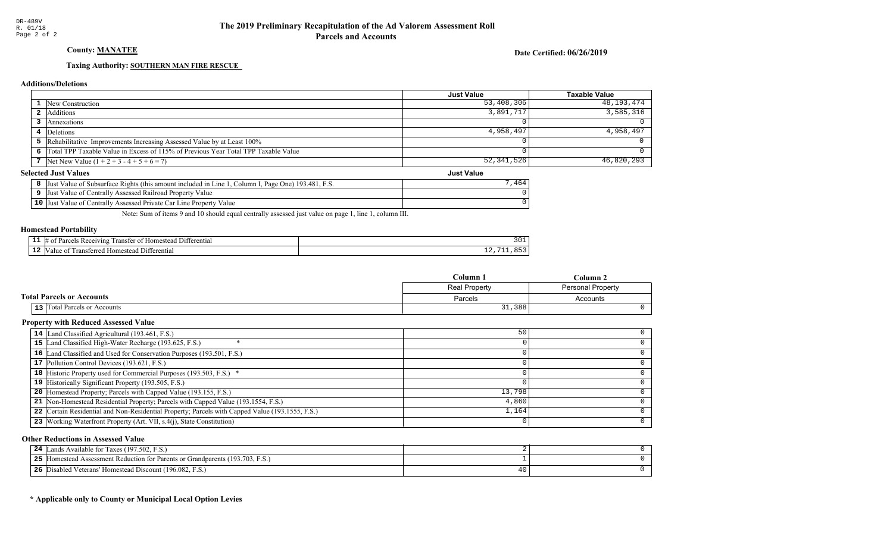# County: **MANATEE**

Date Certified: 06/26/2019

Just Value

#### Taxing Authority: SOUTHERN MAN FIRE RESCUE

#### **Additions/Deletions**

|                                                                                      | <b>Just Value</b> | Taxable Value |
|--------------------------------------------------------------------------------------|-------------------|---------------|
| <b>1</b> New Construction                                                            | 53,408,306        | 48,193,474    |
| Additions                                                                            | 3,891,717         | 3,585,316     |
| Annexations                                                                          |                   |               |
| 4 Deletions                                                                          | 4,958,497         | 4,958,497     |
| <b>5</b> Rehabilitative Improvements Increasing Assessed Value by at Least 100%      |                   |               |
| 6 Total TPP Taxable Value in Excess of 115% of Previous Year Total TPP Taxable Value |                   |               |
| 7 Net New Value $(1 + 2 + 3 - 4 + 5 + 6 = 7)$                                        | 52,341,526        | 46,820,293    |

#### **Selected Just Values**

| Just Value of Subsurface Rights (this amount included in Line 1, Column I, Page One) 193.481, F.S. |  |
|----------------------------------------------------------------------------------------------------|--|
| Just Value of Centrally Assessed Railroad Property Value                                           |  |
| 10 Just Value of Centrally Assessed Private Car Line Property Value                                |  |

Note: Sum of items 9 and 10 should equal centrally assessed just value on page 1, line 1, column III.

#### Homestead Portability

| -- | <b>CONTRACTOR</b><br>erentia<br>eiving:<br>10 <sup>m</sup><br>ranstei<br>، ا ه<br>$^{\Omega}$<br>n |      |
|----|----------------------------------------------------------------------------------------------------|------|
| -- | rentia.<br>111<br>$\alpha$ ma<br>-stee                                                             | -- - |

|                                  | Column 1             | Column 2                 |
|----------------------------------|----------------------|--------------------------|
|                                  | <b>Real Property</b> | <b>Personal Property</b> |
| <b>Total Parcels or Accounts</b> | Parcels              | Accounts                 |
| 13 Total Parcels or Accounts     | 31,388               |                          |

#### Property with Reduced Assessed Value

| 14 Land Classified Agricultural (193.461, F.S.)                                                 | 50     |   |
|-------------------------------------------------------------------------------------------------|--------|---|
| 15 Land Classified High-Water Recharge (193.625, F.S.)                                          |        |   |
| 16 Land Classified and Used for Conservation Purposes (193.501, F.S.)                           |        |   |
| 17 Pollution Control Devices (193.621, F.S.)                                                    |        |   |
| 18 Historic Property used for Commercial Purposes (193.503, F.S.) *                             |        |   |
| 19 Historically Significant Property (193.505, F.S.)                                            |        |   |
| <b>20</b> Homestead Property; Parcels with Capped Value (193.155, F.S.)                         | 13,798 |   |
| 21 Non-Homestead Residential Property; Parcels with Capped Value (193.1554, F.S.)               | 4,860  |   |
| 22 Certain Residential and Non-Residential Property; Parcels with Capped Value (193.1555, F.S.) | 1,164  |   |
| 23 Working Waterfront Property (Art. VII, s.4(j), State Constitution)                           |        | ∩ |

#### Other Reductions in Assessed Value

| Lands Available for Taxes (197.502, F.S.)<br>24                                  |  |
|----------------------------------------------------------------------------------|--|
| 25<br>Homestead Assessment Reduction for Parents or Grandparents (193.703, F.S.) |  |
| 26<br>Disabled Veterans' Homestead Discount (196.082, F.S.)                      |  |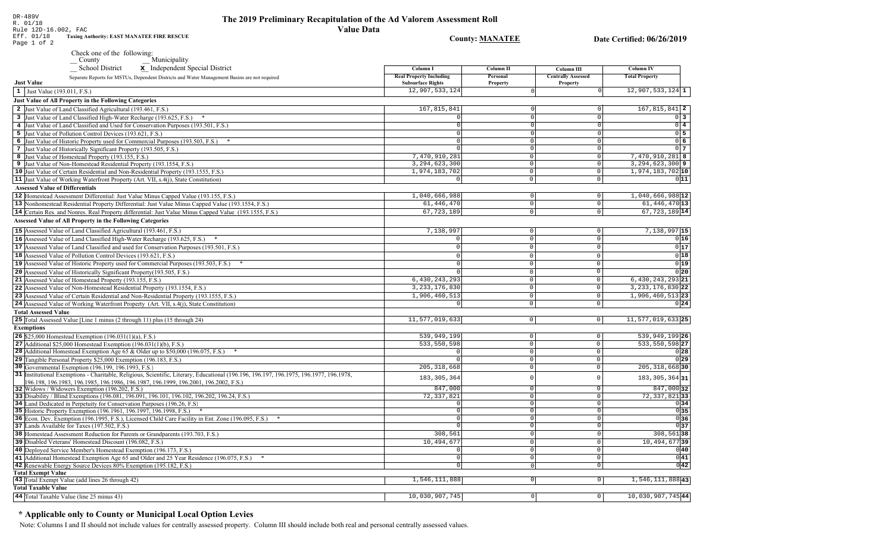$0<sup>3</sup>$ 

 $0\sqrt{4}$ 

 $0\overline{5}$ 

 $0\overline{6}$ 

 $0<sub>7</sub>$ 

 $011$ 

 $0|16$ 

 $0|17$ 

 $0|18$ 

 $0|19|$ 

 $0|20|$ 

 $0|24|$ 

 $0|28|$ 

029

 $0|34|$ 

 $0|35|$ 

 $\overline{0}$ 36

 $\sqrt{37}$ 

 $0|40|$ 

 $0|41|$ 

 $\overline{0|42|}$ 

R. 01/18 Rule 12D-16.002, FAC **Value Data Taxing Authority: EAST MANATEE FIRE RESCUE** Eff. 01/18 **County: MANATEE** Date Certified: 06/26/2019 Page 1 of 2 Check one of the following: Municipality School District x Independent Special District Column I **Column II** Column III **Column IV Real Property Including** Personal **Centrally Assessed Total Property** Separate Reports for MSTUs, Dependent Districts and Water Management Basins are not required **Just Value Subsurface Rights** Property Property 12,907,533,124  $12,907,533,124$  1  $\vert 1 \vert$  Just Value (193.011, F.S.) **Just Value of All Property in the Following Categories** 2 Just Value of Land Classified Agricultural (193.461, F.S.) 167,815,841  $167.815.841$  2 3 Just Value of Land Classified High-Water Recharge (193.625, F.S.) \*  $\Omega$ 4 Just Value of Land Classified and Used for Conservation Purposes (193.501, F.S.) 5 Just Value of Pollution Control Devices (193.621, F.S.)  $\Omega$ 6 Just Value of Historic Property used for Commercial Purposes (193.503, F.S.) \* 7 Just Value of Historically Significant Property (193.505, F.S.)  $\Omega$  $7.470.910.281$ 7,470,910,281 8 8 Just Value of Homestead Property (193.155, F.S.)  $\cap$  $3, 294, 623, 300$  9 3, 294, 623, 300 9 Just Value of Non-Homestead Residential Property (193.1554, F.S.)  $\Omega$ 10 Just Value of Certain Residential and Non-Residential Property (193.1555, F.S.) 1,974,183,702 1,974,183,702 10  $\circ$ 11 Just Value of Working Waterfront Property (Art. VII, s.4(j), State Constitution)  $\overline{\circ}$  $\overline{0}$ **Assessed Value of Differentials**  $1,040,666,988$ <sup>12</sup> 1,040,666,988 12 Homestead Assessment Differential: Just Value Minus Capped Value (193.155, F.S.)  $\Omega$  $\Omega$ 61, 446, 470  $61, 446, 470$  13 13 Nonhomestead Residential Property Differential: Just Value Minus Capped Value (193.1554, F.S.)  $\mathbb O$ 14 Certain Res. and Nonres. Real Property differential: Just Value Minus Capped Value (193.1555, F.S.) 67, 723, 189  $67,723,189$ <sup>14</sup>  $\cap$ **Assessed Value of All Property in the Following Categories** 15 Assessed Value of Land Classified Agricultural (193.461, F.S.) 7,138,997  $\Omega$  $\Omega$  $7,138,997$  15 16 Assessed Value of Land Classified High-Water Recharge (193.625, F.S.) 0  $\Omega$  $\Omega$ **17** Assessed Value of Land Classified and used for Conservation Purposes (193.501, F.S.)  $|0|$  $\mathbf{0}$  $\overline{0}$ 18 Assessed Value of Pollution Control Devices (193.621, F.S.)  $\Omega$  $\Omega$  $\Omega$ 19 Assessed Value of Historic Property used for Commercial Purposes (193.503, F.S.) \*  $\Omega$  $\Omega$ 20 Assessed Value of Historically Significant Property (193.505, F.S.)  $\cap$  $\Omega$  $6, 430, 243, 293$ 21 Assessed Value of Homestead Property (193.155, F.S.) 6,430,243,293 21  $\cap$ 22 Assessed Value of Non-Homestead Residential Property (193.1554, F.S.) 3, 233, 176, 830  $\Omega$ 3, 233, 176, 830 22  $1,906,460,513$  23 1,906,460,513 23 Assessed Value of Certain Residential and Non-Residential Property (193.1555, F.S.)  $\cap$  $\Omega$ 24 Assessed Value of Working Waterfront Property (Art. VII, s.4(j), State Constitution)  $\mathsf{O}$  $\circ$ **Total Assessed Value** 25 Total Assessed Value [Line 1 minus (2 through 11) plus (15 through 24) 11,577,019,633  $\overline{0}$  $|0|$  $11,577,019,633$  25 **Exemptions** 539,949,199 **26** \$25,000 Homestead Exemption  $(196.031(1)(a), F.S.)$  $\overline{0}$ 27 Additional \$25,000 Homestead Exemption  $(196.031(1)(b), F.S.)$ 533, 550, 598  $\circ$  $\sqrt{2}$ 28 Additional Homestead Exemption Age 65 & Older up to \$50,000 (196.075, F.S.) \*  $\overline{0}$  $\cap$ 29 Tangible Personal Property \$25,000 Exemption (196.183, F.S.)  $\overline{0}$  $\circ$ 30 Governmental Exemption (196.199, 196.1993, F.S.)  $205.318.668$  $\overline{\circ}$ 

539,949,199 26 533, 550, 598 27  $205.318.66830$ 31 Institutional Exemptions - Charitable, Religious, Scientific, Literary, Educational (196.196, 196.197, 196.1977, 196.1977, 196.1978, 183, 305, 364  $\circ$ 183, 305, 364 31 196.198, 196.1983, 196.1985, 196.1986, 196.1987, 196.1999, 196.2001, 196.2002, F.S.) 847.000 847,000 32 32 Widows / Widowers Exemption (196.202, F.S.)  $\Omega$ 33 Disability / Blind Exemptions (196.081, 196.091, 196.101, 196.102, 196.202, 196.24, F.S.) 72,337,821  $\overline{0}$ 72, 337, 821 33 34 Land Dedicated in Perpetuity for Conservation Purposes (196.26, F.S)  $\overline{\circ}$  $\cap$ 35 Historic Property Exemption (196.1961, 196.1997, 196.1998, F.S.) \*  $\Omega$  $\circ$ 36 Econ. Dev. Exemption (196.1995, F.S.), Licensed Child Care Facility in Ent. Zone (196.095, F.S.) \*  $\sqrt{ }$  $\overline{0}$ 37 Lands Available for Taxes (197.502, F.S.)  $\overline{0}$ 38 Homestead Assessment Reduction for Parents or Grandparents (193.703, F.S.) 308,561  $308,561$  38 0  $10,494,677$ 39 10,494,677 39 Disabled Veterans' Homestead Discount (196.082, F.S.)  $\overline{0}$ 40 Deployed Service Member's Homestead Exemption (196.173, F.S.)  $\Omega$  $\overline{0}$  $\overline{\circ}$ 41 Additional Homestead Exemption Age 65 and Older and 25 Year Residence (196.075, F.S.) \*  $\overline{0}$ 42 Renewable Energy Source Devices 80% Exemption (195.182, F.S.)  $\overline{\phantom{0}}$  $\overline{0}$ **Total Exempt Value** 43 Total Exempt Value (add lines 26 through 42) 1,546,111,888  $\boxed{0}$ 1,546,111,88843 **Total Taxable Value** 44 Total Taxable Value (line 25 minus 43) 10,030,907,745  $\overline{0}$  $|0|$ 10,030,907,745 44

#### \* Applicable only to County or Municipal Local Option Levies

DR-489V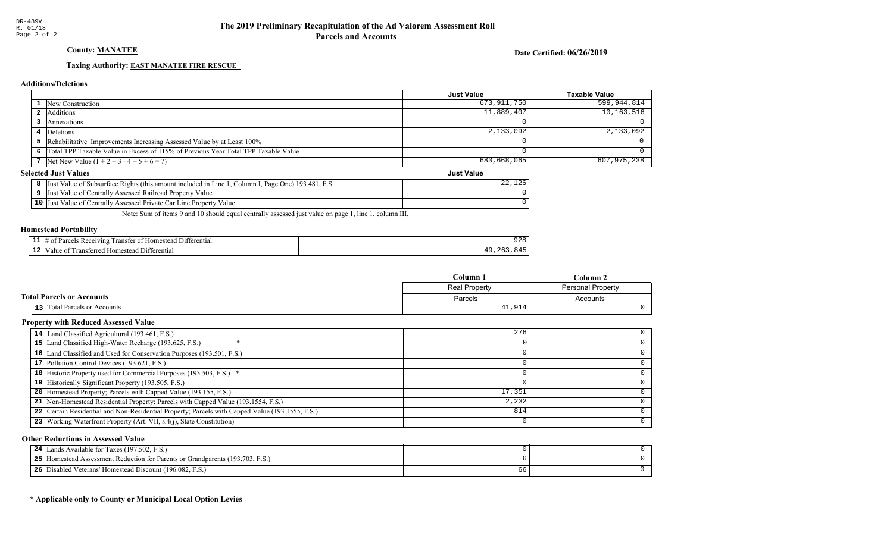# County: **MANATEE**

Date Certified: 06/26/2019

Just Value

#### Taxing Authority: **EAST MANATEE FIRE RESCUE**

#### **Additions/Deletions**

|                                                                                      | Just Value  | <b>Taxable Value</b> |
|--------------------------------------------------------------------------------------|-------------|----------------------|
| <b>1</b> New Construction                                                            | 673,911,750 | 599,944,814          |
| Additions                                                                            | 11,889,407  | 10,163,516           |
| Annexations                                                                          |             |                      |
| 4 Deletions                                                                          | 2,133,092   | 2,133,092            |
| 5 Rehabilitative Improvements Increasing Assessed Value by at Least 100%             |             |                      |
| 6 Total TPP Taxable Value in Excess of 115% of Previous Year Total TPP Taxable Value |             |                      |
| 7 Net New Value $(1 + 2 + 3 - 4 + 5 + 6 = 7)$                                        | 683,668,065 | 607,975,238          |

#### **Selected Just Values**

| Value of Subsurface Rights (this amount included in Line 1<br>Column I, Page One) 193.481, F.S.<br>IJust | 126 |
|----------------------------------------------------------------------------------------------------------|-----|
| t Value of Centrally Assessed Railroad Property Value<br> Just                                           |     |
| <b>10</b> Just Value of Centrally Assessed Private Car Line Property Value                               |     |

Note: Sum of items 9 and 10 should equal centrally assessed just value on page 1, line 1, column III.

#### Homestead Portability

| . .<br>. | 11 ا (<br>erential<br>$\sim$ viving $\sim$<br>$\cdots$<br>$v_{\rm 3L}$<br>$\Omega$<br>ranster<br>omes<br>- SI F<br>−™ | $\sim$ $\sim$ $\sim$<br>ں ہے ر |
|----------|-----------------------------------------------------------------------------------------------------------------------|--------------------------------|
| --       | 11.<br>rerentia<br>анне<br>-domer                                                                                     |                                |

|                                  | $C$ olumn $\,$ . | ' `olumn .        |
|----------------------------------|------------------|-------------------|
|                                  | Real Property    | Personal Property |
| <b>Total Parcels or Accounts</b> | Parcels          | Accounts          |
| 13 Total Parcels or Accounts     | 41,914           |                   |

#### Property with Reduced Assessed Value

| 14 Land Classified Agricultural (193.461, F.S.)                                                 | 276    |  |
|-------------------------------------------------------------------------------------------------|--------|--|
| 15 Land Classified High-Water Recharge (193.625, F.S.)                                          |        |  |
| 16 Land Classified and Used for Conservation Purposes (193.501, F.S.)                           |        |  |
| 17 Pollution Control Devices (193.621, F.S.)                                                    |        |  |
| 18 Historic Property used for Commercial Purposes (193.503, F.S.) *                             |        |  |
| 19 Historically Significant Property (193.505, F.S.)                                            |        |  |
| 20 Homestead Property; Parcels with Capped Value (193.155, F.S.)                                | 17,351 |  |
| 21 Non-Homestead Residential Property; Parcels with Capped Value (193.1554, F.S.)               | 2,232  |  |
| 22 Certain Residential and Non-Residential Property; Parcels with Capped Value (193.1555, F.S.) | 814    |  |
| 23 Working Waterfront Property (Art. VII, s.4(j), State Constitution)                           |        |  |
|                                                                                                 |        |  |

#### Other Reductions in Assessed Value

| Lands Available for Taxes (197.502, F.S.)<br>24                                          |  |
|------------------------------------------------------------------------------------------|--|
| [Homestead Assessment Reduction for Parents or Grandparents (193.703, F.S.)<br>つら<br>ـ ـ |  |
| 26<br>Disabled Veterans' Homestead Discount (196.082, F.S.)                              |  |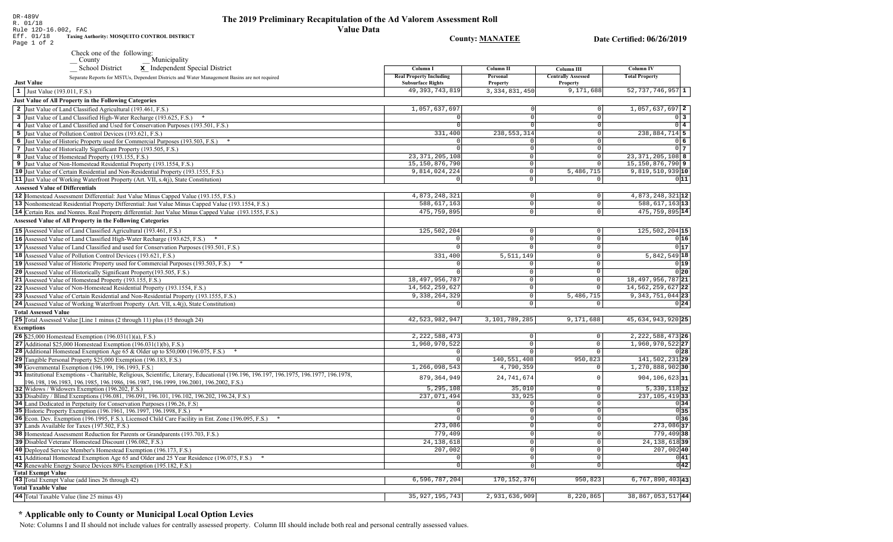**County: MANATEE** 

DR-489V<br>R. 01/18<br>Rule 12D-16.002, FAC<br>Eff. 01/18 Taxing Aud<br>Page 1 of 2 Taxing Authority: MOSQUITO CONTROL DISTRICT

| x Independent Special District<br>School District<br>Separate Reports for MSTUs, Dependent Districts and Water Management Basins are not required | Column I<br><b>Real Property Including</b> | Column II<br>Personal | Column III<br><b>Centrally Assessed</b> | <b>Column IV</b><br><b>Total Property</b> |
|---------------------------------------------------------------------------------------------------------------------------------------------------|--------------------------------------------|-----------------------|-----------------------------------------|-------------------------------------------|
| <b>Just Value</b>                                                                                                                                 | <b>Subsurface Rights</b>                   | <b>Property</b>       | <b>Property</b>                         |                                           |
| 1 Just Value (193.011, F.S.)                                                                                                                      | 49, 393, 743, 819                          | 3, 334, 831, 450      | 9,171,688                               | $52,737,746,957$ 1                        |
| Just Value of All Property in the Following Categories                                                                                            |                                            |                       |                                         |                                           |
| 2 Just Value of Land Classified Agricultural (193.461, F.S.)                                                                                      | 1,057,637,697                              |                       |                                         | 1,057,637,697 2                           |
| 3 Just Value of Land Classified High-Water Recharge (193.625, F.S.)                                                                               |                                            |                       | $\Omega$                                | $0\vert 3$                                |
| 4 Just Value of Land Classified and Used for Conservation Purposes (193.501, F.S.)                                                                |                                            |                       |                                         | $0\sqrt{4}$                               |
| 5 Just Value of Pollution Control Devices (193.621, F.S.)                                                                                         | 331,400                                    | 238, 553, 314         | $\Omega$                                | 238,884,714 5                             |
| 6 Just Value of Historic Property used for Commercial Purposes (193.503, F.S.) *                                                                  |                                            |                       | $\Omega$                                | $0\overline{6}$                           |
| 7 Just Value of Historically Significant Property (193.505, F.S.)                                                                                 |                                            | $\Omega$              | $\overline{0}$                          | 0 <sub>7</sub>                            |
| 8 Just Value of Homestead Property (193.155, F.S.)                                                                                                | 23, 371, 205, 108                          | $\Omega$              | $\circ$                                 | 23, 371, 205, 108 8                       |
| 9 Just Value of Non-Homestead Residential Property (193.1554, F.S.)                                                                               | 15, 150, 876, 790                          | $\Omega$              | $\Omega$                                | 15, 150, 876, 790 9                       |
| 10 Just Value of Certain Residential and Non-Residential Property (193.1555, F.S.)                                                                | 9,814,024,224                              | $\circ$               | 5,486,715                               | 9,819,510,939 10                          |
| 11 Just Value of Working Waterfront Property (Art. VII, s.4(j), State Constitution)                                                               |                                            | $\Omega$              | $\mathbf 0$                             | 011                                       |
| <b>Assessed Value of Differentials</b>                                                                                                            |                                            |                       |                                         |                                           |
| 12 Homestead Assessment Differential: Just Value Minus Capped Value (193.155, F.S.)                                                               | 4,873,248,321                              | $\circ$               | $\mathbb O$                             | 4,873,248,321 12                          |
|                                                                                                                                                   | 588,617,163                                | 0                     | $\overline{0}$                          | 588, 617, 163 13                          |
| 13 Nonhomestead Residential Property Differential: Just Value Minus Capped Value (193.1554, F.S.)                                                 |                                            |                       |                                         |                                           |
| 14 Certain Res. and Nonres. Real Property differential: Just Value Minus Capped Value (193.1555, F.S.)                                            | 475, 759, 895                              | $\circ$               | $\mathsf 0$                             | 475, 759, 895 14                          |
| <b>Assessed Value of All Property in the Following Categories</b>                                                                                 |                                            |                       |                                         |                                           |
| 15 Assessed Value of Land Classified Agricultural (193.461, F.S.)                                                                                 | 125,502,204                                | $\mathbf 0$           | $\mathsf 0$                             | 125,502,204 15                            |
| 16 Assessed Value of Land Classified High-Water Recharge (193.625, F.S.) *                                                                        | $\Omega$                                   | $\mathbf{0}$          | $\circ$                                 | 0 16                                      |
| 17 Assessed Value of Land Classified and used for Conservation Purposes (193.501, F.S.)                                                           | $\Omega$                                   | $\Omega$              | $\mathsf 0$                             | 0 17                                      |
| 18 Assessed Value of Pollution Control Devices (193.621, F.S.)                                                                                    | 331,400                                    | 5, 511, 149           | $\mathbb O$                             | $5,842,549$ 18                            |
| 19 Assessed Value of Historic Property used for Commercial Purposes (193.503, F.S.)                                                               |                                            |                       | $\Omega$                                | 0 19                                      |
| 20 Assessed Value of Historically Significant Property (193.505, F.S.)                                                                            |                                            | $\Omega$              | $\Omega$                                | 0 20                                      |
| 21 Assessed Value of Homestead Property (193.155, F.S.)                                                                                           | 18, 497, 956, 787                          | 0                     | $\mathsf{O}\xspace$                     | 18, 497, 956, 787 21                      |
| 22 Assessed Value of Non-Homestead Residential Property (193.1554, F.S.)                                                                          | 14,562,259,627                             | $\mathbf 0$           | $\mathsf 0$                             | 14, 562, 259, 627 22                      |
| 23 Assessed Value of Certain Residential and Non-Residential Property (193.1555, F.S.)                                                            | 9,338,264,329                              | $\Omega$              | 5,486,715                               | 9, 343, 751, 044 23                       |
| 24 Assessed Value of Working Waterfront Property (Art. VII, s.4(j), State Constitution)                                                           |                                            | $\Omega$              | $\mathbf 0$                             | 0 24                                      |
| <b>Total Assessed Value</b>                                                                                                                       |                                            |                       |                                         |                                           |
| 25 Total Assessed Value [Line 1 minus (2 through 11) plus (15 through 24)                                                                         | 42,523,982,947                             | 3,101,789,285         | 9,171,688                               | 45,634,943,920 25                         |
|                                                                                                                                                   |                                            |                       |                                         |                                           |
| <b>Exemptions</b>                                                                                                                                 |                                            |                       |                                         |                                           |
| 26 \$25,000 Homestead Exemption (196.031(1)(a), F.S.)                                                                                             | 2, 222, 588, 473                           | $\mathbf 0$           | $\mathsf 0$                             | 2, 222, 588, 473 26                       |
| 27 Additional \$25,000 Homestead Exemption $(196.031(1)(b), F.S.)$                                                                                | 1,960,970,522                              | $\circ$               | $\mathbb O$                             | 1,960,970,522 27                          |
| 28 Additional Homestead Exemption Age 65 & Older up to \$50,000 (196.075, F.S.)                                                                   |                                            | $\Omega$              | $\mathbf 0$                             | 0 28                                      |
| 29 Tangible Personal Property \$25,000 Exemption (196.183, F.S.)                                                                                  | $\Omega$                                   | 140,551,408           | 950,823                                 | 141,502,231 29                            |
| 30 Governmental Exemption (196.199, 196.1993, F.S.)                                                                                               | 1,266,098,543                              | 4,790,359             | $\mathbf 0$                             | 1,270,888,90230                           |
| 31 Institutional Exemptions - Charitable, Religious, Scientific, Literary, Educational (196.196.197, 196.1975, 196.1977, 196.1978,                | 879, 364, 949                              | 24,741,674            | $\Omega$                                | 904,106,623 31                            |
| 196.198, 196.1983, 196.1985, 196.1986, 196.1987, 196.1999, 196.2001, 196.2002, F.S.)<br>32 Widows / Widowers Exemption (196.202, F.S.)            | 5,295,108                                  | 35,010                | $\mathbb O$                             | $5,330,118$ 32                            |
| 33 Disability / Blind Exemptions (196.081, 196.091, 196.101, 196.102, 196.202, 196.24, F.S.)                                                      | 237,071,494                                | 33,925                | $\mathsf 0$                             | 237, 105, 419 33                          |
| 34 Land Dedicated in Perpetuity for Conservation Purposes (196.26, F.S.)                                                                          |                                            |                       | $\mathbb O$                             | 0 34                                      |
| 35 Historic Property Exemption (196.1961, 196.1997, 196.1998, F.S.) *                                                                             |                                            | $\Omega$              | $\overline{0}$                          | 0 35                                      |
| 36 Econ. Dev. Exemption (196.1995, F.S.), Licensed Child Care Facility in Ent. Zone (196.095, F.S.)                                               |                                            | $\cap$                | $\overline{0}$                          | 0 36                                      |
| 37 Lands Available for Taxes (197.502, F.S.)                                                                                                      | 273,086                                    | $\Omega$              | $\mathbb O$                             | 273,086 37                                |
| 38 Homestead Assessment Reduction for Parents or Grandparents (193.703, F.S.)                                                                     | 779,409                                    |                       | $\mathsf 0$                             | 779,409 38                                |
| 39 Disabled Veterans' Homestead Discount (196.082, F.S.)                                                                                          | 24, 138, 618                               | $\Omega$              | $\mathbf 0$                             | 24, 138, 618 39                           |
| 40 Deployed Service Member's Homestead Exemption (196.173, F.S.)                                                                                  | 207,002                                    | $\Omega$              | $\mathsf 0$                             | 207,002 40                                |
| 41 Additional Homestead Exemption Age 65 and Older and 25 Year Residence (196.075, F.S.)                                                          |                                            |                       | $\mathsf 0$                             | 0 41                                      |
| 42 Renewable Energy Source Devices 80% Exemption (195.182, F.S.)                                                                                  | $\Omega$                                   |                       | $\overline{0}$                          |                                           |
| <b>Total Exempt Value</b>                                                                                                                         |                                            |                       |                                         | 0 42                                      |
| 43 Total Exempt Value (add lines 26 through 42)                                                                                                   | 6,596,787,204                              | 170, 152, 376         | 950,823                                 | $6,767,890,403$ 43                        |
| <b>Total Taxable Value</b>                                                                                                                        |                                            |                       |                                         |                                           |
| 44 Total Taxable Value (line 25 minus 43)                                                                                                         | 35, 927, 195, 743                          | 2,931,636,909         | 8,220,865                               | 38,867,053,51744                          |
|                                                                                                                                                   |                                            |                       |                                         |                                           |

# \* Applicable only to County or Municipal Local Option Levies

Note: Columns I and II should not include values for centrally assessed property. Column III should include both real and personal centrally assessed values.

Date Certified: 06/26/2019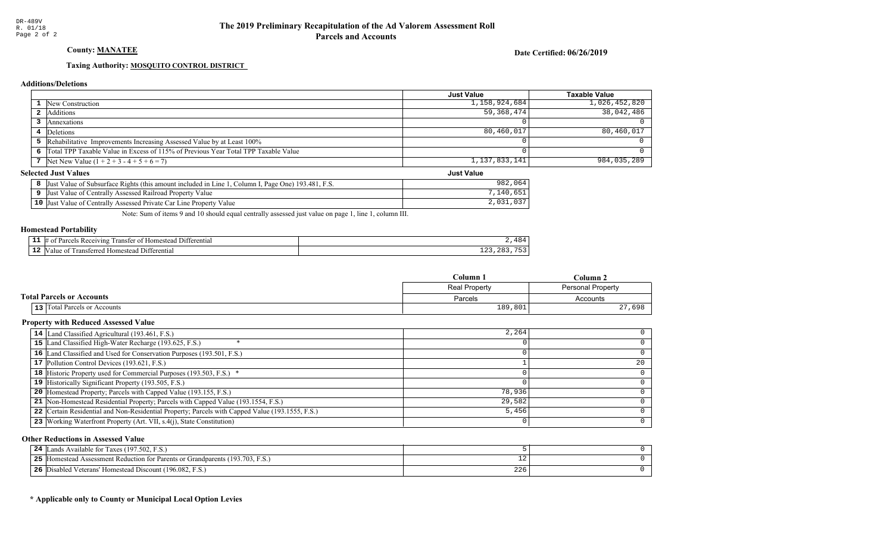# County: **MANATEE**

Date Certified: 06/26/2019

Just Value

#### Taxing Authority: **MOSQUITO CONTROL DISTRICT**

#### **Additions/Deletions**

|                                                                                      | <b>Just Value</b> | Taxable Value |
|--------------------------------------------------------------------------------------|-------------------|---------------|
| <b>1</b> New Construction                                                            | 1,158,924,684     | 1,026,452,820 |
| <b>2</b> Additions                                                                   | 59,368,474        | 38,042,486    |
| <b>Annexations</b>                                                                   |                   |               |
| 4 Deletions                                                                          | 80,460,017        | 80,460,017    |
| 5 Rehabilitative Improvements Increasing Assessed Value by at Least 100%             |                   |               |
| 6 Total TPP Taxable Value in Excess of 115% of Previous Year Total TPP Taxable Value |                   |               |
| 7 Net New Value $(1 + 2 + 3 - 4 + 5 + 6 = 7)$                                        | 1,137,833,141     | 984,035,289   |

#### **Selected Just Values**

| Value of Subsurface Rights (this amount included in Line 1<br><sup>T</sup> , Page One) 193.481, F.S.<br>' Column I.<br> Just | 064<br>982              |
|------------------------------------------------------------------------------------------------------------------------------|-------------------------|
| Value of Centrally Assessed Railroad Property Value<br>IJust                                                                 | .651<br>140             |
| $10$ Just<br>Value of Centrally Assessed Private Car Line Property Value                                                     | $\cap$ $\cap$<br>2,031, |

Note: Sum of items 9 and 10 should equal centrally assessed just value on page 1, line 1, column III.

#### Homestead Portability

|     | $\overline{\phantom{a}}$<br>. ) 1 t<br>. ranster<br>*erentia<br>'eceiving'<br><u>ດ1</u><br>Homest <sub>)</sub><br>יזו? | 1 O<br>--      |
|-----|------------------------------------------------------------------------------------------------------------------------|----------------|
| . . | terenti:<br>terre<br>Iomestea<br>`alu.                                                                                 | $- - -$<br>ᅩᅀᇰ |

|                                  | Column 1                           | $C$ olumn 2 |
|----------------------------------|------------------------------------|-------------|
|                                  | Real Property<br>Personal Property |             |
| <b>Total Parcels or Accounts</b> | Parcels                            | Accounts    |
| 13 Total Parcels or Accounts     | 189,801                            | 27,698      |

#### Property with Reduced Assessed Value

| 14 Land Classified Agricultural (193.461, F.S.)                                                 | 2,264  |    |
|-------------------------------------------------------------------------------------------------|--------|----|
| 15 Land Classified High-Water Recharge (193.625, F.S.)                                          |        |    |
| 16 Land Classified and Used for Conservation Purposes (193.501, F.S.)                           |        |    |
| 17 Pollution Control Devices (193.621, F.S.)                                                    |        | 20 |
| 18 Historic Property used for Commercial Purposes (193.503, F.S.) *                             |        |    |
| 19 Historically Significant Property (193.505, F.S.)                                            |        |    |
| <b>20</b> Homestead Property; Parcels with Capped Value (193.155, F.S.)                         | 78,936 |    |
| 21 Non-Homestead Residential Property; Parcels with Capped Value (193.1554, F.S.)               | 29,582 |    |
| 22 Certain Residential and Non-Residential Property; Parcels with Capped Value (193.1555, F.S.) | 5,456  |    |
| 23 Working Waterfront Property (Art. VII, s.4(j), State Constitution)                           |        | 0  |

#### Other Reductions in Assessed Value

| 24<br>s Available for Taxes (197.502, F.S.)<br>ands                              |     |  |
|----------------------------------------------------------------------------------|-----|--|
| 25<br>Homestead Assessment Reduction for Parents or Grandparents (193.703, F.S.) |     |  |
| 26<br>Disabled Veterans' Homestead Discount (196.082, F.S.)                      | 226 |  |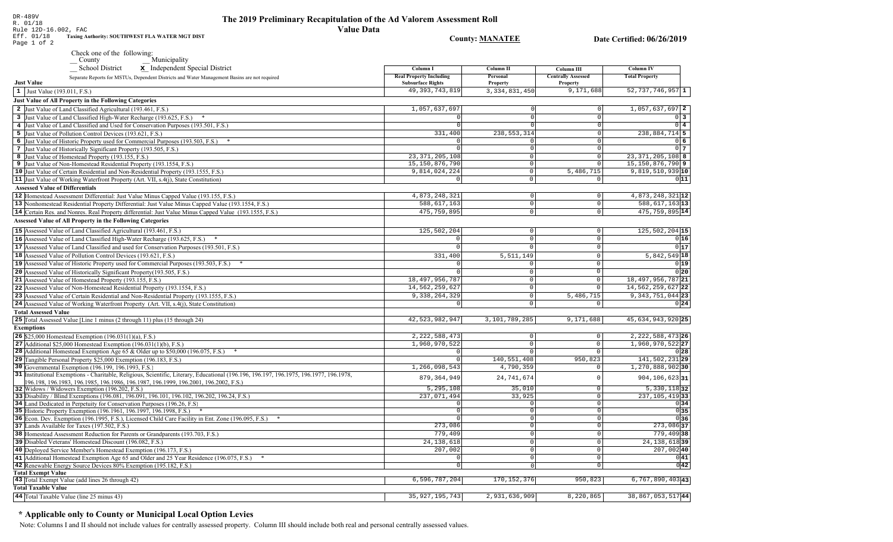| DR-489V<br>R. 01/18<br>Rule 12D-16.002, FAC<br>Taxing Authority: SOUTHWEST FLA WATER MGT DIST<br>Eff. 01/18<br>Page 1 of 2 | The 2019 Preliminary Recapitulation of the Ad Valorem Assessment Roll<br>Value Data-<br><b>County: MANATEE</b> |
|----------------------------------------------------------------------------------------------------------------------------|----------------------------------------------------------------------------------------------------------------|
|----------------------------------------------------------------------------------------------------------------------------|----------------------------------------------------------------------------------------------------------------|

Date Certified: 06/26/2019

| Check one of the following: |              |
|-----------------------------|--------------|
| County                      | Municipality |

| x Independent Special District<br><b>School District</b>                                                                                                                                                                   | Column I                                                   | <b>Column II</b>            | Column III                            | <b>Column IV</b>          |
|----------------------------------------------------------------------------------------------------------------------------------------------------------------------------------------------------------------------------|------------------------------------------------------------|-----------------------------|---------------------------------------|---------------------------|
| Separate Reports for MSTUs, Dependent Districts and Water Management Basins are not required<br><b>Just Value</b>                                                                                                          | <b>Real Property Including</b><br><b>Subsurface Rights</b> | <b>Personal</b><br>Property | <b>Centrally Assessed</b><br>Property | <b>Total Property</b>     |
| 1 Just Value (193.011, F.S.)                                                                                                                                                                                               | 49, 393, 743, 819                                          | 3, 334, 831, 450            | 9,171,688                             | $52,737,746,957$ 1        |
| <b>Just Value of All Property in the Following Categories</b>                                                                                                                                                              |                                                            |                             |                                       |                           |
| 2 Just Value of Land Classified Agricultural (193.461, F.S.)                                                                                                                                                               | 1,057,637,697                                              | $\Omega$                    | 0                                     | 1,057,637,697 2           |
| 3 Just Value of Land Classified High-Water Recharge (193.625, F.S.)                                                                                                                                                        |                                                            |                             | $\overline{0}$                        | $0\vert 3$                |
| 4 Just Value of Land Classified and Used for Conservation Purposes (193.501, F.S.)                                                                                                                                         |                                                            |                             | $\Omega$                              | $0\vert 4$                |
| 5 Just Value of Pollution Control Devices (193.621, F.S.)                                                                                                                                                                  | 331,400                                                    | 238, 553, 314               | $\circ$                               | 238,884,714 5             |
| 6 Just Value of Historic Property used for Commercial Purposes (193.503, F.S.) *                                                                                                                                           |                                                            | U                           | $\Omega$                              | 0 <sub>6</sub>            |
| 7 Just Value of Historically Significant Property (193.505, F.S.)                                                                                                                                                          |                                                            | $\circ$                     | $\Omega$                              | 0 <sub>7</sub>            |
| 8 Just Value of Homestead Property (193.155, F.S.)                                                                                                                                                                         | 23, 371, 205, 108                                          | $\circ$                     | 0                                     | 23, 371, 205, 108 8       |
| 9 Just Value of Non-Homestead Residential Property (193.1554, F.S.)                                                                                                                                                        | 15, 150, 876, 790                                          | $\mathbf 0$                 | $\circ$                               | 15, 150, 876, 790 9       |
| 10 Just Value of Certain Residential and Non-Residential Property (193.1555, F.S.)                                                                                                                                         | 9,814,024,224                                              | $\overline{0}$              | 5,486,715                             | 9,819,510,939 10          |
| 11 Just Value of Working Waterfront Property (Art. VII, s.4(j), State Constitution)                                                                                                                                        | $\mathbf 0$                                                | $\circ$                     | $\circ$                               | 011                       |
|                                                                                                                                                                                                                            |                                                            |                             |                                       |                           |
| <b>Assessed Value of Differentials</b>                                                                                                                                                                                     |                                                            |                             |                                       |                           |
| 12 Homestead Assessment Differential: Just Value Minus Capped Value (193.155, F.S.)                                                                                                                                        | 4,873,248,321                                              | $\Omega$                    | $\overline{0}$                        | 4,873,248,321 12          |
| 13 Nonhomestead Residential Property Differential: Just Value Minus Capped Value (193.1554, F.S.)                                                                                                                          | 588,617,163                                                | $\overline{0}$              | $\circ$                               | 588, 617, 163 13          |
| 14 Certain Res. and Nonres. Real Property differential: Just Value Minus Capped Value (193.1555, F.S.)                                                                                                                     | 475, 759, 895                                              | $\overline{0}$              | $\overline{0}$                        | 475, 759, 895 14          |
| <b>Assessed Value of All Property in the Following Categories</b>                                                                                                                                                          |                                                            |                             |                                       |                           |
| 15 Assessed Value of Land Classified Agricultural (193.461, F.S.)                                                                                                                                                          | 125,502,204                                                | $\mathbf 0$                 | $\mathsf{O}$                          | 125, 502, 204 15          |
| 16 Assessed Value of Land Classified High-Water Recharge (193.625, F.S.) *                                                                                                                                                 | $\Omega$                                                   | $\mathbf{0}$                | $\overline{0}$                        | 0 16                      |
| 17 Assessed Value of Land Classified and used for Conservation Purposes (193.501, F.S.)                                                                                                                                    |                                                            | $\Omega$                    | $\overline{0}$                        | 0 17                      |
| 18 Assessed Value of Pollution Control Devices (193.621, F.S.)                                                                                                                                                             | 331,400                                                    | 5, 511, 149                 | $\mathbf{0}$                          | $5,842,549$ 18            |
| 19 Assessed Value of Historic Property used for Commercial Purposes (193.503, F.S.) *                                                                                                                                      |                                                            | $\Omega$                    | $\Omega$                              | 0 19                      |
| 20 Assessed Value of Historically Significant Property (193.505, F.S.)                                                                                                                                                     |                                                            | $\Omega$                    | $\mathsf{O}\xspace$                   | 0 20                      |
| 21 Assessed Value of Homestead Property (193.155, F.S.)                                                                                                                                                                    |                                                            | $\Omega$                    | $\mathsf{O}\xspace$                   | 18, 497, 956, 787 21      |
|                                                                                                                                                                                                                            | 18, 497, 956, 787<br>14,562,259,627                        | $\mathbf{0}$                | $\mathbf{0}$                          | 14, 562, 259, 627 22      |
| 22 Assessed Value of Non-Homestead Residential Property (193.1554, F.S.)                                                                                                                                                   |                                                            |                             |                                       |                           |
| 23 Assessed Value of Certain Residential and Non-Residential Property (193.1555, F.S.)                                                                                                                                     | 9, 338, 264, 329                                           | $\mathbf{0}$<br>$\Omega$    | 5,486,715                             | 9, 343, 751, 044 23       |
| 24 Assessed Value of Working Waterfront Property (Art. VII, s.4(j), State Constitution)                                                                                                                                    |                                                            |                             | $\Omega$                              | 0 24                      |
| <b>Total Assessed Value</b>                                                                                                                                                                                                |                                                            |                             |                                       |                           |
| 25 Total Assessed Value [Line 1 minus (2 through 11) plus (15 through 24)                                                                                                                                                  | 42,523,982,947                                             | 3,101,789,285               | 9,171,688                             | 45,634,943,920 25         |
| <b>Exemptions</b>                                                                                                                                                                                                          |                                                            |                             |                                       |                           |
| <b>26</b> \$25,000 Homestead Exemption $(196.031(1)(a), F.S.)$                                                                                                                                                             | 2, 222, 588, 473                                           | $\overline{0}$              | $\circ$                               | 2, 222, 588, 473 26       |
| 27 Additional \$25,000 Homestead Exemption (196,031(1)(b), F.S.)                                                                                                                                                           | 1,960,970,522                                              | $\Omega$                    | $\mathbf{0}$                          | 1,960,970,522 27          |
| 28 Additional Homestead Exemption Age 65 & Older up to \$50,000 (196.075, F.S.)<br>*                                                                                                                                       | $\Omega$                                                   | $\Omega$                    | $\mathbf{0}$                          | 0 28                      |
| 29 Tangible Personal Property \$25,000 Exemption (196.183, F.S.)                                                                                                                                                           | $\Omega$                                                   | 140,551,408                 | 950,823                               | 141,502,23129             |
| 30 Governmental Exemption (196.199, 196.1993, F.S.)                                                                                                                                                                        | 1,266,098,543                                              | 4,790,359                   | $\mathbf 0$                           | 1,270,888,902 30          |
| 31 Institutional Exemptions - Charitable, Religious, Scientific, Literary, Educational (196.196.197, 196.1975, 196.1977, 196.1978,<br>196.198, 196.1983, 196.1985, 196.1986, 196.1987, 196.1999, 196.2001, 196.2002, F.S.) | 879, 364, 949                                              | 24, 741, 674                | $\Omega$                              | $904, 106, 623$ 31        |
| 32 Widows / Widowers Exemption (196.202, F.S.)                                                                                                                                                                             | 5,295,108                                                  | 35,010                      | 0                                     | $\overline{5,330,118}$ 32 |
| 33 Disability / Blind Exemptions (196.081, 196.091, 196.101, 196.102, 196.202, 196.24, F.S.)                                                                                                                               | 237,071,494                                                | 33,925                      | $\overline{0}$                        | 237, 105, 419 33          |
| 34 Land Dedicated in Perpetuity for Conservation Purposes (196.26, F.S.)                                                                                                                                                   |                                                            | $\Omega$                    | $\overline{0}$                        | 0 34                      |
| 35 Historic Property Exemption (196.1961, 196.1997, 196.1998, F.S.) *                                                                                                                                                      |                                                            | $\Omega$                    | $\Omega$                              | 0 35                      |
| 36 Econ. Dev. Exemption (196.1995, F.S.), Licensed Child Care Facility in Ent. Zone (196.095, F.S.)                                                                                                                        |                                                            | $\Omega$                    | $\mathbf{0}$                          | 0 36                      |
| 37 Lands Available for Taxes (197.502, F.S.)                                                                                                                                                                               | 273,086                                                    | $\Omega$                    | $\Omega$                              | $273,086$ 37              |
| 38 Homestead Assessment Reduction for Parents or Grandparents (193.703, F.S.)                                                                                                                                              | 779,409                                                    | $\Omega$                    | $\Omega$                              | 779,409 38                |
| 39 Disabled Veterans' Homestead Discount (196.082, F.S.)                                                                                                                                                                   | 24, 138, 618                                               | $\overline{0}$              | $\overline{0}$                        | 24, 138, 618 39           |
| 40 Deployed Service Member's Homestead Exemption (196.173, F.S.)                                                                                                                                                           | 207,002                                                    | $\Omega$                    | $\circ$                               | $207,002$ 40              |
| 41 Additional Homestead Exemption Age 65 and Older and 25 Year Residence (196.075, F.S.)                                                                                                                                   |                                                            | $\Omega$                    | $\circ$                               | 0 41                      |
| 42 Renewable Energy Source Devices 80% Exemption (195.182, F.S.)                                                                                                                                                           | $\mathbf 0$                                                | $\Omega$                    | 0                                     | 0 42                      |
| <b>Total Exempt Value</b>                                                                                                                                                                                                  |                                                            |                             |                                       |                           |
| 43 Total Exempt Value (add lines 26 through 42)                                                                                                                                                                            | 6,596,787,204                                              | 170, 152, 376               | 950,823                               | $6,767,890,403$ 43        |
| <b>Total Taxable Value</b>                                                                                                                                                                                                 |                                                            |                             |                                       |                           |
| 44 Total Taxable Value (line 25 minus 43)                                                                                                                                                                                  | 35, 927, 195, 743                                          | 2,931,636,909               | 8,220,865                             | 38,867,053,51744          |

# \* Applicable only to County or Municipal Local Option Levies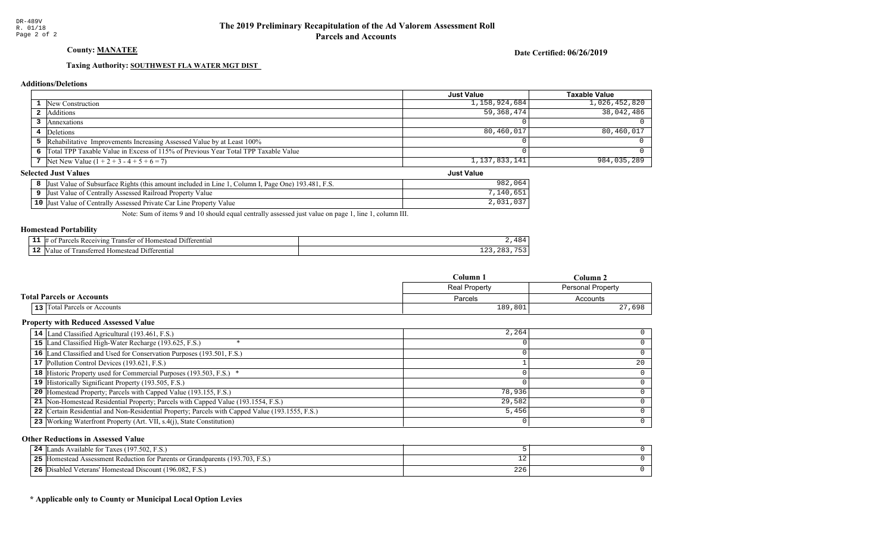# County: **MANATEE**

Date Certified: 06/26/2019

Just Value

#### Taxing Authority: SOUTHWEST FLA WATER MGT DIST

#### **Additions/Deletions**

|                                                                                      | Just Value    | Taxable Value |
|--------------------------------------------------------------------------------------|---------------|---------------|
| 1 New Construction                                                                   | 1,158,924,684 | 1,026,452,820 |
| 2 Additions                                                                          | 59,368,474    | 38,042,486    |
| Annexations                                                                          |               |               |
| 4 Deletions                                                                          | 80,460,017    | 80,460,017    |
| 5 Rehabilitative Improvements Increasing Assessed Value by at Least 100%             |               |               |
| 6 Total TPP Taxable Value in Excess of 115% of Previous Year Total TPP Taxable Value |               |               |
| 7 Net New Value $(1 + 2 + 3 - 4 + 5 + 6 = 7)$                                        | 1,137,833,141 | 984,035,289   |

#### **Selected Just Values**

| 1, Column I, Page One) 193.481, F.S.<br>Just Value of Subsurface Rights (this amount included in Line 1, | 982<br>064        |
|----------------------------------------------------------------------------------------------------------|-------------------|
| Just Value of Centrally Assessed Railroad Property Value                                                 | $,140,65^{\circ}$ |
| <b>10</b> Just Value of Centrally Assessed Private Car Line Property Value                               |                   |

Note: Sum of items 9 and 10 should equal centrally assessed just value on page 1, line 1, column III.

#### Homestead Portability

| --   | <b>COLOR</b><br>eceiving)<br>10m<br>ranste<br>$\mathbf{H}$<br>01<br>stea<br><sup>+</sup> erenua. |               |
|------|--------------------------------------------------------------------------------------------------|---------------|
| - 14 | enti<br>$\sim$<br>l ransteri<br>alu<br>aataa <i>a</i><br>NИ.                                     | ᅩᅀᇰ<br>$\sim$ |

|                                  | Column 1      | $C$ olumn 2       |
|----------------------------------|---------------|-------------------|
|                                  | Real Property | Personal Property |
| <b>Total Parcels or Accounts</b> | Parcels       | Accounts          |
| 13 Total Parcels or Accounts     | 189,801       | 27,698            |

#### Property with Reduced Assessed Value

| 14 Land Classified Agricultural (193.461, F.S.)                                                 | 2,264  |    |
|-------------------------------------------------------------------------------------------------|--------|----|
| 15 Land Classified High-Water Recharge (193.625, F.S.)                                          |        |    |
| 16 Land Classified and Used for Conservation Purposes (193.501, F.S.)                           |        |    |
| 17 Pollution Control Devices (193.621, F.S.)                                                    |        | 20 |
| 18 Historic Property used for Commercial Purposes (193.503, F.S.) *                             |        |    |
| 19 Historically Significant Property (193.505, F.S.)                                            |        |    |
| <b>20</b> Homestead Property; Parcels with Capped Value (193.155, F.S.)                         | 78,936 |    |
| 21 Non-Homestead Residential Property; Parcels with Capped Value (193.1554, F.S.)               | 29,582 |    |
| 22 Certain Residential and Non-Residential Property; Parcels with Capped Value (193.1555, F.S.) | 5,456  |    |
| 23 Working Waterfront Property (Art. VII, s.4(j), State Constitution)                           |        | 0  |

#### Other Reductions in Assessed Value

| 24        | Available for Taxes (197.502, F.S.)<br>ands .                                          |     |  |
|-----------|----------------------------------------------------------------------------------------|-----|--|
| つち<br>- - | d Assessment Reduction for Parents or Grandparents (193.703, F.S.)<br><b>Homestead</b> |     |  |
| 26        | d Veterans' Homestead Discount (196.082, F.S.)<br>Disabled                             | 226 |  |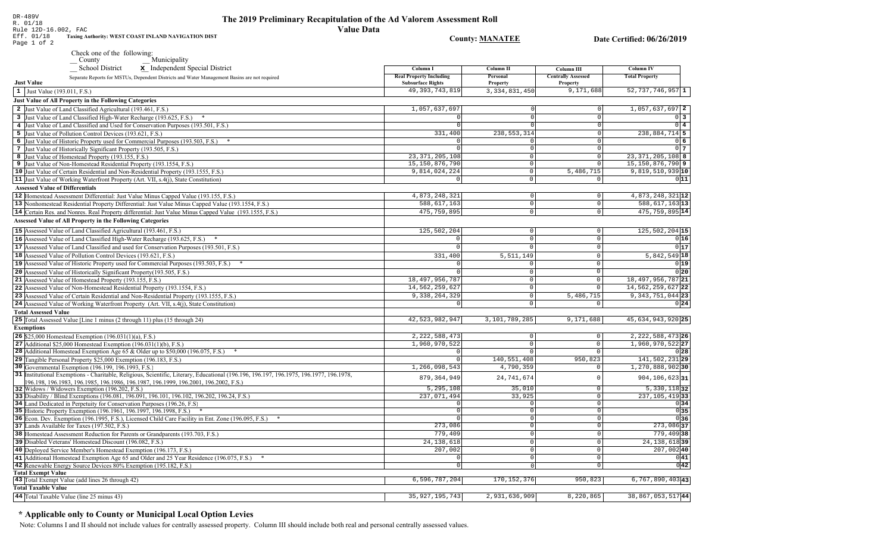Rule 12D-16.002, FAC Eff. 01/18 Taxing Authority: WEST COAST INLAND NAVIGATION DIST **County: MANATEE** Date Certified: 06/26/2019 Page 1 of 2 Check one of the following: Municipality School District x Independent Special District Column I **Column II** Column III **Column IV Real Property Including** Personal **Centrally Assessed Total Property** Separate Reports for MSTUs, Dependent Districts and Water Management Basins are not required **Just Value Subsurface Rights** Property Property 49, 393, 743, 819 3, 334, 831, 450 9,171,688  $52, 737, 746, 957$  1  $\vert 1 \vert$  Just Value (193.011, F.S.) **Just Value of All Property in the Following Categories** 2 Just Value of Land Classified Agricultural (193.461, F.S.) 1,057,637,697  $1.057.637.697$  2 3 Just Value of Land Classified High-Water Recharge (193.625, F.S.) \*  $\Omega$  $0<sup>3</sup>$ 4 Just Value of Land Classified and Used for Conservation Purposes (193.501, F.S.)  $\overline{0}$  4 5 Just Value of Pollution Control Devices (193.621, F.S.) 331,400 238, 553, 314 238,884,714 5 6 Just Value of Historic Property used for Commercial Purposes (193.503, F.S.) \*  $0<sub>6</sub>$ 7 Just Value of Historically Significant Property (193.505, F.S.)  $\Omega$  $017$  $23.371.205.108$  $23,371,205,108$  8 8 Just Value of Homestead Property (193.155, F.S.)  $\Omega$  $15, 150, 876, 790$  9 15, 150, 876, 790 9 Just Value of Non-Homestead Residential Property (193.1554, F.S.)  $\Omega$ 10 Just Value of Certain Residential and Non-Residential Property (193.1555, F.S.) 9,814,024,224 5,486,715  $9,819,510,939$  10  $\circ$ 11 Just Value of Working Waterfront Property (Art. VII,  $s.4(i)$ ), State Constitution)  $\overline{\circ}$  $011$ **Assessed Value of Differentials** 4,873,248,321 12 12 |Homestead Assessment Differential: Just Value Minus Capped Value (193.155, F.S.) 4,873,248,321  $\Omega$  $\Omega$ 588, 617, 163 13 13 Nonhomestead Residential Property Differential: Just Value Minus Capped Value (193.1554, F.S.) 588,617,163  $\mathbb O$ 14 Certain Res. and Nonres. Real Property differential: Just Value Minus Capped Value (193.1555, F.S.) 475, 759, 895  $\overline{0}$ 475, 759, 895 14 **Assessed Value of All Property in the Following Categories** 15 Assessed Value of Land Classified Agricultural (193.461, F.S.) 125,502,204  $\Omega$  $125,502,204$  15 16 Assessed Value of Land Classified High-Water Recharge (193.625, F.S.)  $0|16$  $\Omega$  $\Omega$  $0|17$ **17** Assessed Value of Land Classified and used for Conservation Purposes (193.501, F.S.)  $\mathbf 0$  $\Omega$  $\Omega$ 18 Assessed Value of Pollution Control Devices (193.621, F.S.) 331,400  $5.511.149$  $5,842,549$  18 19 Assessed Value of Historic Property used for Commercial Purposes (193.503, F.S.) \*  $0|19|$ 20 Assessed Value of Historically Significant Property (193.505, F.S.)  $0|20|$  $\cap$  $\Omega$ 18, 497, 956, 787 21 Assessed Value of Homestead Property (193.155, F.S.) 18, 497, 956, 787 21  $\cap$ 22 Assessed Value of Non-Homestead Residential Property (193.1554, F.S.) 14,562,259,627  $\Omega$ 14, 562, 259, 627 22 9,338,264,329 9, 343, 751, 044 23 23 Assessed Value of Certain Residential and Non-Residential Property (193.1555, F.S.)  $5,486,715$  $\cap$ 24 Assessed Value of Working Waterfront Property (Art. VII, s.4(j), State Constitution)  $0|24|$  $\mathsf{O}$ **Total Assessed Value** 25 Total Assessed Value [Line 1 minus (2 through 11) plus (15 through 24) 42, 523, 982, 947 3,101,789,285 9,171,688 45,634,943,920 25 **Exemptions** 2, 222, 588, 473  $2.222,588,473$  26 **26** \$25,000 Homestead Exemption  $(196.031(1)(a), F.S.)$  $\Omega$  $1,960,970,522$  27 27 Additional \$25,000 Homestead Exemption  $(196.031(1)(b), F.S.)$ 1,960,970,522  $\Omega$  $\sqrt{2}$ 28 Additional Homestead Exemption Age 65 & Older up to \$50,000 (196.075, F.S.) \*  $\cap$  $0|28|$  $\sqrt{ }$ 29 Tangible Personal Property \$25,000 Exemption (196.183, F.S.) 140,551,408 950,823 141,502,23129  $1,270,888,902$ 30 30 Governmental Exemption (196.199, 196.1993, F.S.)  $1, 266, 098, 543$ 4,790,359 31 Institutional Exemptions - Charitable, Religious, Scientific, Literary, Educational (196.196, 196.197, 196.1977, 196.1977, 196.1978, 879, 364, 949 24,741,674  $904, 106, 623|31$  $\circ$ 196.198, 196.1983, 196.1985, 196.1986, 196.1987, 196.1999, 196.2001, 196.2002, F.S.) 32 Widows / Widowers Exemption (196.202, F.S.)  $5, 295, 108$ 35,010  $5,330,118$  32  $\Omega$ 33 Disability / Blind Exemptions (196.081, 196.091, 196.101, 196.102, 196.202, 196.24, F.S.) 237,071,494 33,925  $\overline{0}$  $237, 105, 419$  33 34 Land Dedicated in Perpetuity for Conservation Purposes (196.26, F.S)  $\cap$  $\overline{\circ}$  $0|34|$  $0|35|$  $\circ$ 35 Historic Property Exemption (196.1961, 196.1997, 196.1998, F.S.) \*  $\Omega$ 36 Econ. Dev. Exemption (196.1995, F.S.), Licensed Child Care Facility in Ent. Zone (196.095, F.S.) \*  $\overline{0}$  $0|36|$  $273,086$  37 37 Lands Available for Taxes (197.502, F.S.) 273,086  $\overline{0}$ 38 Homestead Assessment Reduction for Parents or Grandparents (193.703, F.S.) 779,409 779,409 38 0 24, 138, 618 24, 138, 618 39 39 Disabled Veterans' Homestead Discount (196.082, F.S.)  $\Omega$  $207,002$  40 40 Deployed Service Member's Homestead Exemption (196.173, F.S.)  $207,002$  $\Omega$  $0|41|$ 41 Additional Homestead Exemption Age 65 and Older and 25 Year Residence (196.075, F.S.) \*  $\overline{0}$  $\Omega$  $\overline{0|42|}$ 42 Renewable Energy Source Devices 80% Exemption (195.182, F.S.)  $\overline{0}$  $\overline{0}$ **Total Exempt Value** 43 Total Exempt Value (add lines 26 through 42)  $6, 596, 787, 204$  $170, 152, 376$  $950, 823$  $6,767,890,403$ <sup>43</sup> **Total Taxable Value** 44 Total Taxable Value (line 25 minus 43) 35, 927, 195, 743 2,931,636,909 8,220,865 38, 867, 053, 517 44

# \* Applicable only to County or Municipal Local Option Levies

DR-489V

R. 01/18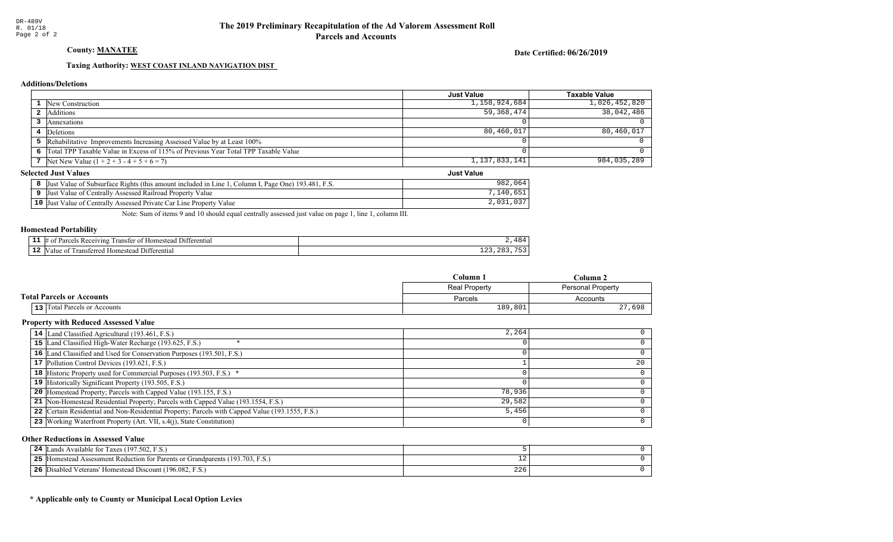County: **MANATEE** 

Date Certified: 06/26/2019

Just Value

### Taxing Authority: WEST COAST INLAND NAVIGATION DIST

#### **Additions/Deletions**

|                                                                                      | Just Value    | Taxable Value |
|--------------------------------------------------------------------------------------|---------------|---------------|
| 1 New Construction                                                                   | 1,158,924,684 | 1,026,452,820 |
| 2 Additions                                                                          | 59,368,474    | 38,042,486    |
| Annexations                                                                          |               |               |
| 4 Deletions                                                                          | 80,460,017    | 80,460,017    |
| 5 Rehabilitative Improvements Increasing Assessed Value by at Least 100%             |               |               |
| 6 Total TPP Taxable Value in Excess of 115% of Previous Year Total TPP Taxable Value |               |               |
| 7 Net New Value $(1 + 2 + 3 - 4 + 5 + 6 = 7)$                                        | 1,137,833,141 | 984,035,289   |

#### **Selected Just Values**

| Value of Subsurface Rights (this amount included in Line 1<br><sup>T</sup> , Page One) 193.481, F.S.<br>' Column I.<br> Just | 064<br>982              |
|------------------------------------------------------------------------------------------------------------------------------|-------------------------|
| Value of Centrally Assessed Railroad Property Value<br>IJust                                                                 | .651<br>140             |
| $10$ Just<br>Value of Centrally Assessed Private Car Line Property Value                                                     | $\cap$ $\cap$<br>2,031, |

Note: Sum of items 9 and 10 should equal centrally assessed just value on page 1, line 1, column III.

#### Homestead Portability

|    | om<br>eiving<br>י הרידי<br>ำ≏ท<br>ent. | $^{\circ}$ O $\cdot$<br>$\overline{\phantom{a}}$<br>- |
|----|----------------------------------------|-------------------------------------------------------|
| -- | rans<br>$\sim$                         | ---<br>ᅩᅀᇰ<br>--<br>__                                |

|                                  | Column 1      | $C$ olumn 2       |
|----------------------------------|---------------|-------------------|
|                                  | Real Property | Personal Property |
| <b>Total Parcels or Accounts</b> | Parcels       | Accounts          |
| 13 Total Parcels or Accounts     | 189,801       | 27,698            |

#### Property with Reduced Assessed Value

| 14 Land Classified Agricultural (193.461, F.S.)                                                 | 2,264  |    |
|-------------------------------------------------------------------------------------------------|--------|----|
| 15 Land Classified High-Water Recharge (193.625, F.S.)                                          |        |    |
| 16 Land Classified and Used for Conservation Purposes (193.501, F.S.)                           |        |    |
| 17 Pollution Control Devices (193.621, F.S.)                                                    |        | 20 |
| 18 Historic Property used for Commercial Purposes (193.503, F.S.) *                             |        |    |
| 19 Historically Significant Property (193.505, F.S.)                                            |        |    |
| <b>20</b> Homestead Property; Parcels with Capped Value (193.155, F.S.)                         | 78,936 |    |
| 21 Non-Homestead Residential Property; Parcels with Capped Value (193.1554, F.S.)               | 29,582 |    |
| 22 Certain Residential and Non-Residential Property; Parcels with Capped Value (193.1555, F.S.) | 5,456  |    |
| 23 Working Waterfront Property (Art. VII, s.4(j), State Constitution)                           |        | 0  |

#### Other Reductions in Assessed Value

| 24        | Available for Taxes (197.502, F.S.)<br>ands .                                          |     |  |
|-----------|----------------------------------------------------------------------------------------|-----|--|
| つち<br>- - | d Assessment Reduction for Parents or Grandparents (193.703, F.S.)<br><b>Homestead</b> |     |  |
| 26        | d Veterans' Homestead Discount (196.082, F.S.)<br>Disabled                             | 226 |  |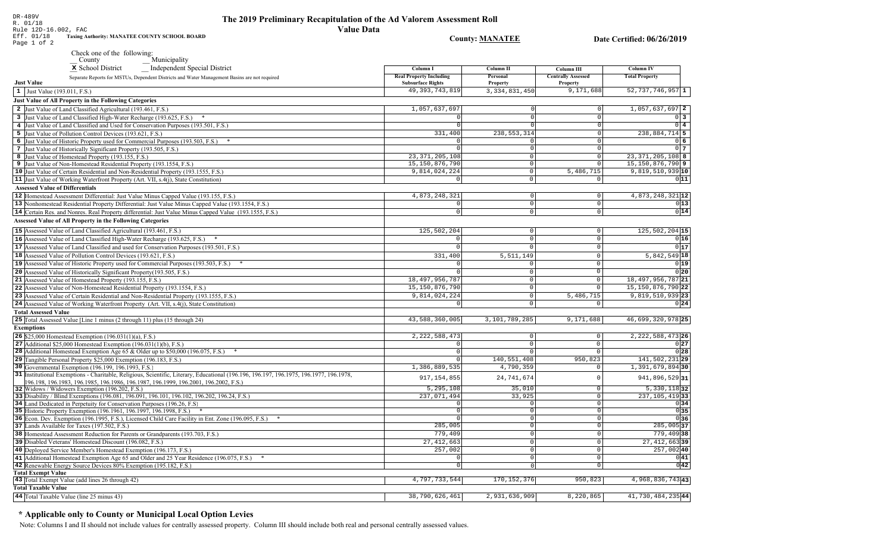| The 2019 Preliminary Recapitulation of the Ad Valorem Assessment Roll |  |
|-----------------------------------------------------------------------|--|
| <b>Value Data</b>                                                     |  |

Rule 12D-16.002, FAC Taxing Authority: MANATEE COUNTY SCHOOL BOARD Eff. 01/18 **County: MANATEE** Date Certified: 06/26/2019 Page 1 of 2 Check one of the following: Municipality x School District Independent Special District Column I **Column II** Column III **Column IV Real Property Including** Personal **Centrally Assessed Total Property** Separate Reports for MSTUs, Dependent Districts and Water Management Basins are not required **Just Value Subsurface Rights** Property Property 49, 393, 743, 819 3, 334, 831, 450 9,171,688  $52, 737, 746, 957$  1  $\vert 1 \vert$  Just Value (193.011, F.S.) **Just Value of All Property in the Following Categories** 2 Just Value of Land Classified Agricultural (193.461, F.S.) 1,057,637,697  $1.057.637.697$  2 3 Just Value of Land Classified High-Water Recharge (193.625, F.S.) \*  $\Omega$  $0<sup>3</sup>$ 4 Just Value of Land Classified and Used for Conservation Purposes (193.501, F.S.)  $\overline{0}$  4 5 Just Value of Pollution Control Devices (193.621, F.S.) 331,400 238, 553, 314 238,884,714 5 6 Just Value of Historic Property used for Commercial Purposes (193.503, F.S.) \* 06 7 Just Value of Historically Significant Property (193.505, F.S.)  $\Omega$  $017$  $23.371.205.108$  $23,371,205,108$  8 8 Just Value of Homestead Property (193.155, F.S.)  $\Omega$ 15, 150, 876, 790 15, 150, 876, 790 9 9 Just Value of Non-Homestead Residential Property (193.1554, F.S.)  $\Omega$ 10 Just Value of Certain Residential and Non-Residential Property (193.1555, F.S.) 9,814,024,224  $\circ$ 5,486,715  $9,819,510,939$  10 11 Just Value of Working Waterfront Property (Art. VII, s.4(j), State Constitution)  $\overline{0}$  $011$ **Assessed Value of Differentials** 4,873,248,321 4,873,248,321 12 12 Homestead Assessment Differential: Just Value Minus Capped Value (193.155, F.S.)  $\Omega$  $\Omega$ 13 Nonhomestead Residential Property Differential: Just Value Minus Capped Value (193.1554, F.S.)  $\mathbb O$  $0|13|$ 14 Certain Res. and Nonres. Real Property differential: Just Value Minus Capped Value (193.1555, F.S.)  $\overline{0}$  $0|14|$  $\cap$ **Assessed Value of All Property in the Following Categories** 15 Assessed Value of Land Classified Agricultural (193.461, F.S.) 125,502,204  $\Omega$  $125,502,204$  15 16 Assessed Value of Land Classified High-Water Recharge (193.625, F.S.)  $0|16$  $\Omega$  $\Omega$  $0|17$ **17** Assessed Value of Land Classified and used for Conservation Purposes (193.501, F.S.)  $\mathbf{0}$  $\Omega$  $\Omega$ 18 Assessed Value of Pollution Control Devices (193.621, F.S.) 331,400  $5.511.149$  $5,842,549$  18 19 Assessed Value of Historic Property used for Commercial Purposes (193.503, F.S.) \*  $0|19|$ 20 Assessed Value of Historically Significant Property (193.505, F.S.)  $0|20|$  $\cap$  $\Omega$ 18, 497, 956, 787 21 Assessed Value of Homestead Property (193.155, F.S.) 18, 497, 956, 787 21  $\cap$ 22 Assessed Value of Non-Homestead Residential Property (193.1554, F.S.) 15, 150, 876, 790  $\Omega$ 15, 150, 876, 790 22 9,814,024,224 9,819,510,939 23 23 Assessed Value of Certain Residential and Non-Residential Property (193.1555, F.S.)  $5,486,715$  $\cap$ 24 Assessed Value of Working Waterfront Property (Art. VII, s.4(j), State Constitution)  $0|24|$  $\mathsf{O}$ **Total Assessed Value** 25 Total Assessed Value [Line 1 minus (2 through 11) plus (15 through 24) 43,588,360,005 3,101,789,285 9,171,688 46,699,320,978 25 **Exemptions** 2, 222, 588, 473 2, 222, 588, 473 26 **26** \$25,000 Homestead Exemption  $(196.031(1)(a), F.S.)$  $\Omega$ 27 Additional \$25,000 Homestead Exemption  $(196.031(1)(b), F.S.)$  $\Omega$  $0|27$  $\sqrt{2}$  $0$ <sub>28</sub> 28 Additional Homestead Exemption Age 65 & Older up to \$50,000 (196.075, F.S.) \*  $\cap$  $\Omega$  $\sqrt{ }$ 29 Tangible Personal Property \$25,000 Exemption (196.183, F.S.) 140,551,408 950,823 141,502,23129 30 Governmental Exemption (196.199, 196.1993, F.S.) 1,386,889,535 4,790,359 1,391,679,89430 31 Institutional Exemptions - Charitable, Religious, Scientific, Literary, Educational (196.196, 196.197, 196.1977, 196.1977, 196.1978, 917, 154, 855 24,741,674 941,896,529 31  $\circ$ 196.198, 196.1983, 196.1985, 196.1986, 196.1987, 196.1999, 196.2001, 196.2002, F.S.)  $5, 295, 108$ 35,010  $5,330,118$  32 32 Widows / Widowers Exemption (196.202, F.S.)  $\Omega$ 33 Disability / Blind Exemptions (196.081, 196.091, 196.101, 196.102, 196.202, 196.24, F.S.) 237,071,494 33,925  $\overline{0}$  $237, 105, 419$  33 34 Land Dedicated in Perpetuity for Conservation Purposes (196.26, F.S)  $\cap$  $\overline{\circ}$  $0|34|$  $0|35|$ 35 Historic Property Exemption (196.1961, 196.1997, 196.1998, F.S.) \*  $\circ$  $\Omega$ 36 Econ. Dev. Exemption (196.1995, F.S.), Licensed Child Care Facility in Ent. Zone (196.095, F.S.) \*  $\overline{0}$  $0|36|$  $285,005$ 37 37 Lands Available for Taxes (197.502, F.S.) 285,005  $\overline{0}$ 38 Homestead Assessment Reduction for Parents or Grandparents (193.703, F.S.) 779,409 779,40938 0  $27,412,663$  $27,412,663$ 39 39 Disabled Veterans' Homestead Discount (196.082, F.S.)  $\Omega$  $257,002$  40 40 Deployed Service Member's Homestead Exemption (196.173, F.S.)  $257,002$  $\Omega$  $0|41|$ 41 Additional Homestead Exemption Age 65 and Older and 25 Year Residence (196.075, F.S.) \*  $\overline{0}$  $\Omega$  $\overline{0|42|}$ 42 Renewable Energy Source Devices 80% Exemption (195.182, F.S.)  $\overline{0}$  $\overline{0}$ **Total Exempt Value** 43 Total Exempt Value (add lines 26 through 42) 4,797,733,544  $170, 152, 376$  $950, 823$ 4,968,836,74343 **Total Taxable Value** 38,790,626,461  $8,220,865$ 44 Total Taxable Value (line 25 minus 43) 2,931,636,909 41,730,484,23544

# \* Applicable only to County or Municipal Local Option Levies

DR-489V R. 01/18